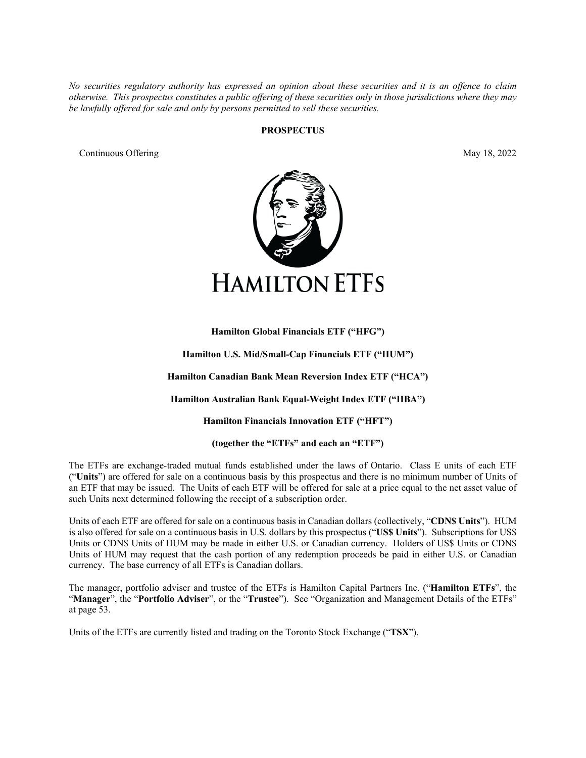*No securities regulatory authority has expressed an opinion about these securities and it is an offence to claim otherwise. This prospectus constitutes a public offering of these securities only in those jurisdictions where they may be lawfully offered for sale and only by persons permitted to sell these securities.*

#### **PROSPECTUS**

Continuous Offering May 18, 2022



# **Hamilton Global Financials ETF ("HFG")**

**Hamilton U.S. Mid/Small-Cap Financials ETF ("HUM")**

**Hamilton Canadian Bank Mean Reversion Index ETF ("HCA")** 

**Hamilton Australian Bank Equal-Weight Index ETF ("HBA")**

**Hamilton Financials Innovation ETF ("HFT")**

**(together the "ETFs" and each an "ETF")**

The ETFs are exchange-traded mutual funds established under the laws of Ontario. Class E units of each ETF ("**Units**") are offered for sale on a continuous basis by this prospectus and there is no minimum number of Units of an ETF that may be issued. The Units of each ETF will be offered for sale at a price equal to the net asset value of such Units next determined following the receipt of a subscription order.

Units of each ETF are offered for sale on a continuous basis in Canadian dollars (collectively, "**CDN\$ Units**"). HUM is also offered for sale on a continuous basis in U.S. dollars by this prospectus ("**US\$ Units**"). Subscriptions for US\$ Units or CDN\$ Units of HUM may be made in either U.S. or Canadian currency. Holders of US\$ Units or CDN\$ Units of HUM may request that the cash portion of any redemption proceeds be paid in either U.S. or Canadian currency. The base currency of all ETFs is Canadian dollars.

The manager, portfolio adviser and trustee of the ETFs is Hamilton Capital Partners Inc. ("**Hamilton ETFs**", the "**Manager**", the "**Portfolio Adviser**", or the "**Trustee**"). See "Organization and Management Details of the ETFs" at page [53.](#page-57-0)

Units of the ETFs are currently listed and trading on the Toronto Stock Exchange ("**TSX**").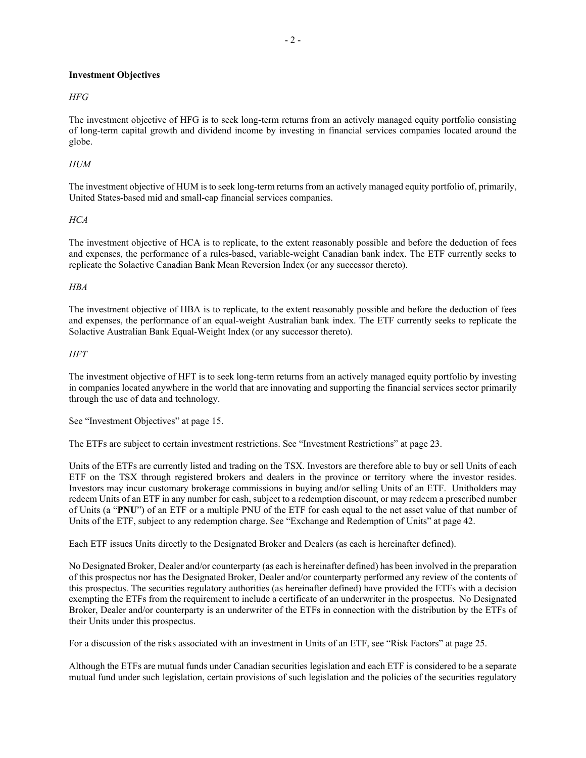# **Investment Objectives**

# *HFG*

The investment objective of HFG is to seek long-term returns from an actively managed equity portfolio consisting of long-term capital growth and dividend income by investing in financial services companies located around the globe.

# *HUM*

The investment objective of HUM is to seek long-term returns from an actively managed equity portfolio of, primarily, United States-based mid and small-cap financial services companies.

# *HCA*

The investment objective of HCA is to replicate, to the extent reasonably possible and before the deduction of fees and expenses, the performance of a rules-based, variable-weight Canadian bank index. The ETF currently seeks to replicate the Solactive Canadian Bank Mean Reversion Index (or any successor thereto).

# *HBA*

The investment objective of HBA is to replicate, to the extent reasonably possible and before the deduction of fees and expenses, the performance of an equal-weight Australian bank index. The ETF currently seeks to replicate the Solactive Australian Bank Equal-Weight Index (or any successor thereto).

# *HFT*

The investment objective of HFT is to seek long-term returns from an actively managed equity portfolio by investing in companies located anywhere in the world that are innovating and supporting the financial services sector primarily through the use of data and technology.

See "Investment Objectives" at page [15.](#page-19-0)

The ETFs are subject to certain investment restrictions. See "Investment Restrictions" at pag[e 23.](#page-27-0)

Units of the ETFs are currently listed and trading on the TSX. Investors are therefore able to buy or sell Units of each ETF on the TSX through registered brokers and dealers in the province or territory where the investor resides. Investors may incur customary brokerage commissions in buying and/or selling Units of an ETF. Unitholders may redeem Units of an ETF in any number for cash, subject to a redemption discount, or may redeem a prescribed number of Units (a "**PNU**") of an ETF or a multiple PNU of the ETF for cash equal to the net asset value of that number of Units of the ETF, subject to any redemption charge. See "Exchange and Redemption of Units" at page [42.](#page-46-0)

Each ETF issues Units directly to the Designated Broker and Dealers (as each is hereinafter defined).

No Designated Broker, Dealer and/or counterparty (as each is hereinafter defined) has been involved in the preparation of this prospectus nor has the Designated Broker, Dealer and/or counterparty performed any review of the contents of this prospectus. The securities regulatory authorities (as hereinafter defined) have provided the ETFs with a decision exempting the ETFs from the requirement to include a certificate of an underwriter in the prospectus. No Designated Broker, Dealer and/or counterparty is an underwriter of the ETFs in connection with the distribution by the ETFs of their Units under this prospectus.

For a discussion of the risks associated with an investment in Units of an ETF, see "Risk Factors" at pag[e 25.](#page-29-0)

Although the ETFs are mutual funds under Canadian securities legislation and each ETF is considered to be a separate mutual fund under such legislation, certain provisions of such legislation and the policies of the securities regulatory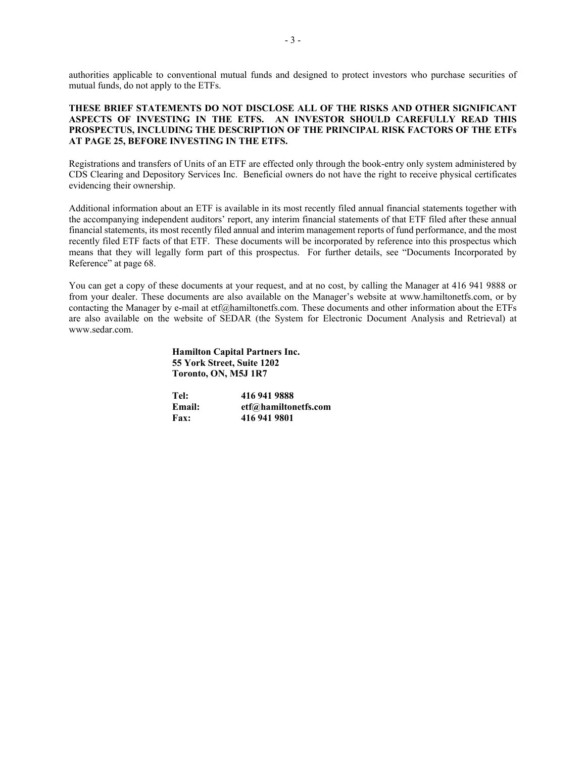authorities applicable to conventional mutual funds and designed to protect investors who purchase securities of mutual funds, do not apply to the ETFs.

# **THESE BRIEF STATEMENTS DO NOT DISCLOSE ALL OF THE RISKS AND OTHER SIGNIFICANT ASPECTS OF INVESTING IN THE ETFS. AN INVESTOR SHOULD CAREFULLY READ THIS PROSPECTUS, INCLUDING THE DESCRIPTION OF THE PRINCIPAL RISK FACTORS OF THE ETFs AT PAG[E 25,](#page-29-0) BEFORE INVESTING IN THE ETFS.**

Registrations and transfers of Units of an ETF are effected only through the book-entry only system administered by CDS Clearing and Depository Services Inc. Beneficial owners do not have the right to receive physical certificates evidencing their ownership.

Additional information about an ETF is available in its most recently filed annual financial statements together with the accompanying independent auditors' report, any interim financial statements of that ETF filed after these annual financial statements, its most recently filed annual and interim management reports of fund performance, and the most recently filed ETF facts of that ETF. These documents will be incorporated by reference into this prospectus which means that they will legally form part of this prospectus. For further details, see "Documents Incorporated by Reference" at page [68.](#page-72-0)

You can get a copy of these documents at your request, and at no cost, by calling the Manager at 416 941 9888 or from your dealer. These documents are also available on the Manager's website at www.hamiltonetfs.com, or by contacting the Manager by e-mail at etf@hamiltonetfs.com. These documents and other information about the ETFs are also available on the website of SEDAR (the System for Electronic Document Analysis and Retrieval) at www.sedar.com.

#### **Hamilton Capital Partners Inc. 55 York Street, Suite 1202 Toronto, ON, M5J 1R7**

| Tel:          | 416 941 9888         |
|---------------|----------------------|
| <b>Email:</b> | etf@hamiltonetfs.com |
| <b>Fax:</b>   | 416 941 9801         |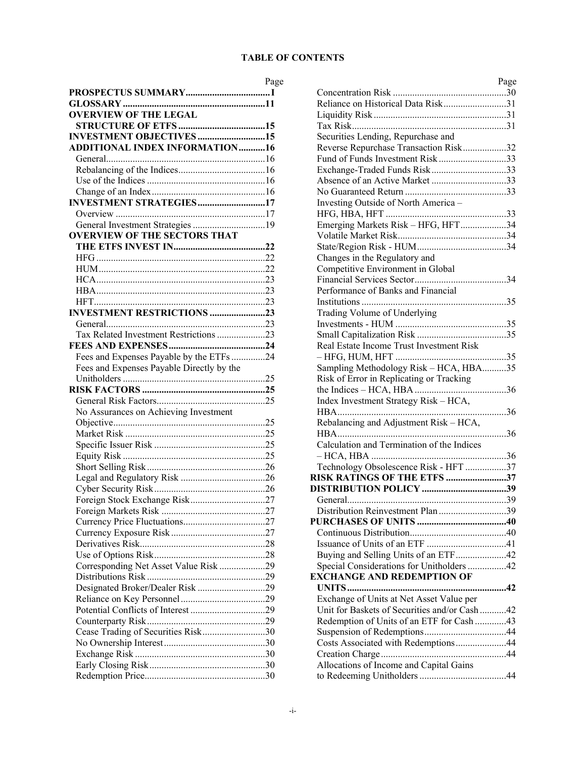# **TABLE OF CONTENTS**

| <b>OVERVIEW OF THE LEGAL</b>              |  |
|-------------------------------------------|--|
|                                           |  |
| <b>INVESTMENT OBJECTIVES 15</b>           |  |
| <b>ADDITIONAL INDEX INFORMATION16</b>     |  |
|                                           |  |
|                                           |  |
|                                           |  |
|                                           |  |
| <b>INVESTMENT STRATEGIES17</b>            |  |
|                                           |  |
| General Investment Strategies 19          |  |
| <b>OVERVIEW OF THE SECTORS THAT</b>       |  |
|                                           |  |
|                                           |  |
|                                           |  |
|                                           |  |
|                                           |  |
|                                           |  |
| <b>INVESTMENT RESTRICTIONS 23</b>         |  |
|                                           |  |
| Tax Related Investment Restrictions 23    |  |
|                                           |  |
| Fees and Expenses Payable by the ETFs 24  |  |
| Fees and Expenses Payable Directly by the |  |
|                                           |  |
|                                           |  |
|                                           |  |
| No Assurances on Achieving Investment     |  |
|                                           |  |
|                                           |  |
|                                           |  |
|                                           |  |
|                                           |  |
|                                           |  |
|                                           |  |
|                                           |  |
|                                           |  |
|                                           |  |
|                                           |  |
|                                           |  |
|                                           |  |
| Corresponding Net Asset Value Risk 29     |  |
|                                           |  |
| Designated Broker/Dealer Risk 29          |  |
|                                           |  |
|                                           |  |
|                                           |  |
| Cease Trading of Securities Risk30        |  |
|                                           |  |
|                                           |  |
|                                           |  |
|                                           |  |
|                                           |  |

| Page | Page                                         |
|------|----------------------------------------------|
| I    |                                              |
| 11   | Reliance on Historical Data Risk31           |
|      |                                              |
| 15   |                                              |
| 15   | Securities Lending, Repurchase and           |
| 16   | Reverse Repurchase Transaction Risk32        |
| 16   | Fund of Funds Investment Risk33              |
| 16   | Exchange-Traded Funds Risk33                 |
| 16   | Absence of an Active Market 33               |
| 16   |                                              |
| 17   | Investing Outside of North America -         |
| 17   |                                              |
| 19   | Emerging Markets Risk - HFG, HFT34           |
|      |                                              |
| 22   |                                              |
| 22   | Changes in the Regulatory and                |
| 22   | Competitive Environment in Global            |
| 23   |                                              |
| 23   | Performance of Banks and Financial           |
| 23   |                                              |
| 23   | Trading Volume of Underlying                 |
| 23   |                                              |
| 23   |                                              |
| 24   | Real Estate Income Trust Investment Risk     |
| 24   |                                              |
|      | Sampling Methodology Risk - HCA, HBA35       |
| 25   | Risk of Error in Replicating or Tracking     |
| 25   |                                              |
| 25   | Index Investment Strategy Risk - HCA,        |
|      |                                              |
| 25   | Rebalancing and Adjustment Risk - HCA,       |
| 25   |                                              |
| 25   | Calculation and Termination of the Indices   |
| 25   |                                              |
| 26   | Technology Obsolescence Risk - HFT 37        |
| 26   | RISK RATINGS OF THE ETFS 37                  |
| 26   |                                              |
| 27   |                                              |
| 27   | Distribution Reinvestment Plan 39            |
| 27   |                                              |
| 27   |                                              |
| 28   |                                              |
| 28   | Buying and Selling Units of an ETF42         |
| 29   | Special Considerations for Unitholders 42    |
| 29   | <b>EXCHANGE AND REDEMPTION OF</b>            |
| 29   |                                              |
| 29   | Exchange of Units at Net Asset Value per     |
| 29   | Unit for Baskets of Securities and/or Cash42 |
| 29   | Redemption of Units of an ETF for Cash 43    |
| 30   |                                              |
| 30   | Costs Associated with Redemptions44          |
| 30   |                                              |
| 30   | Allocations of Income and Capital Gains      |
| 30   |                                              |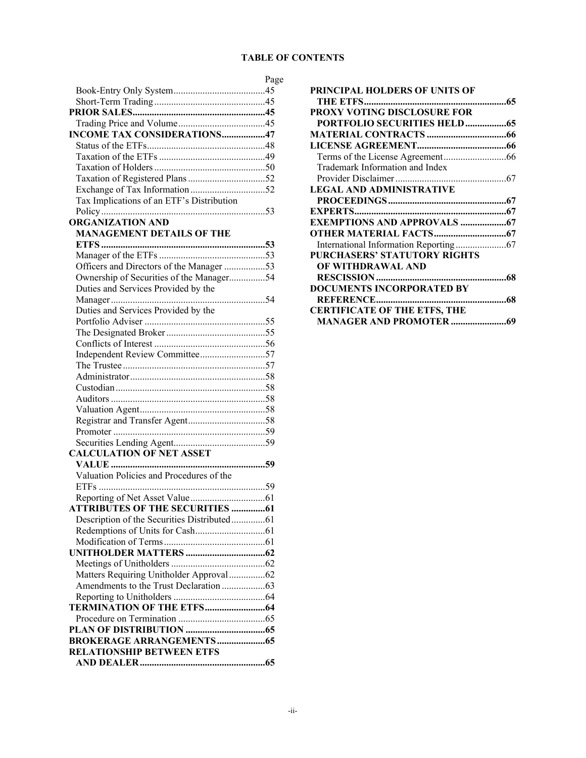# **TABLE OF CONTENTS**

|                                             | Page |
|---------------------------------------------|------|
|                                             |      |
|                                             |      |
|                                             |      |
|                                             |      |
| <b>INCOME TAX CONSIDERATIONS47</b>          |      |
|                                             |      |
|                                             |      |
|                                             |      |
|                                             |      |
|                                             |      |
| Tax Implications of an ETF's Distribution   |      |
|                                             |      |
| <b>ORGANIZATION AND</b>                     |      |
| <b>MANAGEMENT DETAILS OF THE</b>            |      |
|                                             |      |
|                                             |      |
| Officers and Directors of the Manager 53    |      |
| Ownership of Securities of the Manager54    |      |
| Duties and Services Provided by the         |      |
|                                             |      |
| Duties and Services Provided by the         |      |
|                                             |      |
|                                             |      |
|                                             |      |
| Independent Review Committee57              |      |
|                                             |      |
|                                             |      |
|                                             |      |
|                                             |      |
|                                             |      |
|                                             |      |
|                                             |      |
|                                             |      |
| <b>CALCULATION OF NET ASSET</b>             |      |
|                                             |      |
| Valuation Policies and Procedures of the    |      |
|                                             |      |
|                                             |      |
| <b>ATTRIBUTES OF THE SECURITIES 61</b>      |      |
| Description of the Securities Distributed61 |      |
|                                             |      |
|                                             |      |
|                                             |      |
|                                             |      |
| Matters Requiring Unitholder Approval62     |      |
|                                             |      |
|                                             |      |
|                                             |      |
|                                             |      |
|                                             |      |
| <b>RELATIONSHIP BETWEEN ETFS</b>            |      |
|                                             |      |
|                                             |      |

| PRINCIPAL HOLDERS OF UNITS OF       |
|-------------------------------------|
|                                     |
| PROXY VOTING DISCLOSURE FOR         |
| <b>PORTFOLIO SECURITIES HELD65</b>  |
|                                     |
|                                     |
|                                     |
| Trademark Information and Index     |
|                                     |
| <b>LEGAL AND ADMINISTRATIVE</b>     |
|                                     |
|                                     |
|                                     |
|                                     |
|                                     |
| PURCHASERS' STATUTORY RIGHTS        |
| OF WITHDRAWAL AND                   |
|                                     |
| <b>DOCUMENTS INCORPORATED BY</b>    |
|                                     |
| <b>CERTIFICATE OF THE ETFS, THE</b> |
|                                     |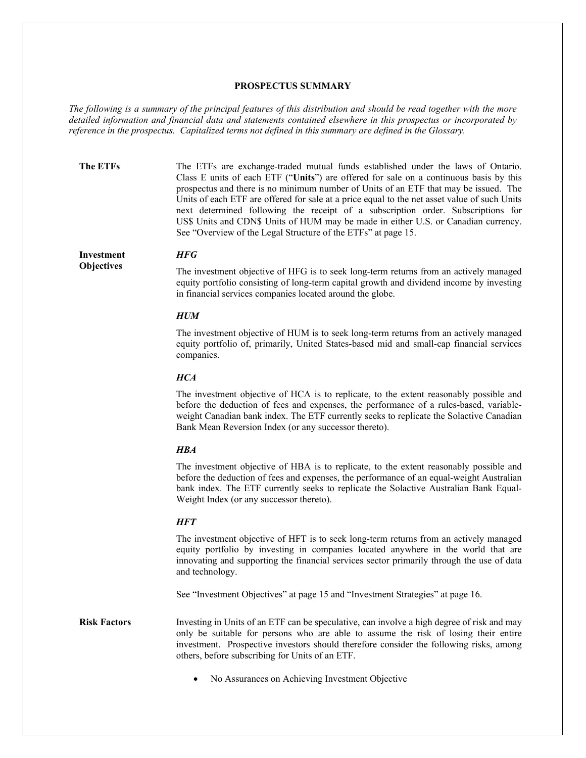#### <span id="page-5-0"></span>**PROSPECTUS SUMMARY**

*The following is a summary of the principal features of this distribution and should be read together with the more detailed information and financial data and statements contained elsewhere in this prospectus or incorporated by reference in the prospectus. Capitalized terms not defined in this summary are defined in the Glossary.*

**The ETFs** The ETFs are exchange-traded mutual funds established under the laws of Ontario. Class E units of each ETF ("**Units**") are offered for sale on a continuous basis by this prospectus and there is no minimum number of Units of an ETF that may be issued. The Units of each ETF are offered for sale at a price equal to the net asset value of such Units next determined following the receipt of a subscription order. Subscriptions for US\$ Units and CDN\$ Units of HUM may be made in either U.S. or Canadian currency. See "Overview of the Legal Structure of the ETFs" at pag[e 15.](#page-19-3)

# **Investment**

**Objectives**

The investment objective of HFG is to seek long-term returns from an actively managed equity portfolio consisting of long-term capital growth and dividend income by investing in financial services companies located around the globe.

#### *HUM*

*HFG*

The investment objective of HUM is to seek long-term returns from an actively managed equity portfolio of, primarily, United States-based mid and small-cap financial services companies.

#### *HCA*

The investment objective of HCA is to replicate, to the extent reasonably possible and before the deduction of fees and expenses, the performance of a rules-based, variableweight Canadian bank index. The ETF currently seeks to replicate the Solactive Canadian Bank Mean Reversion Index (or any successor thereto).

#### *HBA*

The investment objective of HBA is to replicate, to the extent reasonably possible and before the deduction of fees and expenses, the performance of an equal-weight Australian bank index. The ETF currently seeks to replicate the Solactive Australian Bank Equal-Weight Index (or any successor thereto).

## *HFT*

The investment objective of HFT is to seek long-term returns from an actively managed equity portfolio by investing in companies located anywhere in the world that are innovating and supporting the financial services sector primarily through the use of data and technology.

See "Investment Objectives" at page [15](#page-19-0) and "Investment Strategies" at pag[e 16.](#page-20-5)

**Risk Factors** Investing in Units of an ETF can be speculative, can involve a high degree of risk and may only be suitable for persons who are able to assume the risk of losing their entire investment. Prospective investors should therefore consider the following risks, among others, before subscribing for Units of an ETF.

• No Assurances on Achieving Investment Objective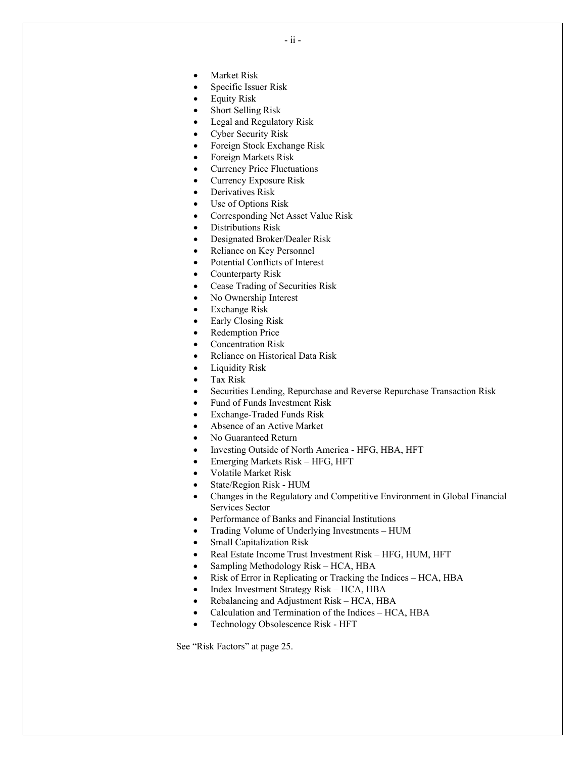- **Market Risk**
- Specific Issuer Risk
- Equity Risk
- Short Selling Risk
- Legal and Regulatory Risk
- Cyber Security Risk
- Foreign Stock Exchange Risk
- Foreign Markets Risk
- Currency Price Fluctuations
- Currency Exposure Risk
- Derivatives Risk
- Use of Options Risk
- Corresponding Net Asset Value Risk
- Distributions Risk
- Designated Broker/Dealer Risk
- Reliance on Key Personnel
- Potential Conflicts of Interest
- Counterparty Risk
- Cease Trading of Securities Risk
- No Ownership Interest
- **Exchange Risk**
- Early Closing Risk
- Redemption Price
- Concentration Risk
- Reliance on Historical Data Risk
- Liquidity Risk
- Tax Risk
- Securities Lending, Repurchase and Reverse Repurchase Transaction Risk
- Fund of Funds Investment Risk
- Exchange-Traded Funds Risk
- Absence of an Active Market
- No Guaranteed Return
- Investing Outside of North America HFG, HBA, HFT
- Emerging Markets Risk HFG, HFT
- Volatile Market Risk
- State/Region Risk HUM
- Changes in the Regulatory and Competitive Environment in Global Financial Services Sector
- Performance of Banks and Financial Institutions
- Trading Volume of Underlying Investments HUM
- Small Capitalization Risk
- Real Estate Income Trust Investment Risk HFG, HUM, HFT
- Sampling Methodology Risk HCA, HBA
- Risk of Error in Replicating or Tracking the Indices HCA, HBA
- Index Investment Strategy Risk HCA, HBA
- Rebalancing and Adjustment Risk HCA, HBA
- Calculation and Termination of the Indices HCA, HBA
- Technology Obsolescence Risk HFT

See "Risk Factors" at page [25.](#page-29-0)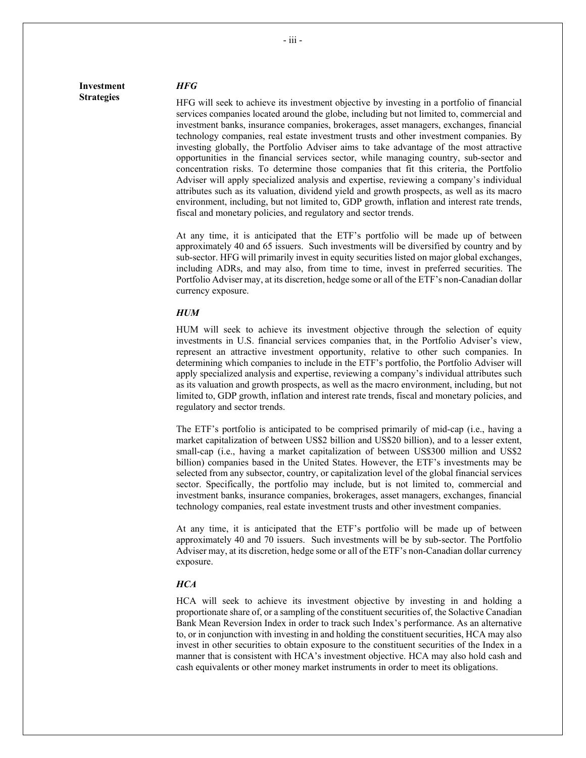# **Investment Strategies**

#### *HFG*

HFG will seek to achieve its investment objective by investing in a portfolio of financial services companies located around the globe, including but not limited to, commercial and investment banks, insurance companies, brokerages, asset managers, exchanges, financial technology companies, real estate investment trusts and other investment companies. By investing globally, the Portfolio Adviser aims to take advantage of the most attractive opportunities in the financial services sector, while managing country, sub-sector and concentration risks. To determine those companies that fit this criteria, the Portfolio Adviser will apply specialized analysis and expertise, reviewing a company's individual attributes such as its valuation, dividend yield and growth prospects, as well as its macro environment, including, but not limited to, GDP growth, inflation and interest rate trends, fiscal and monetary policies, and regulatory and sector trends.

At any time, it is anticipated that the ETF's portfolio will be made up of between approximately 40 and 65 issuers. Such investments will be diversified by country and by sub-sector. HFG will primarily invest in equity securities listed on major global exchanges, including ADRs, and may also, from time to time, invest in preferred securities. The Portfolio Adviser may, at its discretion, hedge some or all of the ETF's non-Canadian dollar currency exposure.

#### *HUM*

HUM will seek to achieve its investment objective through the selection of equity investments in U.S. financial services companies that, in the Portfolio Adviser's view, represent an attractive investment opportunity, relative to other such companies. In determining which companies to include in the ETF's portfolio, the Portfolio Adviser will apply specialized analysis and expertise, reviewing a company's individual attributes such as its valuation and growth prospects, as well as the macro environment, including, but not limited to, GDP growth, inflation and interest rate trends, fiscal and monetary policies, and regulatory and sector trends.

The ETF's portfolio is anticipated to be comprised primarily of mid-cap (i.e., having a market capitalization of between US\$2 billion and US\$20 billion), and to a lesser extent, small-cap (i.e., having a market capitalization of between US\$300 million and US\$2 billion) companies based in the United States. However, the ETF's investments may be selected from any subsector, country, or capitalization level of the global financial services sector. Specifically, the portfolio may include, but is not limited to, commercial and investment banks, insurance companies, brokerages, asset managers, exchanges, financial technology companies, real estate investment trusts and other investment companies.

At any time, it is anticipated that the ETF's portfolio will be made up of between approximately 40 and 70 issuers. Such investments will be by sub-sector. The Portfolio Adviser may, at its discretion, hedge some or all of the ETF's non-Canadian dollar currency exposure.

#### *HCA*

HCA will seek to achieve its investment objective by investing in and holding a proportionate share of, or a sampling of the constituent securities of, the Solactive Canadian Bank Mean Reversion Index in order to track such Index's performance. As an alternative to, or in conjunction with investing in and holding the constituent securities, HCA may also invest in other securities to obtain exposure to the constituent securities of the Index in a manner that is consistent with HCA's investment objective. HCA may also hold cash and cash equivalents or other money market instruments in order to meet its obligations.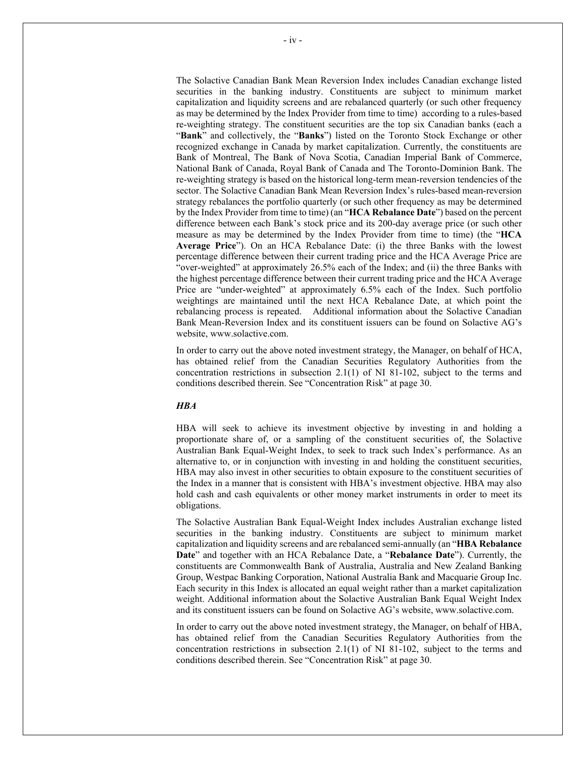The Solactive Canadian Bank Mean Reversion Index includes Canadian exchange listed securities in the banking industry. Constituents are subject to minimum market capitalization and liquidity screens and are rebalanced quarterly (or such other frequency as may be determined by the Index Provider from time to time) according to a rules-based re-weighting strategy. The constituent securities are the top six Canadian banks (each a "**Bank**" and collectively, the "**Banks**") listed on the Toronto Stock Exchange or other recognized exchange in Canada by market capitalization. Currently, the constituents are Bank of Montreal, The Bank of Nova Scotia, Canadian Imperial Bank of Commerce, National Bank of Canada, Royal Bank of Canada and The Toronto-Dominion Bank. The re-weighting strategy is based on the historical long-term mean-reversion tendencies of the sector. The Solactive Canadian Bank Mean Reversion Index's rules-based mean-reversion strategy rebalances the portfolio quarterly (or such other frequency as may be determined by the Index Provider from time to time) (an "**HCA Rebalance Date**") based on the percent difference between each Bank's stock price and its 200-day average price (or such other measure as may be determined by the Index Provider from time to time) (the "**HCA Average Price**"). On an HCA Rebalance Date: (i) the three Banks with the lowest percentage difference between their current trading price and the HCA Average Price are "over-weighted" at approximately 26.5% each of the Index; and (ii) the three Banks with the highest percentage difference between their current trading price and the HCA Average Price are "under-weighted" at approximately 6.5% each of the Index. Such portfolio weightings are maintained until the next HCA Rebalance Date, at which point the rebalancing process is repeated. Additional information about the Solactive Canadian Bank Mean-Reversion Index and its constituent issuers can be found on Solactive AG's website, www.solactive.com.

In order to carry out the above noted investment strategy, the Manager, on behalf of HCA, has obtained relief from the Canadian Securities Regulatory Authorities from the concentration restrictions in subsection 2.1(1) of NI 81-102, subject to the terms and conditions described therein. See "Concentration Risk" at page [30.](#page-34-6)

#### *HBA*

HBA will seek to achieve its investment objective by investing in and holding a proportionate share of, or a sampling of the constituent securities of, the Solactive Australian Bank Equal-Weight Index, to seek to track such Index's performance. As an alternative to, or in conjunction with investing in and holding the constituent securities, HBA may also invest in other securities to obtain exposure to the constituent securities of the Index in a manner that is consistent with HBA's investment objective. HBA may also hold cash and cash equivalents or other money market instruments in order to meet its obligations.

The Solactive Australian Bank Equal-Weight Index includes Australian exchange listed securities in the banking industry. Constituents are subject to minimum market capitalization and liquidity screens and are rebalanced semi-annually (an "**HBA Rebalance Date**" and together with an HCA Rebalance Date, a "**Rebalance Date**"). Currently, the constituents are Commonwealth Bank of Australia, Australia and New Zealand Banking Group, Westpac Banking Corporation, National Australia Bank and Macquarie Group Inc. Each security in this Index is allocated an equal weight rather than a market capitalization weight. Additional information about the Solactive Australian Bank Equal Weight Index and its constituent issuers can be found on Solactive AG's website, www.solactive.com.

In order to carry out the above noted investment strategy, the Manager, on behalf of HBA, has obtained relief from the Canadian Securities Regulatory Authorities from the concentration restrictions in subsection 2.1(1) of NI 81-102, subject to the terms and conditions described therein. See "Concentration Risk" at page [30.](#page-34-6)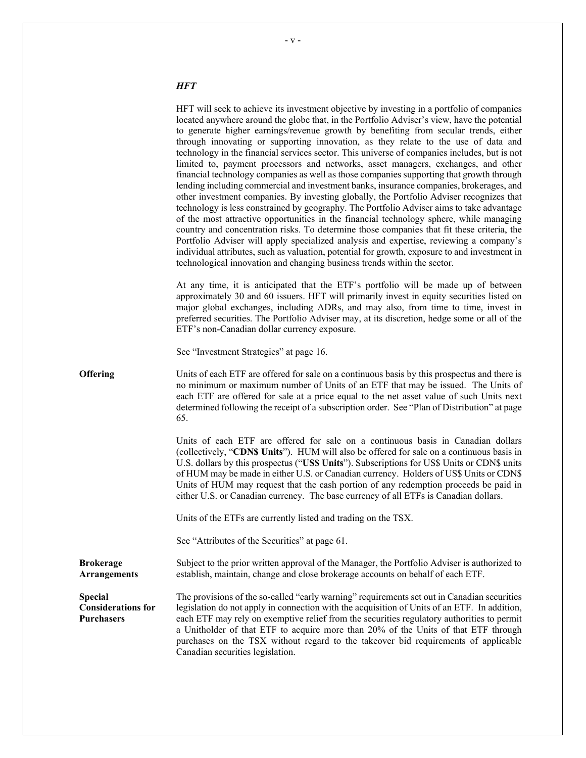# *HFT*

|                                                    | HFT will seek to achieve its investment objective by investing in a portfolio of companies<br>located anywhere around the globe that, in the Portfolio Adviser's view, have the potential<br>to generate higher earnings/revenue growth by benefiting from secular trends, either<br>through innovating or supporting innovation, as they relate to the use of data and<br>technology in the financial services sector. This universe of companies includes, but is not<br>limited to, payment processors and networks, asset managers, exchanges, and other<br>financial technology companies as well as those companies supporting that growth through<br>lending including commercial and investment banks, insurance companies, brokerages, and<br>other investment companies. By investing globally, the Portfolio Adviser recognizes that<br>technology is less constrained by geography. The Portfolio Adviser aims to take advantage<br>of the most attractive opportunities in the financial technology sphere, while managing<br>country and concentration risks. To determine those companies that fit these criteria, the<br>Portfolio Adviser will apply specialized analysis and expertise, reviewing a company's<br>individual attributes, such as valuation, potential for growth, exposure to and investment in<br>technological innovation and changing business trends within the sector. |
|----------------------------------------------------|--------------------------------------------------------------------------------------------------------------------------------------------------------------------------------------------------------------------------------------------------------------------------------------------------------------------------------------------------------------------------------------------------------------------------------------------------------------------------------------------------------------------------------------------------------------------------------------------------------------------------------------------------------------------------------------------------------------------------------------------------------------------------------------------------------------------------------------------------------------------------------------------------------------------------------------------------------------------------------------------------------------------------------------------------------------------------------------------------------------------------------------------------------------------------------------------------------------------------------------------------------------------------------------------------------------------------------------------------------------------------------------------------------------|
|                                                    | At any time, it is anticipated that the ETF's portfolio will be made up of between<br>approximately 30 and 60 issuers. HFT will primarily invest in equity securities listed on<br>major global exchanges, including ADRs, and may also, from time to time, invest in<br>preferred securities. The Portfolio Adviser may, at its discretion, hedge some or all of the<br>ETF's non-Canadian dollar currency exposure.                                                                                                                                                                                                                                                                                                                                                                                                                                                                                                                                                                                                                                                                                                                                                                                                                                                                                                                                                                                        |
|                                                    | See "Investment Strategies" at page 16.                                                                                                                                                                                                                                                                                                                                                                                                                                                                                                                                                                                                                                                                                                                                                                                                                                                                                                                                                                                                                                                                                                                                                                                                                                                                                                                                                                      |
| <b>Offering</b>                                    | Units of each ETF are offered for sale on a continuous basis by this prospectus and there is<br>no minimum or maximum number of Units of an ETF that may be issued. The Units of<br>each ETF are offered for sale at a price equal to the net asset value of such Units next<br>determined following the receipt of a subscription order. See "Plan of Distribution" at page<br>65.                                                                                                                                                                                                                                                                                                                                                                                                                                                                                                                                                                                                                                                                                                                                                                                                                                                                                                                                                                                                                          |
|                                                    | Units of each ETF are offered for sale on a continuous basis in Canadian dollars<br>(collectively, "CDNS Units"). HUM will also be offered for sale on a continuous basis in<br>U.S. dollars by this prospectus ("US\$ Units"). Subscriptions for US\$ Units or CDN\$ units<br>of HUM may be made in either U.S. or Canadian currency. Holders of US\$ Units or CDN\$<br>Units of HUM may request that the cash portion of any redemption proceeds be paid in<br>either U.S. or Canadian currency. The base currency of all ETFs is Canadian dollars.                                                                                                                                                                                                                                                                                                                                                                                                                                                                                                                                                                                                                                                                                                                                                                                                                                                        |
|                                                    | Units of the ETFs are currently listed and trading on the TSX.                                                                                                                                                                                                                                                                                                                                                                                                                                                                                                                                                                                                                                                                                                                                                                                                                                                                                                                                                                                                                                                                                                                                                                                                                                                                                                                                               |
|                                                    | See "Attributes of the Securities" at page 61.                                                                                                                                                                                                                                                                                                                                                                                                                                                                                                                                                                                                                                                                                                                                                                                                                                                                                                                                                                                                                                                                                                                                                                                                                                                                                                                                                               |
| Brokerage<br><b>Arrangements</b>                   | Subject to the prior written approval of the Manager, the Portfolio Adviser is authorized to<br>establish, maintain, change and close brokerage accounts on behalf of each ETF.                                                                                                                                                                                                                                                                                                                                                                                                                                                                                                                                                                                                                                                                                                                                                                                                                                                                                                                                                                                                                                                                                                                                                                                                                              |
| Special<br><b>Considerations for</b><br>Purchasers | The provisions of the so-called "early warning" requirements set out in Canadian securities<br>legislation do not apply in connection with the acquisition of Units of an ETF. In addition,<br>each ETF may rely on exemptive relief from the securities regulatory authorities to permit<br>a Unitholder of that ETF to acquire more than 20% of the Units of that ETF through<br>purchases on the TSX without regard to the takeover bid requirements of applicable<br>Canadian securities legislation.                                                                                                                                                                                                                                                                                                                                                                                                                                                                                                                                                                                                                                                                                                                                                                                                                                                                                                    |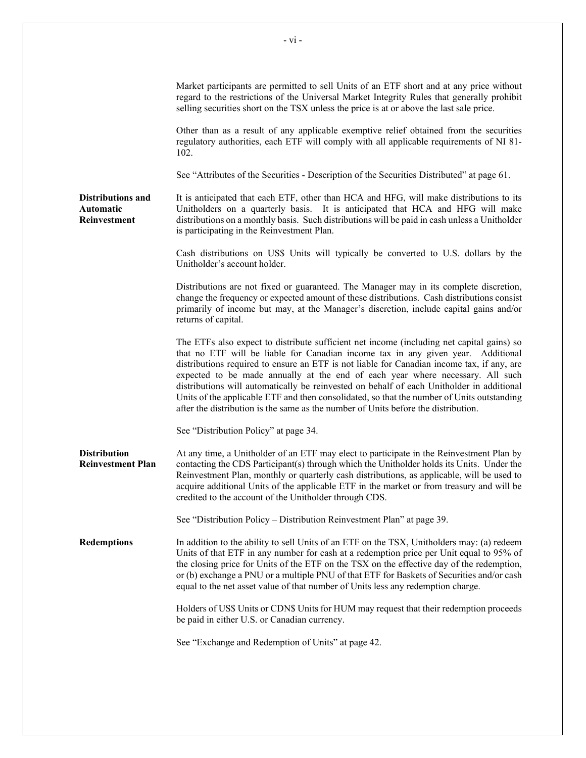|                                                              | Market participants are permitted to sell Units of an ETF short and at any price without<br>regard to the restrictions of the Universal Market Integrity Rules that generally prohibit<br>selling securities short on the TSX unless the price is at or above the last sale price.                                                                                                                                                                                                                                                                                                                                                             |
|--------------------------------------------------------------|------------------------------------------------------------------------------------------------------------------------------------------------------------------------------------------------------------------------------------------------------------------------------------------------------------------------------------------------------------------------------------------------------------------------------------------------------------------------------------------------------------------------------------------------------------------------------------------------------------------------------------------------|
|                                                              | Other than as a result of any applicable exemptive relief obtained from the securities<br>regulatory authorities, each ETF will comply with all applicable requirements of NI 81-<br>102.                                                                                                                                                                                                                                                                                                                                                                                                                                                      |
|                                                              | See "Attributes of the Securities - Description of the Securities Distributed" at page 61.                                                                                                                                                                                                                                                                                                                                                                                                                                                                                                                                                     |
| <b>Distributions and</b><br>Automatic<br><b>Reinvestment</b> | It is anticipated that each ETF, other than HCA and HFG, will make distributions to its<br>Unitholders on a quarterly basis. It is anticipated that HCA and HFG will make<br>distributions on a monthly basis. Such distributions will be paid in cash unless a Unitholder<br>is participating in the Reinvestment Plan.                                                                                                                                                                                                                                                                                                                       |
|                                                              | Cash distributions on US\$ Units will typically be converted to U.S. dollars by the<br>Unitholder's account holder.                                                                                                                                                                                                                                                                                                                                                                                                                                                                                                                            |
|                                                              | Distributions are not fixed or guaranteed. The Manager may in its complete discretion,<br>change the frequency or expected amount of these distributions. Cash distributions consist<br>primarily of income but may, at the Manager's discretion, include capital gains and/or<br>returns of capital.                                                                                                                                                                                                                                                                                                                                          |
|                                                              | The ETFs also expect to distribute sufficient net income (including net capital gains) so<br>that no ETF will be liable for Canadian income tax in any given year. Additional<br>distributions required to ensure an ETF is not liable for Canadian income tax, if any, are<br>expected to be made annually at the end of each year where necessary. All such<br>distributions will automatically be reinvested on behalf of each Unitholder in additional<br>Units of the applicable ETF and then consolidated, so that the number of Units outstanding<br>after the distribution is the same as the number of Units before the distribution. |
|                                                              | See "Distribution Policy" at page 34.                                                                                                                                                                                                                                                                                                                                                                                                                                                                                                                                                                                                          |
| <b>Distribution</b><br><b>Reinvestment Plan</b>              | At any time, a Unitholder of an ETF may elect to participate in the Reinvestment Plan by<br>contacting the CDS Participant(s) through which the Unitholder holds its Units. Under the<br>Reinvestment Plan, monthly or quarterly cash distributions, as applicable, will be used to<br>acquire additional Units of the applicable ETF in the market or from treasury and will be<br>credited to the account of the Unitholder through CDS.                                                                                                                                                                                                     |
|                                                              | See "Distribution Policy – Distribution Reinvestment Plan" at page 39.                                                                                                                                                                                                                                                                                                                                                                                                                                                                                                                                                                         |
| <b>Redemptions</b>                                           | In addition to the ability to sell Units of an ETF on the TSX, Unitholders may: (a) redeem<br>Units of that ETF in any number for cash at a redemption price per Unit equal to 95% of<br>the closing price for Units of the ETF on the TSX on the effective day of the redemption,<br>or (b) exchange a PNU or a multiple PNU of that ETF for Baskets of Securities and/or cash<br>equal to the net asset value of that number of Units less any redemption charge.                                                                                                                                                                            |
|                                                              | Holders of US\$ Units or CDN\$ Units for HUM may request that their redemption proceeds<br>be paid in either U.S. or Canadian currency.                                                                                                                                                                                                                                                                                                                                                                                                                                                                                                        |
|                                                              | See "Exchange and Redemption of Units" at page 42.                                                                                                                                                                                                                                                                                                                                                                                                                                                                                                                                                                                             |
|                                                              |                                                                                                                                                                                                                                                                                                                                                                                                                                                                                                                                                                                                                                                |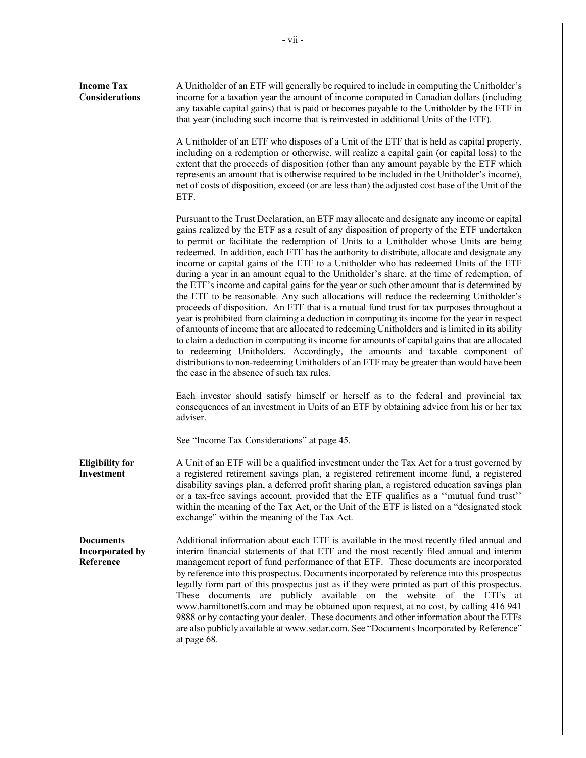| <b>Income Tax</b><br><b>Considerations</b>       | A Unitholder of an ETF will generally be required to include in computing the Unitholder's<br>income for a taxation year the amount of income computed in Canadian dollars (including<br>any taxable capital gains) that is paid or becomes payable to the Unitholder by the ETF in<br>that year (including such income that is reinvested in additional Units of the ETF).                                                                                                                                                                                                                                                                                                                                                                                                                                                                                                                                                                                                                                                                                                                                                                                                                                                                                                                                                                                                          |
|--------------------------------------------------|--------------------------------------------------------------------------------------------------------------------------------------------------------------------------------------------------------------------------------------------------------------------------------------------------------------------------------------------------------------------------------------------------------------------------------------------------------------------------------------------------------------------------------------------------------------------------------------------------------------------------------------------------------------------------------------------------------------------------------------------------------------------------------------------------------------------------------------------------------------------------------------------------------------------------------------------------------------------------------------------------------------------------------------------------------------------------------------------------------------------------------------------------------------------------------------------------------------------------------------------------------------------------------------------------------------------------------------------------------------------------------------|
|                                                  | A Unitholder of an ETF who disposes of a Unit of the ETF that is held as capital property,<br>including on a redemption or otherwise, will realize a capital gain (or capital loss) to the<br>extent that the proceeds of disposition (other than any amount payable by the ETF which<br>represents an amount that is otherwise required to be included in the Unitholder's income),<br>net of costs of disposition, exceed (or are less than) the adjusted cost base of the Unit of the<br>ETF.                                                                                                                                                                                                                                                                                                                                                                                                                                                                                                                                                                                                                                                                                                                                                                                                                                                                                     |
|                                                  | Pursuant to the Trust Declaration, an ETF may allocate and designate any income or capital<br>gains realized by the ETF as a result of any disposition of property of the ETF undertaken<br>to permit or facilitate the redemption of Units to a Unitholder whose Units are being<br>redeemed. In addition, each ETF has the authority to distribute, allocate and designate any<br>income or capital gains of the ETF to a Unitholder who has redeemed Units of the ETF<br>during a year in an amount equal to the Unitholder's share, at the time of redemption, of<br>the ETF's income and capital gains for the year or such other amount that is determined by<br>the ETF to be reasonable. Any such allocations will reduce the redeeming Unitholder's<br>proceeds of disposition. An ETF that is a mutual fund trust for tax purposes throughout a<br>year is prohibited from claiming a deduction in computing its income for the year in respect<br>of amounts of income that are allocated to redeeming Unitholders and is limited in its ability<br>to claim a deduction in computing its income for amounts of capital gains that are allocated<br>to redeeming Unitholders. Accordingly, the amounts and taxable component of<br>distributions to non-redeeming Unitholders of an ETF may be greater than would have been<br>the case in the absence of such tax rules. |
|                                                  | Each investor should satisfy himself or herself as to the federal and provincial tax<br>consequences of an investment in Units of an ETF by obtaining advice from his or her tax<br>adviser.                                                                                                                                                                                                                                                                                                                                                                                                                                                                                                                                                                                                                                                                                                                                                                                                                                                                                                                                                                                                                                                                                                                                                                                         |
|                                                  | See "Income Tax Considerations" at page 45.                                                                                                                                                                                                                                                                                                                                                                                                                                                                                                                                                                                                                                                                                                                                                                                                                                                                                                                                                                                                                                                                                                                                                                                                                                                                                                                                          |
| <b>Eligibility for</b><br>Investment             | A Unit of an ETF will be a qualified investment under the Tax Act for a trust governed by<br>a registered retirement savings plan, a registered retirement income fund, a registered<br>disability savings plan, a deferred profit sharing plan, a registered education savings plan<br>or a tax-free savings account, provided that the ETF qualifies as a "mutual fund trust"<br>within the meaning of the Tax Act, or the Unit of the ETF is listed on a "designated stock<br>exchange" within the meaning of the Tax Act.                                                                                                                                                                                                                                                                                                                                                                                                                                                                                                                                                                                                                                                                                                                                                                                                                                                        |
| <b>Documents</b><br>Incorporated by<br>Reference | Additional information about each ETF is available in the most recently filed annual and<br>interim financial statements of that ETF and the most recently filed annual and interim<br>management report of fund performance of that ETF. These documents are incorporated<br>by reference into this prospectus. Documents incorporated by reference into this prospectus<br>legally form part of this prospectus just as if they were printed as part of this prospectus.<br>These documents are publicly available on the website of the ETFs at<br>www.hamiltonetfs.com and may be obtained upon request, at no cost, by calling 416 941<br>9888 or by contacting your dealer. These documents and other information about the ETFs<br>are also publicly available at www.sedar.com. See "Documents Incorporated by Reference"<br>at page 68.                                                                                                                                                                                                                                                                                                                                                                                                                                                                                                                                     |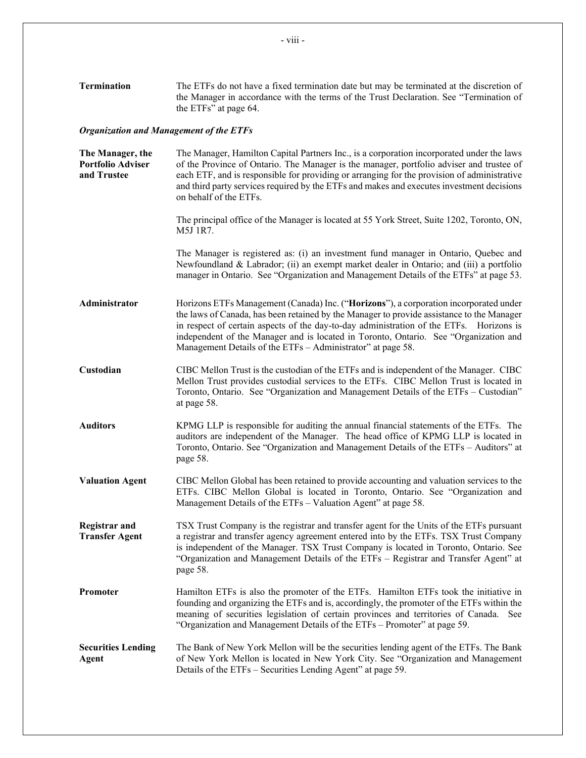| <b>Termination</b>                                          | The ETFs do not have a fixed termination date but may be terminated at the discretion of<br>the Manager in accordance with the terms of the Trust Declaration. See "Termination of<br>the ETFs" at page 64.                                                                                                                                                                                                                          |  |  |
|-------------------------------------------------------------|--------------------------------------------------------------------------------------------------------------------------------------------------------------------------------------------------------------------------------------------------------------------------------------------------------------------------------------------------------------------------------------------------------------------------------------|--|--|
| <b>Organization and Management of the ETFs</b>              |                                                                                                                                                                                                                                                                                                                                                                                                                                      |  |  |
| The Manager, the<br><b>Portfolio Adviser</b><br>and Trustee | The Manager, Hamilton Capital Partners Inc., is a corporation incorporated under the laws<br>of the Province of Ontario. The Manager is the manager, portfolio adviser and trustee of<br>each ETF, and is responsible for providing or arranging for the provision of administrative<br>and third party services required by the ETFs and makes and executes investment decisions<br>on behalf of the ETFs.                          |  |  |
|                                                             | The principal office of the Manager is located at 55 York Street, Suite 1202, Toronto, ON,<br>M5J 1R7.                                                                                                                                                                                                                                                                                                                               |  |  |
|                                                             | The Manager is registered as: (i) an investment fund manager in Ontario, Quebec and<br>Newfoundland & Labrador; (ii) an exempt market dealer in Ontario; and (iii) a portfolio<br>manager in Ontario. See "Organization and Management Details of the ETFs" at page 53.                                                                                                                                                              |  |  |
| Administrator                                               | Horizons ETFs Management (Canada) Inc. ("Horizons"), a corporation incorporated under<br>the laws of Canada, has been retained by the Manager to provide assistance to the Manager<br>in respect of certain aspects of the day-to-day administration of the ETFs. Horizons is<br>independent of the Manager and is located in Toronto, Ontario. See "Organization and<br>Management Details of the ETFs - Administrator" at page 58. |  |  |
| Custodian                                                   | CIBC Mellon Trust is the custodian of the ETFs and is independent of the Manager. CIBC<br>Mellon Trust provides custodial services to the ETFs. CIBC Mellon Trust is located in<br>Toronto, Ontario. See "Organization and Management Details of the ETFs - Custodian"<br>at page 58.                                                                                                                                                |  |  |
| <b>Auditors</b>                                             | KPMG LLP is responsible for auditing the annual financial statements of the ETFs. The<br>auditors are independent of the Manager. The head office of KPMG LLP is located in<br>Toronto, Ontario. See "Organization and Management Details of the ETFs - Auditors" at<br>page 58.                                                                                                                                                     |  |  |
| <b>Valuation Agent</b>                                      | CIBC Mellon Global has been retained to provide accounting and valuation services to the<br>ETFs. CIBC Mellon Global is located in Toronto, Ontario. See "Organization and<br>Management Details of the ETFs – Valuation Agent" at page 58.                                                                                                                                                                                          |  |  |
| <b>Registrar</b> and<br><b>Transfer Agent</b>               | TSX Trust Company is the registrar and transfer agent for the Units of the ETFs pursuant<br>a registrar and transfer agency agreement entered into by the ETFs. TSX Trust Company<br>is independent of the Manager. TSX Trust Company is located in Toronto, Ontario. See<br>"Organization and Management Details of the ETFs - Registrar and Transfer Agent" at<br>page 58.                                                         |  |  |
| Promoter                                                    | Hamilton ETFs is also the promoter of the ETFs. Hamilton ETFs took the initiative in<br>founding and organizing the ETFs and is, accordingly, the promoter of the ETFs within the<br>meaning of securities legislation of certain provinces and territories of Canada. See<br>"Organization and Management Details of the ETFs - Promoter" at page 59.                                                                               |  |  |
| <b>Securities Lending</b>                                   | The Bank of New York Mellon will be the securities lending agent of the ETFs. The Bank                                                                                                                                                                                                                                                                                                                                               |  |  |

**Securities Lending Agent** The Bank of New York Mellon will be the securities lending agent of the ETFs. The Bank of New York Mellon is located in New York City. See "Organization and Management Details of the ETFs – Securities Lending Agent" at page [59.](#page-63-5)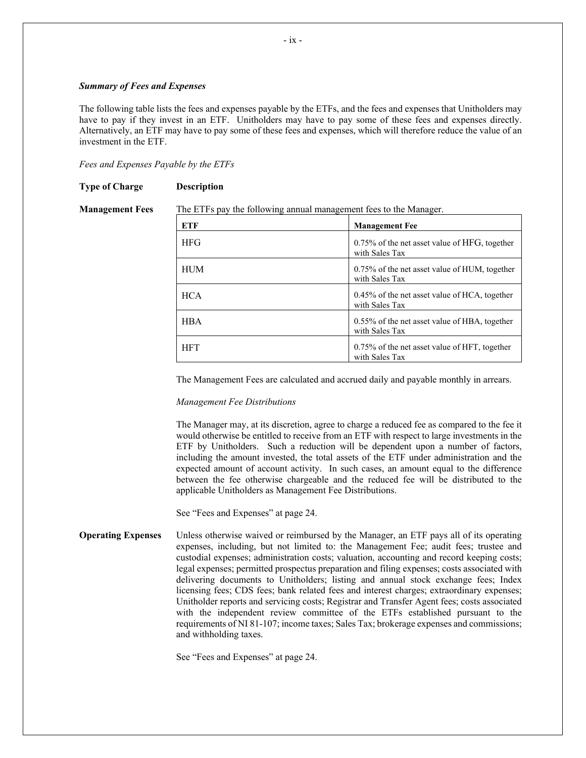#### *Summary of Fees and Expenses*

The following table lists the fees and expenses payable by the ETFs, and the fees and expenses that Unitholders may have to pay if they invest in an ETF. Unitholders may have to pay some of these fees and expenses directly. Alternatively, an ETF may have to pay some of these fees and expenses, which will therefore reduce the value of an investment in the ETF.

*Fees and Expenses Payable by the ETFs*

**Type of Charge Description**

#### **Management Fees** The ETFs pay the following annual management fees to the Manager.

**ETF Management Fee** HFG 1.75% of the net asset value of HFG, together with Sales Tax HUM 1.75% of the net asset value of HUM, together with Sales Tax HCA 0.45% of the net asset value of HCA, together with Sales Tax HBA 10.55% of the net asset value of HBA, together with Sales Tax HFT 16.75% of the net asset value of HFT, together with Sales Tax

The Management Fees are calculated and accrued daily and payable monthly in arrears.

#### *Management Fee Distributions*

The Manager may, at its discretion, agree to charge a reduced fee as compared to the fee it would otherwise be entitled to receive from an ETF with respect to large investments in the ETF by Unitholders. Such a reduction will be dependent upon a number of factors, including the amount invested, the total assets of the ETF under administration and the expected amount of account activity. In such cases, an amount equal to the difference between the fee otherwise chargeable and the reduced fee will be distributed to the applicable Unitholders as Management Fee Distributions.

See "Fees and Expenses" at page [24.](#page-28-2)

**Operating Expenses** Unless otherwise waived or reimbursed by the Manager, an ETF pays all of its operating expenses, including, but not limited to: the Management Fee; audit fees; trustee and custodial expenses; administration costs; valuation, accounting and record keeping costs; legal expenses; permitted prospectus preparation and filing expenses; costs associated with delivering documents to Unitholders; listing and annual stock exchange fees; Index licensing fees; CDS fees; bank related fees and interest charges; extraordinary expenses; Unitholder reports and servicing costs; Registrar and Transfer Agent fees; costs associated with the independent review committee of the ETFs established pursuant to the requirements of NI 81-107; income taxes; Sales Tax; brokerage expenses and commissions; and withholding taxes.

See "Fees and Expenses" at page [24.](#page-28-2)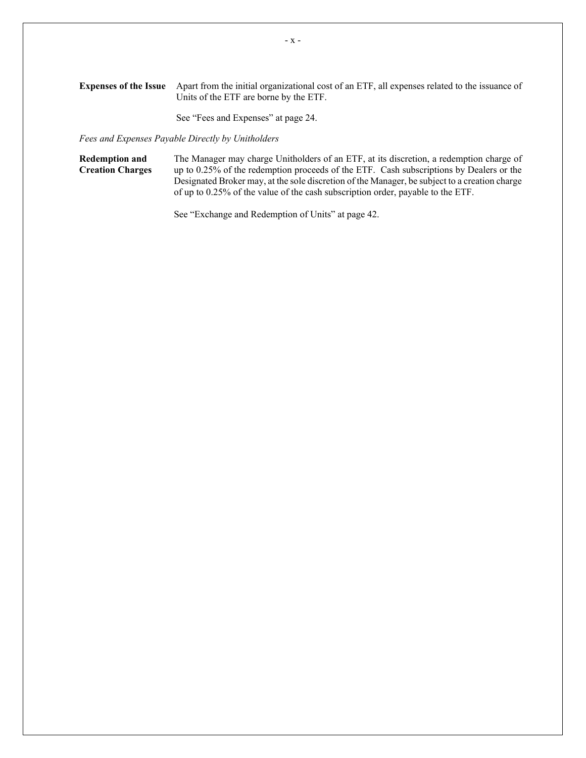**Expenses of the Issue** Apart from the initial organizational cost of an ETF, all expenses related to the issuance of Units of the ETF are borne by the ETF.

See "Fees and Expenses" at page [24.](#page-28-2)

*Fees and Expenses Payable Directly by Unitholders*

**Redemption and Creation Charges** The Manager may charge Unitholders of an ETF, at its discretion, a redemption charge of up to 0.25% of the redemption proceeds of the ETF. Cash subscriptions by Dealers or the Designated Broker may, at the sole discretion of the Manager, be subject to a creation charge of up to 0.25% of the value of the cash subscription order, payable to the ETF.

See "Exchange and Redemption of Units" at page [42.](#page-46-0)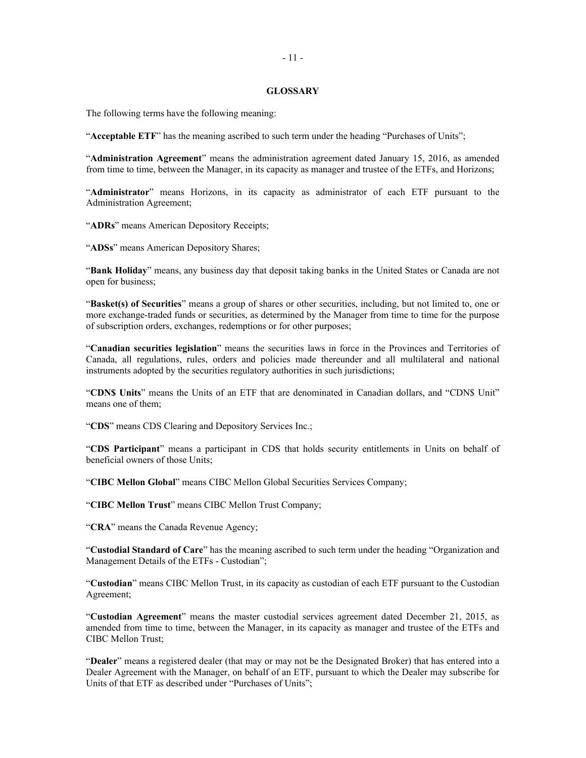#### <span id="page-15-0"></span>**GLOSSARY**

The following terms have the following meaning:

"**Acceptable ETF**" has the meaning ascribed to such term under the heading "Purchases of Units";

"**Administration Agreement**" means the administration agreement dated January 15, 2016, as amended from time to time, between the Manager, in its capacity as manager and trustee of the ETFs, and Horizons;

"**Administrator**" means Horizons, in its capacity as administrator of each ETF pursuant to the Administration Agreement;

"**ADRs**" means American Depository Receipts;

"**ADSs**" means American Depository Shares;

"**Bank Holiday**" means, any business day that deposit taking banks in the United States or Canada are not open for business;

"**Basket(s) of Securities**" means a group of shares or other securities, including, but not limited to, one or more exchange-traded funds or securities, as determined by the Manager from time to time for the purpose of subscription orders, exchanges, redemptions or for other purposes;

"**Canadian securities legislation**" means the securities laws in force in the Provinces and Territories of Canada, all regulations, rules, orders and policies made thereunder and all multilateral and national instruments adopted by the securities regulatory authorities in such jurisdictions;

"**CDN\$ Units**" means the Units of an ETF that are denominated in Canadian dollars, and "CDN\$ Unit" means one of them;

"**CDS**" means CDS Clearing and Depository Services Inc.;

"**CDS Participant**" means a participant in CDS that holds security entitlements in Units on behalf of beneficial owners of those Units;

"**CIBC Mellon Global**" means CIBC Mellon Global Securities Services Company;

"**CIBC Mellon Trust**" means CIBC Mellon Trust Company;

"**CRA**" means the Canada Revenue Agency;

"**Custodial Standard of Care**" has the meaning ascribed to such term under the heading "Organization and Management Details of the ETFs - Custodian";

"**Custodian**" means CIBC Mellon Trust, in its capacity as custodian of each ETF pursuant to the Custodian Agreement;

"**Custodian Agreement**" means the master custodial services agreement dated December 21, 2015, as amended from time to time, between the Manager, in its capacity as manager and trustee of the ETFs and CIBC Mellon Trust;

"**Dealer**" means a registered dealer (that may or may not be the Designated Broker) that has entered into a Dealer Agreement with the Manager, on behalf of an ETF, pursuant to which the Dealer may subscribe for Units of that ETF as described under "Purchases of Units";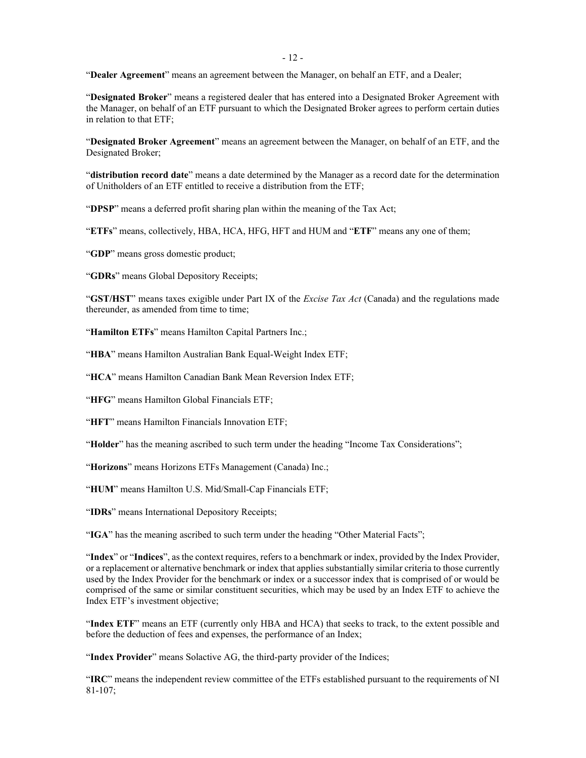"**Dealer Agreement**" means an agreement between the Manager, on behalf an ETF, and a Dealer;

"**Designated Broker**" means a registered dealer that has entered into a Designated Broker Agreement with the Manager, on behalf of an ETF pursuant to which the Designated Broker agrees to perform certain duties in relation to that ETF;

"**Designated Broker Agreement**" means an agreement between the Manager, on behalf of an ETF, and the Designated Broker;

"**distribution record date**" means a date determined by the Manager as a record date for the determination of Unitholders of an ETF entitled to receive a distribution from the ETF;

"**DPSP**" means a deferred profit sharing plan within the meaning of the Tax Act;

"**ETFs**" means, collectively, HBA, HCA, HFG, HFT and HUM and "**ETF**" means any one of them;

"**GDP**" means gross domestic product;

"**GDRs**" means Global Depository Receipts;

"**GST/HST**" means taxes exigible under Part IX of the *Excise Tax Act* (Canada) and the regulations made thereunder, as amended from time to time;

"**Hamilton ETFs**" means Hamilton Capital Partners Inc.;

"**HBA**" means Hamilton Australian Bank Equal-Weight Index ETF;

"**HCA**" means Hamilton Canadian Bank Mean Reversion Index ETF;

"**HFG**" means Hamilton Global Financials ETF;

"**HFT**" means Hamilton Financials Innovation ETF;

"**Holder**" has the meaning ascribed to such term under the heading "Income Tax Considerations";

"**Horizons**" means Horizons ETFs Management (Canada) Inc.;

"**HUM**" means Hamilton U.S. Mid/Small-Cap Financials ETF;

"**IDRs**" means International Depository Receipts;

"**IGA**" has the meaning ascribed to such term under the heading "Other Material Facts";

"**Index**" or "**Indices**", as the context requires, refers to a benchmark or index, provided by the Index Provider, or a replacement or alternative benchmark or index that applies substantially similar criteria to those currently used by the Index Provider for the benchmark or index or a successor index that is comprised of or would be comprised of the same or similar constituent securities, which may be used by an Index ETF to achieve the Index ETF's investment objective;

"**Index ETF**" means an ETF (currently only HBA and HCA) that seeks to track, to the extent possible and before the deduction of fees and expenses, the performance of an Index;

"Index Provider" means Solactive AG, the third-party provider of the Indices;

"**IRC**" means the independent review committee of the ETFs established pursuant to the requirements of NI 81-107;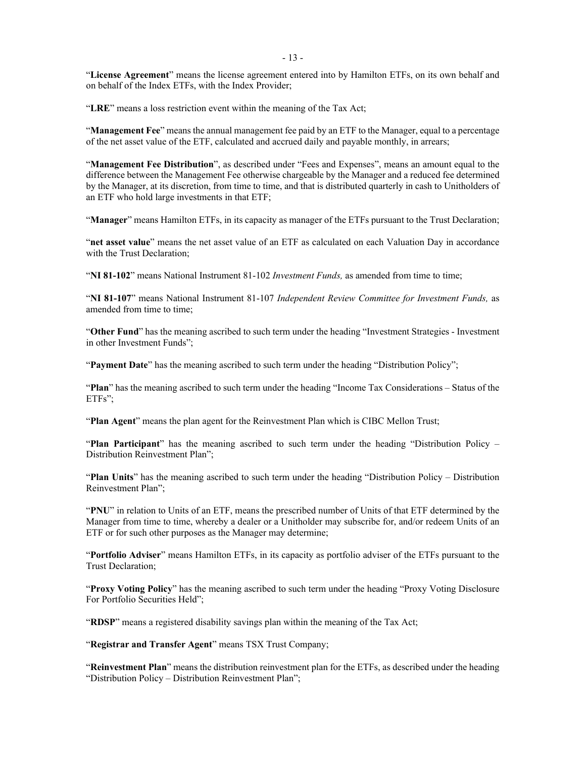- 13 -

"**License Agreement**" means the license agreement entered into by Hamilton ETFs, on its own behalf and on behalf of the Index ETFs, with the Index Provider;

"**LRE**" means a loss restriction event within the meaning of the Tax Act;

"**Management Fee**" means the annual management fee paid by an ETF to the Manager, equal to a percentage of the net asset value of the ETF, calculated and accrued daily and payable monthly, in arrears;

"**Management Fee Distribution**", as described under "Fees and Expenses", means an amount equal to the difference between the Management Fee otherwise chargeable by the Manager and a reduced fee determined by the Manager, at its discretion, from time to time, and that is distributed quarterly in cash to Unitholders of an ETF who hold large investments in that ETF;

"**Manager**" means Hamilton ETFs, in its capacity as manager of the ETFs pursuant to the Trust Declaration;

"**net asset value**" means the net asset value of an ETF as calculated on each Valuation Day in accordance with the Trust Declaration;

"**NI 81-102**" means National Instrument 81-102 *Investment Funds,* as amended from time to time;

"**NI 81-107**" means National Instrument 81-107 *Independent Review Committee for Investment Funds,* as amended from time to time;

"**Other Fund**" has the meaning ascribed to such term under the heading "Investment Strategies - Investment in other Investment Funds";

"**Payment Date**" has the meaning ascribed to such term under the heading "Distribution Policy";

"**Plan**" has the meaning ascribed to such term under the heading "Income Tax Considerations – Status of the ETFs";

"**Plan Agent**" means the plan agent for the Reinvestment Plan which is CIBC Mellon Trust;

"**Plan Participant**" has the meaning ascribed to such term under the heading "Distribution Policy – Distribution Reinvestment Plan";

"**Plan Units**" has the meaning ascribed to such term under the heading "Distribution Policy – Distribution Reinvestment Plan";

"**PNU**" in relation to Units of an ETF, means the prescribed number of Units of that ETF determined by the Manager from time to time, whereby a dealer or a Unitholder may subscribe for, and/or redeem Units of an ETF or for such other purposes as the Manager may determine;

"**Portfolio Adviser**" means Hamilton ETFs, in its capacity as portfolio adviser of the ETFs pursuant to the Trust Declaration;

"**Proxy Voting Policy**" has the meaning ascribed to such term under the heading "Proxy Voting Disclosure For Portfolio Securities Held";

"**RDSP**" means a registered disability savings plan within the meaning of the Tax Act;

"**Registrar and Transfer Agent**" means TSX Trust Company;

"**Reinvestment Plan**" means the distribution reinvestment plan for the ETFs, as described under the heading "Distribution Policy – Distribution Reinvestment Plan";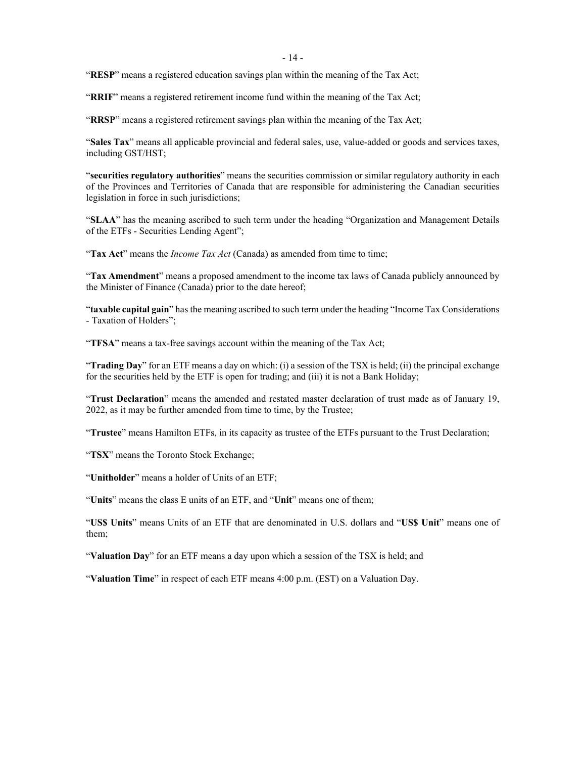"**RESP**" means a registered education savings plan within the meaning of the Tax Act;

"**RRIF**" means a registered retirement income fund within the meaning of the Tax Act;

"**RRSP**" means a registered retirement savings plan within the meaning of the Tax Act;

"**Sales Tax**" means all applicable provincial and federal sales, use, value-added or goods and services taxes, including GST/HST;

"**securities regulatory authorities**" means the securities commission or similar regulatory authority in each of the Provinces and Territories of Canada that are responsible for administering the Canadian securities legislation in force in such jurisdictions;

"**SLAA**" has the meaning ascribed to such term under the heading "Organization and Management Details of the ETFs - Securities Lending Agent";

"**Tax Act**" means the *Income Tax Act* (Canada) as amended from time to time;

"**Tax Amendment**" means a proposed amendment to the income tax laws of Canada publicly announced by the Minister of Finance (Canada) prior to the date hereof;

"**taxable capital gain**" has the meaning ascribed to such term under the heading "Income Tax Considerations - Taxation of Holders";

"**TFSA**" means a tax-free savings account within the meaning of the Tax Act;

"**Trading Day**" for an ETF means a day on which: (i) a session of the TSX is held; (ii) the principal exchange for the securities held by the ETF is open for trading; and (iii) it is not a Bank Holiday;

"**Trust Declaration**" means the amended and restated master declaration of trust made as of January 19, 2022, as it may be further amended from time to time, by the Trustee;

"**Trustee**" means Hamilton ETFs, in its capacity as trustee of the ETFs pursuant to the Trust Declaration;

"**TSX**" means the Toronto Stock Exchange;

"**Unitholder**" means a holder of Units of an ETF;

"**Units**" means the class E units of an ETF, and "**Unit**" means one of them;

"**US\$ Units**" means Units of an ETF that are denominated in U.S. dollars and "**US\$ Unit**" means one of them;

"**Valuation Day**" for an ETF means a day upon which a session of the TSX is held; and

"**Valuation Time**" in respect of each ETF means 4:00 p.m. (EST) on a Valuation Day.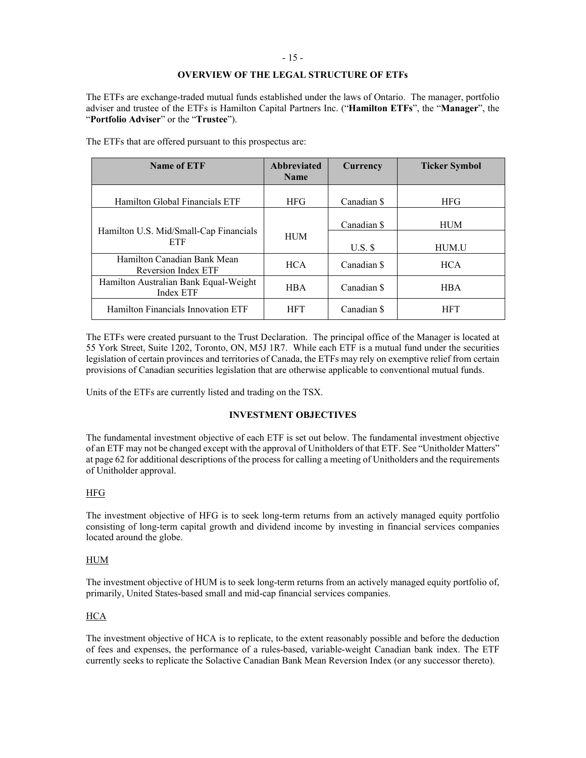#### <span id="page-19-1"></span>- 15 -

# **OVERVIEW OF THE LEGAL STRUCTURE OF ETFs**

<span id="page-19-3"></span>The ETFs are exchange-traded mutual funds established under the laws of Ontario. The manager, portfolio adviser and trustee of the ETFs is Hamilton Capital Partners Inc. ("**Hamilton ETFs**", the "**Manager**", the "**Portfolio Adviser**" or the "**Trustee**").

| Name of ETF                                        | <b>Abbreviated</b><br><b>Name</b> | <b>Currency</b>  | <b>Ticker Symbol</b> |
|----------------------------------------------------|-----------------------------------|------------------|----------------------|
| Hamilton Global Financials ETF                     | <b>HFG</b>                        | Canadian \$      | <b>HFG</b>           |
| Hamilton U.S. Mid/Small-Cap Financials             |                                   | Canadian \$      | <b>HUM</b>           |
| <b>ETF</b>                                         | <b>HUM</b>                        | $U.S.$ $\hat{S}$ | HUM.U                |
| Hamilton Canadian Bank Mean<br>Reversion Index ETF | <b>HCA</b>                        | Canadian \$      | <b>HCA</b>           |
| Hamilton Australian Bank Equal-Weight<br>Index ETF | <b>HBA</b>                        | Canadian \$      | <b>HBA</b>           |
| Hamilton Financials Innovation ETF                 | <b>HFT</b>                        | Canadian \$      | <b>HFT</b>           |

The ETFs that are offered pursuant to this prospectus are:

The ETFs were created pursuant to the Trust Declaration. The principal office of the Manager is located at 55 York Street, Suite 1202, Toronto, ON, M5J 1R7. While each ETF is a mutual fund under the securities legislation of certain provinces and territories of Canada, the ETFs may rely on exemptive relief from certain provisions of Canadian securities legislation that are otherwise applicable to conventional mutual funds.

<span id="page-19-0"></span>Units of the ETFs are currently listed and trading on the TSX.

# <span id="page-19-2"></span>**INVESTMENT OBJECTIVES**

The fundamental investment objective of each ETF is set out below. The fundamental investment objective of an ETF may not be changed except with the approval of Unitholders of that ETF. See "Unitholder Matters" at pag[e 62](#page-66-3) for additional descriptions of the process for calling a meeting of Unitholders and the requirements of Unitholder approval.

# HFG

The investment objective of HFG is to seek long-term returns from an actively managed equity portfolio consisting of long-term capital growth and dividend income by investing in financial services companies located around the globe.

# HUM

The investment objective of HUM is to seek long-term returns from an actively managed equity portfolio of, primarily, United States-based small and mid-cap financial services companies.

# HCA

The investment objective of HCA is to replicate, to the extent reasonably possible and before the deduction of fees and expenses, the performance of a rules-based, variable-weight Canadian bank index. The ETF currently seeks to replicate the Solactive Canadian Bank Mean Reversion Index (or any successor thereto).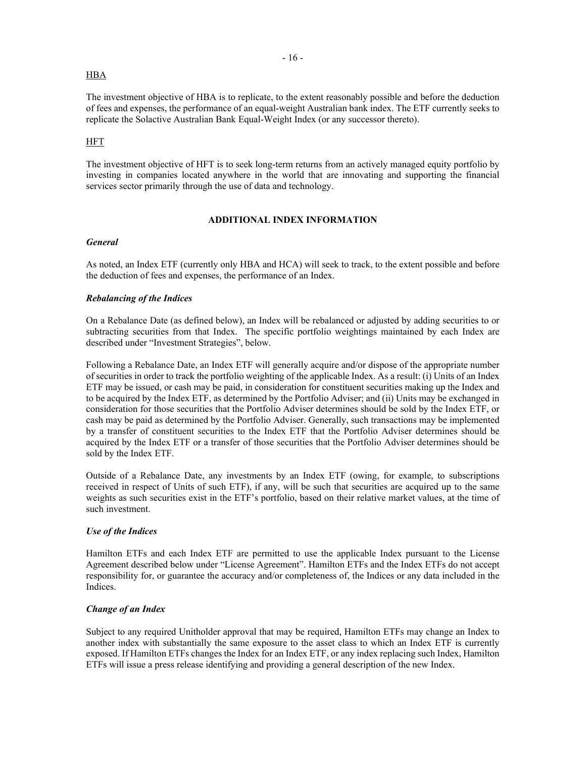#### **HBA**

The investment objective of HBA is to replicate, to the extent reasonably possible and before the deduction of fees and expenses, the performance of an equal-weight Australian bank index. The ETF currently seeks to replicate the Solactive Australian Bank Equal-Weight Index (or any successor thereto).

#### HFT

The investment objective of HFT is to seek long-term returns from an actively managed equity portfolio by investing in companies located anywhere in the world that are innovating and supporting the financial services sector primarily through the use of data and technology.

#### <span id="page-20-2"></span><span id="page-20-0"></span>**ADDITIONAL INDEX INFORMATION**

#### <span id="page-20-5"></span><span id="page-20-1"></span>*General*

As noted, an Index ETF (currently only HBA and HCA) will seek to track, to the extent possible and before the deduction of fees and expenses, the performance of an Index.

#### *Rebalancing of the Indices*

On a Rebalance Date (as defined below), an Index will be rebalanced or adjusted by adding securities to or subtracting securities from that Index. The specific portfolio weightings maintained by each Index are described under "Investment Strategies", below.

Following a Rebalance Date, an Index ETF will generally acquire and/or dispose of the appropriate number of securities in order to track the portfolio weighting of the applicable Index. As a result: (i) Units of an Index ETF may be issued, or cash may be paid, in consideration for constituent securities making up the Index and to be acquired by the Index ETF, as determined by the Portfolio Adviser; and (ii) Units may be exchanged in consideration for those securities that the Portfolio Adviser determines should be sold by the Index ETF, or cash may be paid as determined by the Portfolio Adviser. Generally, such transactions may be implemented by a transfer of constituent securities to the Index ETF that the Portfolio Adviser determines should be acquired by the Index ETF or a transfer of those securities that the Portfolio Adviser determines should be sold by the Index ETF.

Outside of a Rebalance Date, any investments by an Index ETF (owing, for example, to subscriptions received in respect of Units of such ETF), if any, will be such that securities are acquired up to the same weights as such securities exist in the ETF's portfolio, based on their relative market values, at the time of such investment.

#### <span id="page-20-3"></span>*Use of the Indices*

Hamilton ETFs and each Index ETF are permitted to use the applicable Index pursuant to the License Agreement described below under "License Agreement". Hamilton ETFs and the Index ETFs do not accept responsibility for, or guarantee the accuracy and/or completeness of, the Indices or any data included in the Indices.

#### <span id="page-20-4"></span>*Change of an Index*

Subject to any required Unitholder approval that may be required, Hamilton ETFs may change an Index to another index with substantially the same exposure to the asset class to which an Index ETF is currently exposed. If Hamilton ETFs changes the Index for an Index ETF, or any index replacing such Index, Hamilton ETFs will issue a press release identifying and providing a general description of the new Index.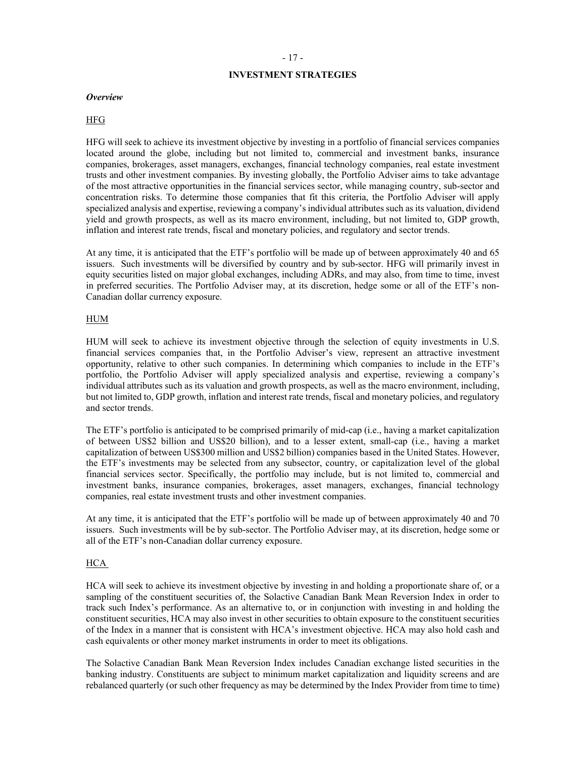#### <span id="page-21-0"></span>- 17 -

# **INVESTMENT STRATEGIES**

#### <span id="page-21-1"></span>*Overview*

#### HFG

HFG will seek to achieve its investment objective by investing in a portfolio of financial services companies located around the globe, including but not limited to, commercial and investment banks, insurance companies, brokerages, asset managers, exchanges, financial technology companies, real estate investment trusts and other investment companies. By investing globally, the Portfolio Adviser aims to take advantage of the most attractive opportunities in the financial services sector, while managing country, sub-sector and concentration risks. To determine those companies that fit this criteria, the Portfolio Adviser will apply specialized analysis and expertise, reviewing a company's individual attributes such as its valuation, dividend yield and growth prospects, as well as its macro environment, including, but not limited to, GDP growth, inflation and interest rate trends, fiscal and monetary policies, and regulatory and sector trends.

At any time, it is anticipated that the ETF's portfolio will be made up of between approximately 40 and 65 issuers. Such investments will be diversified by country and by sub-sector. HFG will primarily invest in equity securities listed on major global exchanges, including ADRs, and may also, from time to time, invest in preferred securities. The Portfolio Adviser may, at its discretion, hedge some or all of the ETF's non-Canadian dollar currency exposure.

#### HUM

HUM will seek to achieve its investment objective through the selection of equity investments in U.S. financial services companies that, in the Portfolio Adviser's view, represent an attractive investment opportunity, relative to other such companies. In determining which companies to include in the ETF's portfolio, the Portfolio Adviser will apply specialized analysis and expertise, reviewing a company's individual attributes such as its valuation and growth prospects, as well as the macro environment, including, but not limited to, GDP growth, inflation and interest rate trends, fiscal and monetary policies, and regulatory and sector trends.

The ETF's portfolio is anticipated to be comprised primarily of mid-cap (i.e., having a market capitalization of between US\$2 billion and US\$20 billion), and to a lesser extent, small-cap (i.e., having a market capitalization of between US\$300 million and US\$2 billion) companies based in the United States. However, the ETF's investments may be selected from any subsector, country, or capitalization level of the global financial services sector. Specifically, the portfolio may include, but is not limited to, commercial and investment banks, insurance companies, brokerages, asset managers, exchanges, financial technology companies, real estate investment trusts and other investment companies.

At any time, it is anticipated that the ETF's portfolio will be made up of between approximately 40 and 70 issuers. Such investments will be by sub-sector. The Portfolio Adviser may, at its discretion, hedge some or all of the ETF's non-Canadian dollar currency exposure.

#### **HCA**

HCA will seek to achieve its investment objective by investing in and holding a proportionate share of, or a sampling of the constituent securities of, the Solactive Canadian Bank Mean Reversion Index in order to track such Index's performance. As an alternative to, or in conjunction with investing in and holding the constituent securities, HCA may also invest in other securities to obtain exposure to the constituent securities of the Index in a manner that is consistent with HCA's investment objective. HCA may also hold cash and cash equivalents or other money market instruments in order to meet its obligations.

The Solactive Canadian Bank Mean Reversion Index includes Canadian exchange listed securities in the banking industry. Constituents are subject to minimum market capitalization and liquidity screens and are rebalanced quarterly (or such other frequency as may be determined by the Index Provider from time to time)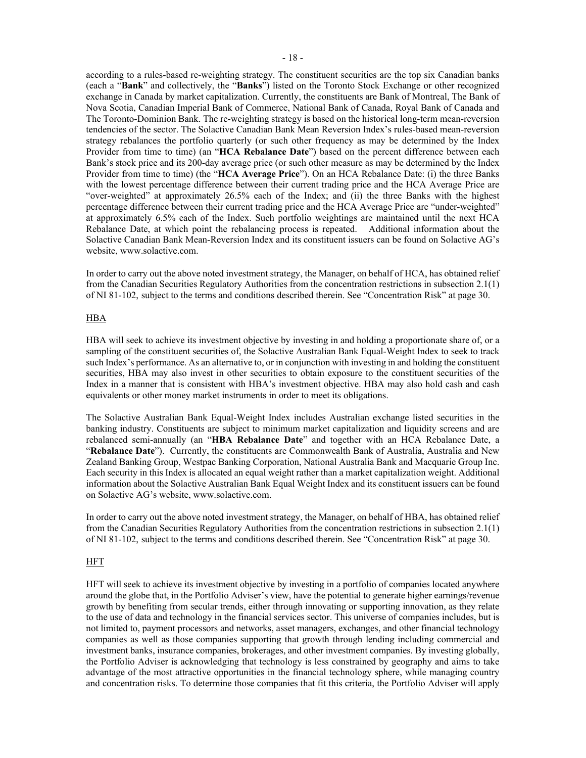according to a rules-based re-weighting strategy. The constituent securities are the top six Canadian banks (each a "**Bank**" and collectively, the "**Banks**") listed on the Toronto Stock Exchange or other recognized exchange in Canada by market capitalization. Currently, the constituents are Bank of Montreal, The Bank of Nova Scotia, Canadian Imperial Bank of Commerce, National Bank of Canada, Royal Bank of Canada and The Toronto-Dominion Bank. The re-weighting strategy is based on the historical long-term mean-reversion tendencies of the sector. The Solactive Canadian Bank Mean Reversion Index's rules-based mean-reversion strategy rebalances the portfolio quarterly (or such other frequency as may be determined by the Index Provider from time to time) (an "**HCA Rebalance Date**") based on the percent difference between each Bank's stock price and its 200-day average price (or such other measure as may be determined by the Index Provider from time to time) (the "**HCA Average Price**"). On an HCA Rebalance Date: (i) the three Banks with the lowest percentage difference between their current trading price and the HCA Average Price are "over-weighted" at approximately 26.5% each of the Index; and (ii) the three Banks with the highest percentage difference between their current trading price and the HCA Average Price are "under-weighted" at approximately 6.5% each of the Index. Such portfolio weightings are maintained until the next HCA Rebalance Date, at which point the rebalancing process is repeated. Additional information about the Solactive Canadian Bank Mean-Reversion Index and its constituent issuers can be found on Solactive AG's website, www.solactive.com.

In order to carry out the above noted investment strategy, the Manager, on behalf of HCA, has obtained relief from the Canadian Securities Regulatory Authorities from the concentration restrictions in subsection 2.1(1) of NI 81-102, subject to the terms and conditions described therein. See "Concentration Risk" at page [30.](#page-34-6)

#### HBA

HBA will seek to achieve its investment objective by investing in and holding a proportionate share of, or a sampling of the constituent securities of, the Solactive Australian Bank Equal-Weight Index to seek to track such Index's performance. As an alternative to, or in conjunction with investing in and holding the constituent securities, HBA may also invest in other securities to obtain exposure to the constituent securities of the Index in a manner that is consistent with HBA's investment objective. HBA may also hold cash and cash equivalents or other money market instruments in order to meet its obligations.

The Solactive Australian Bank Equal-Weight Index includes Australian exchange listed securities in the banking industry. Constituents are subject to minimum market capitalization and liquidity screens and are rebalanced semi-annually (an "**HBA Rebalance Date**" and together with an HCA Rebalance Date, a "**Rebalance Date**"). Currently, the constituents are Commonwealth Bank of Australia, Australia and New Zealand Banking Group, Westpac Banking Corporation, National Australia Bank and Macquarie Group Inc. Each security in this Index is allocated an equal weight rather than a market capitalization weight. Additional information about the Solactive Australian Bank Equal Weight Index and its constituent issuers can be found on Solactive AG's website, www.solactive.com.

In order to carry out the above noted investment strategy, the Manager, on behalf of HBA, has obtained relief from the Canadian Securities Regulatory Authorities from the concentration restrictions in subsection 2.1(1) of NI 81-102, subject to the terms and conditions described therein. See "Concentration Risk" at page [30.](#page-34-6)

#### HFT

HFT will seek to achieve its investment objective by investing in a portfolio of companies located anywhere around the globe that, in the Portfolio Adviser's view, have the potential to generate higher earnings/revenue growth by benefiting from secular trends, either through innovating or supporting innovation, as they relate to the use of data and technology in the financial services sector. This universe of companies includes, but is not limited to, payment processors and networks, asset managers, exchanges, and other financial technology companies as well as those companies supporting that growth through lending including commercial and investment banks, insurance companies, brokerages, and other investment companies. By investing globally, the Portfolio Adviser is acknowledging that technology is less constrained by geography and aims to take advantage of the most attractive opportunities in the financial technology sphere, while managing country and concentration risks. To determine those companies that fit this criteria, the Portfolio Adviser will apply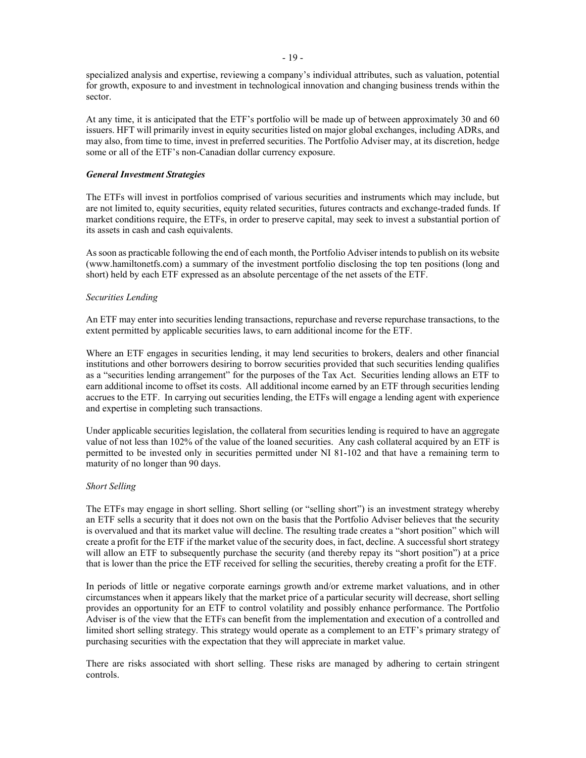specialized analysis and expertise, reviewing a company's individual attributes, such as valuation, potential for growth, exposure to and investment in technological innovation and changing business trends within the sector.

At any time, it is anticipated that the ETF's portfolio will be made up of between approximately 30 and 60 issuers. HFT will primarily invest in equity securities listed on major global exchanges, including ADRs, and may also, from time to time, invest in preferred securities. The Portfolio Adviser may, at its discretion, hedge some or all of the ETF's non-Canadian dollar currency exposure.

#### <span id="page-23-0"></span>*General Investment Strategies*

The ETFs will invest in portfolios comprised of various securities and instruments which may include, but are not limited to, equity securities, equity related securities, futures contracts and exchange-traded funds. If market conditions require, the ETFs, in order to preserve capital, may seek to invest a substantial portion of its assets in cash and cash equivalents.

As soon as practicable following the end of each month, the Portfolio Adviser intends to publish on its website (www.hamiltonetfs.com) a summary of the investment portfolio disclosing the top ten positions (long and short) held by each ETF expressed as an absolute percentage of the net assets of the ETF.

#### *Securities Lending*

An ETF may enter into securities lending transactions, repurchase and reverse repurchase transactions, to the extent permitted by applicable securities laws, to earn additional income for the ETF.

Where an ETF engages in securities lending, it may lend securities to brokers, dealers and other financial institutions and other borrowers desiring to borrow securities provided that such securities lending qualifies as a "securities lending arrangement" for the purposes of the Tax Act. Securities lending allows an ETF to earn additional income to offset its costs. All additional income earned by an ETF through securities lending accrues to the ETF. In carrying out securities lending, the ETFs will engage a lending agent with experience and expertise in completing such transactions.

Under applicable securities legislation, the collateral from securities lending is required to have an aggregate value of not less than 102% of the value of the loaned securities. Any cash collateral acquired by an ETF is permitted to be invested only in securities permitted under NI 81-102 and that have a remaining term to maturity of no longer than 90 days.

#### *Short Selling*

The ETFs may engage in short selling. Short selling (or "selling short") is an investment strategy whereby an ETF sells a security that it does not own on the basis that the Portfolio Adviser believes that the security is overvalued and that its market value will decline. The resulting trade creates a "short position" which will create a profit for the ETF if the market value of the security does, in fact, decline. A successful short strategy will allow an ETF to subsequently purchase the security (and thereby repay its "short position") at a price that is lower than the price the ETF received for selling the securities, thereby creating a profit for the ETF.

In periods of little or negative corporate earnings growth and/or extreme market valuations, and in other circumstances when it appears likely that the market price of a particular security will decrease, short selling provides an opportunity for an ETF to control volatility and possibly enhance performance. The Portfolio Adviser is of the view that the ETFs can benefit from the implementation and execution of a controlled and limited short selling strategy. This strategy would operate as a complement to an ETF's primary strategy of purchasing securities with the expectation that they will appreciate in market value.

There are risks associated with short selling. These risks are managed by adhering to certain stringent controls.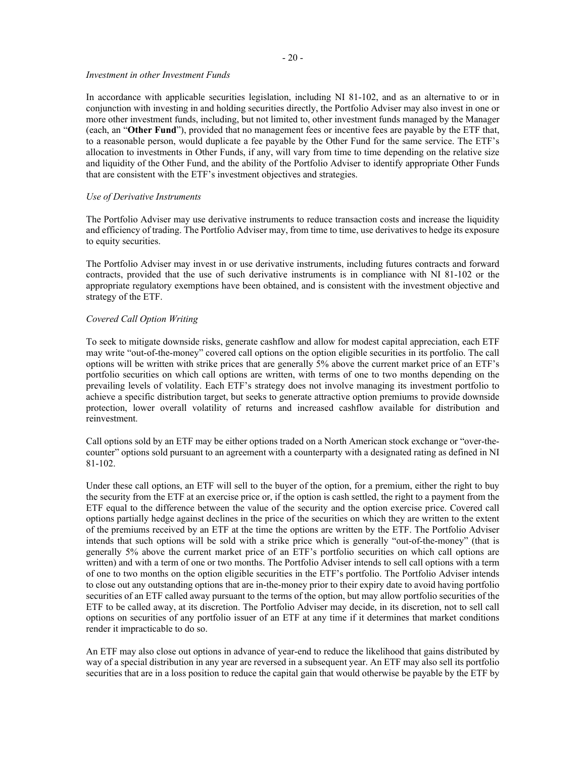#### - 20 -

#### *Investment in other Investment Funds*

In accordance with applicable securities legislation, including NI 81-102, and as an alternative to or in conjunction with investing in and holding securities directly, the Portfolio Adviser may also invest in one or more other investment funds, including, but not limited to, other investment funds managed by the Manager (each, an "**Other Fund**"), provided that no management fees or incentive fees are payable by the ETF that, to a reasonable person, would duplicate a fee payable by the Other Fund for the same service. The ETF's allocation to investments in Other Funds, if any, will vary from time to time depending on the relative size and liquidity of the Other Fund, and the ability of the Portfolio Adviser to identify appropriate Other Funds that are consistent with the ETF's investment objectives and strategies.

#### *Use of Derivative Instruments*

The Portfolio Adviser may use derivative instruments to reduce transaction costs and increase the liquidity and efficiency of trading. The Portfolio Adviser may, from time to time, use derivatives to hedge its exposure to equity securities.

The Portfolio Adviser may invest in or use derivative instruments, including futures contracts and forward contracts, provided that the use of such derivative instruments is in compliance with NI 81-102 or the appropriate regulatory exemptions have been obtained, and is consistent with the investment objective and strategy of the ETF.

# *Covered Call Option Writing*

To seek to mitigate downside risks, generate cashflow and allow for modest capital appreciation, each ETF may write "out-of-the-money" covered call options on the option eligible securities in its portfolio. The call options will be written with strike prices that are generally 5% above the current market price of an ETF's portfolio securities on which call options are written, with terms of one to two months depending on the prevailing levels of volatility. Each ETF's strategy does not involve managing its investment portfolio to achieve a specific distribution target, but seeks to generate attractive option premiums to provide downside protection, lower overall volatility of returns and increased cashflow available for distribution and reinvestment.

Call options sold by an ETF may be either options traded on a North American stock exchange or "over-thecounter" options sold pursuant to an agreement with a counterparty with a designated rating as defined in NI 81-102.

Under these call options, an ETF will sell to the buyer of the option, for a premium, either the right to buy the security from the ETF at an exercise price or, if the option is cash settled, the right to a payment from the ETF equal to the difference between the value of the security and the option exercise price. Covered call options partially hedge against declines in the price of the securities on which they are written to the extent of the premiums received by an ETF at the time the options are written by the ETF. The Portfolio Adviser intends that such options will be sold with a strike price which is generally "out-of-the-money" (that is generally 5% above the current market price of an ETF's portfolio securities on which call options are written) and with a term of one or two months. The Portfolio Adviser intends to sell call options with a term of one to two months on the option eligible securities in the ETF's portfolio. The Portfolio Adviser intends to close out any outstanding options that are in-the-money prior to their expiry date to avoid having portfolio securities of an ETF called away pursuant to the terms of the option, but may allow portfolio securities of the ETF to be called away, at its discretion. The Portfolio Adviser may decide, in its discretion, not to sell call options on securities of any portfolio issuer of an ETF at any time if it determines that market conditions render it impracticable to do so.

An ETF may also close out options in advance of year-end to reduce the likelihood that gains distributed by way of a special distribution in any year are reversed in a subsequent year. An ETF may also sell its portfolio securities that are in a loss position to reduce the capital gain that would otherwise be payable by the ETF by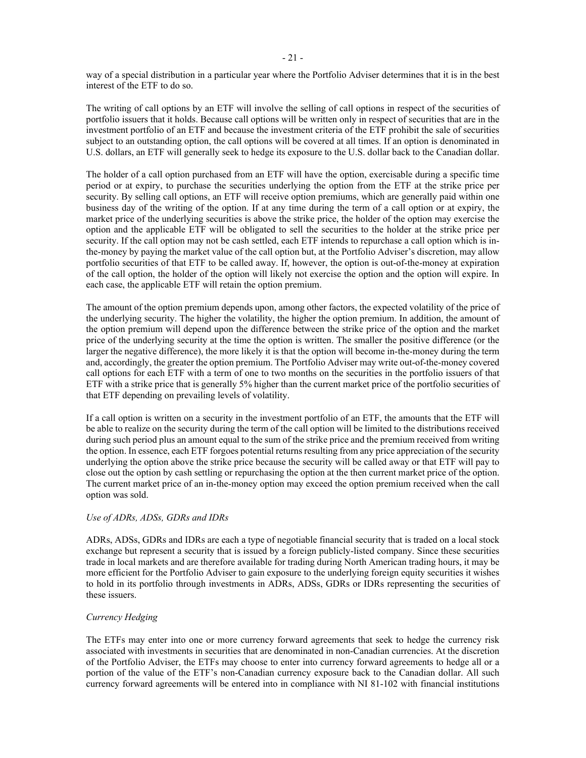way of a special distribution in a particular year where the Portfolio Adviser determines that it is in the best interest of the ETF to do so.

The writing of call options by an ETF will involve the selling of call options in respect of the securities of portfolio issuers that it holds. Because call options will be written only in respect of securities that are in the investment portfolio of an ETF and because the investment criteria of the ETF prohibit the sale of securities subject to an outstanding option, the call options will be covered at all times. If an option is denominated in U.S. dollars, an ETF will generally seek to hedge its exposure to the U.S. dollar back to the Canadian dollar.

The holder of a call option purchased from an ETF will have the option, exercisable during a specific time period or at expiry, to purchase the securities underlying the option from the ETF at the strike price per security. By selling call options, an ETF will receive option premiums, which are generally paid within one business day of the writing of the option. If at any time during the term of a call option or at expiry, the market price of the underlying securities is above the strike price, the holder of the option may exercise the option and the applicable ETF will be obligated to sell the securities to the holder at the strike price per security. If the call option may not be cash settled, each ETF intends to repurchase a call option which is inthe-money by paying the market value of the call option but, at the Portfolio Adviser's discretion, may allow portfolio securities of that ETF to be called away. If, however, the option is out-of-the-money at expiration of the call option, the holder of the option will likely not exercise the option and the option will expire. In each case, the applicable ETF will retain the option premium.

The amount of the option premium depends upon, among other factors, the expected volatility of the price of the underlying security. The higher the volatility, the higher the option premium. In addition, the amount of the option premium will depend upon the difference between the strike price of the option and the market price of the underlying security at the time the option is written. The smaller the positive difference (or the larger the negative difference), the more likely it is that the option will become in-the-money during the term and, accordingly, the greater the option premium. The Portfolio Adviser may write out-of-the-money covered call options for each ETF with a term of one to two months on the securities in the portfolio issuers of that ETF with a strike price that is generally 5% higher than the current market price of the portfolio securities of that ETF depending on prevailing levels of volatility.

If a call option is written on a security in the investment portfolio of an ETF, the amounts that the ETF will be able to realize on the security during the term of the call option will be limited to the distributions received during such period plus an amount equal to the sum of the strike price and the premium received from writing the option. In essence, each ETF forgoes potential returns resulting from any price appreciation of the security underlying the option above the strike price because the security will be called away or that ETF will pay to close out the option by cash settling or repurchasing the option at the then current market price of the option. The current market price of an in-the-money option may exceed the option premium received when the call option was sold.

# *Use of ADRs, ADSs, GDRs and IDRs*

ADRs, ADSs, GDRs and IDRs are each a type of negotiable financial security that is traded on a local stock exchange but represent a security that is issued by a foreign publicly-listed company. Since these securities trade in local markets and are therefore available for trading during North American trading hours, it may be more efficient for the Portfolio Adviser to gain exposure to the underlying foreign equity securities it wishes to hold in its portfolio through investments in ADRs, ADSs, GDRs or IDRs representing the securities of these issuers.

#### *Currency Hedging*

The ETFs may enter into one or more currency forward agreements that seek to hedge the currency risk associated with investments in securities that are denominated in non-Canadian currencies. At the discretion of the Portfolio Adviser, the ETFs may choose to enter into currency forward agreements to hedge all or a portion of the value of the ETF's non-Canadian currency exposure back to the Canadian dollar. All such currency forward agreements will be entered into in compliance with NI 81-102 with financial institutions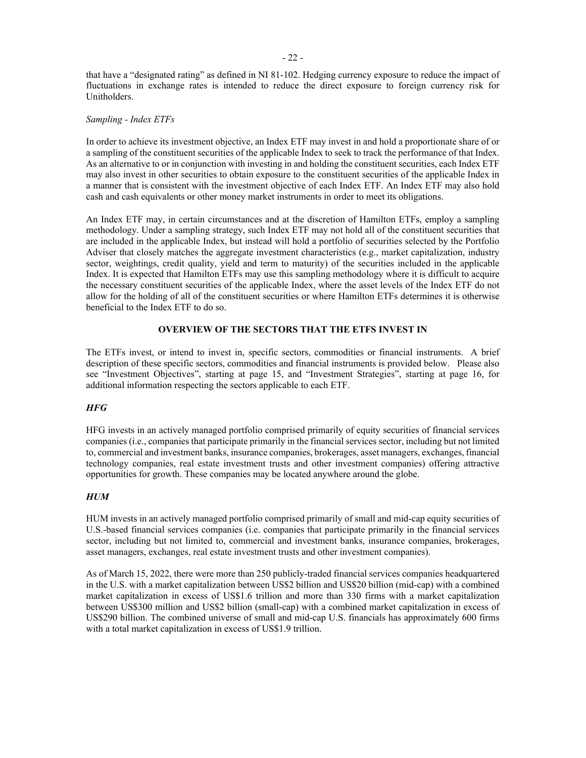that have a "designated rating" as defined in NI 81-102. Hedging currency exposure to reduce the impact of fluctuations in exchange rates is intended to reduce the direct exposure to foreign currency risk for Unitholders.

#### *Sampling - Index ETFs*

In order to achieve its investment objective, an Index ETF may invest in and hold a proportionate share of or a sampling of the constituent securities of the applicable Index to seek to track the performance of that Index. As an alternative to or in conjunction with investing in and holding the constituent securities, each Index ETF may also invest in other securities to obtain exposure to the constituent securities of the applicable Index in a manner that is consistent with the investment objective of each Index ETF. An Index ETF may also hold cash and cash equivalents or other money market instruments in order to meet its obligations.

An Index ETF may, in certain circumstances and at the discretion of Hamilton ETFs, employ a sampling methodology. Under a sampling strategy, such Index ETF may not hold all of the constituent securities that are included in the applicable Index, but instead will hold a portfolio of securities selected by the Portfolio Adviser that closely matches the aggregate investment characteristics (e.g., market capitalization, industry sector, weightings, credit quality, yield and term to maturity) of the securities included in the applicable Index. It is expected that Hamilton ETFs may use this sampling methodology where it is difficult to acquire the necessary constituent securities of the applicable Index, where the asset levels of the Index ETF do not allow for the holding of all of the constituent securities or where Hamilton ETFs determines it is otherwise beneficial to the Index ETF to do so.

## <span id="page-26-0"></span>**OVERVIEW OF THE SECTORS THAT THE ETFS INVEST IN**

The ETFs invest, or intend to invest in, specific sectors, commodities or financial instruments. A brief description of these specific sectors, commodities and financial instruments is provided below. Please also see "Investment Objectives", starting at page [15,](#page-19-0) and "Investment Strategies", starting at page [16,](#page-20-5) for additional information respecting the sectors applicable to each ETF.

# <span id="page-26-1"></span>*HFG*

HFG invests in an actively managed portfolio comprised primarily of equity securities of financial services companies (i.e., companies that participate primarily in the financial services sector, including but not limited to, commercial and investment banks, insurance companies, brokerages, asset managers, exchanges, financial technology companies, real estate investment trusts and other investment companies) offering attractive opportunities for growth. These companies may be located anywhere around the globe.

#### <span id="page-26-2"></span>*HUM*

HUM invests in an actively managed portfolio comprised primarily of small and mid-cap equity securities of U.S.-based financial services companies (i.e. companies that participate primarily in the financial services sector, including but not limited to, commercial and investment banks, insurance companies, brokerages, asset managers, exchanges, real estate investment trusts and other investment companies).

As of March 15, 2022, there were more than 250 publicly-traded financial services companies headquartered in the U.S. with a market capitalization between US\$2 billion and US\$20 billion (mid-cap) with a combined market capitalization in excess of US\$1.6 trillion and more than 330 firms with a market capitalization between US\$300 million and US\$2 billion (small-cap) with a combined market capitalization in excess of US\$290 billion. The combined universe of small and mid-cap U.S. financials has approximately 600 firms with a total market capitalization in excess of US\$1.9 trillion.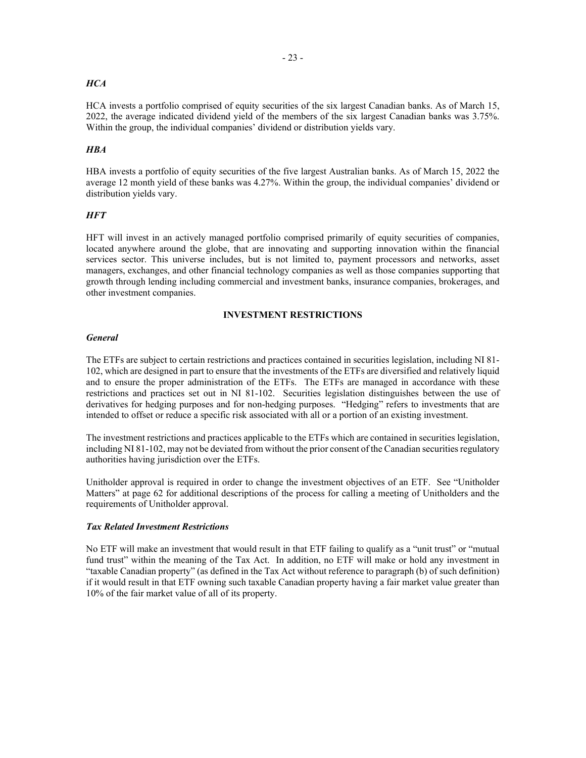# <span id="page-27-1"></span>*HCA*

HCA invests a portfolio comprised of equity securities of the six largest Canadian banks. As of March 15, 2022, the average indicated dividend yield of the members of the six largest Canadian banks was 3.75%. Within the group, the individual companies' dividend or distribution yields vary.

# <span id="page-27-2"></span>*HBA*

HBA invests a portfolio of equity securities of the five largest Australian banks. As of March 15, 2022 the average 12 month yield of these banks was 4.27%. Within the group, the individual companies' dividend or distribution yields vary.

# <span id="page-27-3"></span>*HFT*

HFT will invest in an actively managed portfolio comprised primarily of equity securities of companies, located anywhere around the globe, that are innovating and supporting innovation within the financial services sector. This universe includes, but is not limited to, payment processors and networks, asset managers, exchanges, and other financial technology companies as well as those companies supporting that growth through lending including commercial and investment banks, insurance companies, brokerages, and other investment companies.

## <span id="page-27-4"></span>**INVESTMENT RESTRICTIONS**

#### <span id="page-27-5"></span><span id="page-27-0"></span>*General*

The ETFs are subject to certain restrictions and practices contained in securities legislation, including NI 81- 102, which are designed in part to ensure that the investments of the ETFs are diversified and relatively liquid and to ensure the proper administration of the ETFs. The ETFs are managed in accordance with these restrictions and practices set out in NI 81-102. Securities legislation distinguishes between the use of derivatives for hedging purposes and for non-hedging purposes. "Hedging" refers to investments that are intended to offset or reduce a specific risk associated with all or a portion of an existing investment.

The investment restrictions and practices applicable to the ETFs which are contained in securities legislation, including NI 81-102, may not be deviated from without the prior consent of the Canadian securities regulatory authorities having jurisdiction over the ETFs.

Unitholder approval is required in order to change the investment objectives of an ETF. See "Unitholder Matters" at page [62](#page-66-3) for additional descriptions of the process for calling a meeting of Unitholders and the requirements of Unitholder approval.

# <span id="page-27-6"></span>*Tax Related Investment Restrictions*

No ETF will make an investment that would result in that ETF failing to qualify as a "unit trust" or "mutual fund trust" within the meaning of the Tax Act. In addition, no ETF will make or hold any investment in "taxable Canadian property" (as defined in the Tax Act without reference to paragraph (b) of such definition) if it would result in that ETF owning such taxable Canadian property having a fair market value greater than 10% of the fair market value of all of its property.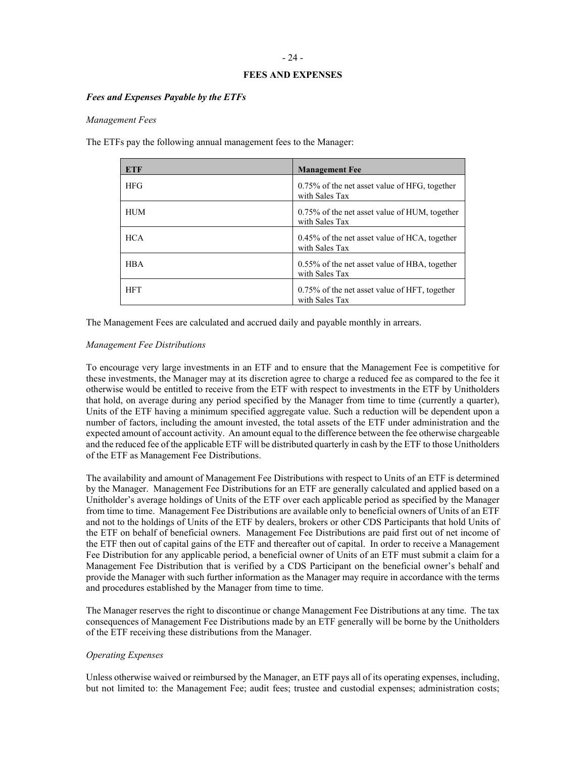# <span id="page-28-0"></span>- 24 -

# <span id="page-28-1"></span>**FEES AND EXPENSES**

#### <span id="page-28-2"></span>*Fees and Expenses Payable by the ETFs*

#### *Management Fees*

The ETFs pay the following annual management fees to the Manager:

| ETF        | <b>Management Fee</b>                                              |
|------------|--------------------------------------------------------------------|
| <b>HFG</b> | $0.75\%$ of the net asset value of HFG, together<br>with Sales Tax |
| HUM        | 0.75% of the net asset value of HUM, together<br>with Sales Tax    |
| <b>HCA</b> | $0.45\%$ of the net asset value of HCA, together<br>with Sales Tax |
| <b>HRA</b> | 0.55% of the net asset value of HBA, together<br>with Sales Tax    |
| <b>HFT</b> | 0.75% of the net asset value of HFT, together<br>with Sales Tax    |

The Management Fees are calculated and accrued daily and payable monthly in arrears.

#### *Management Fee Distributions*

To encourage very large investments in an ETF and to ensure that the Management Fee is competitive for these investments, the Manager may at its discretion agree to charge a reduced fee as compared to the fee it otherwise would be entitled to receive from the ETF with respect to investments in the ETF by Unitholders that hold, on average during any period specified by the Manager from time to time (currently a quarter), Units of the ETF having a minimum specified aggregate value. Such a reduction will be dependent upon a number of factors, including the amount invested, the total assets of the ETF under administration and the expected amount of account activity. An amount equal to the difference between the fee otherwise chargeable and the reduced fee of the applicable ETF will be distributed quarterly in cash by the ETF to those Unitholders of the ETF as Management Fee Distributions.

The availability and amount of Management Fee Distributions with respect to Units of an ETF is determined by the Manager. Management Fee Distributions for an ETF are generally calculated and applied based on a Unitholder's average holdings of Units of the ETF over each applicable period as specified by the Manager from time to time. Management Fee Distributions are available only to beneficial owners of Units of an ETF and not to the holdings of Units of the ETF by dealers, brokers or other CDS Participants that hold Units of the ETF on behalf of beneficial owners. Management Fee Distributions are paid first out of net income of the ETF then out of capital gains of the ETF and thereafter out of capital. In order to receive a Management Fee Distribution for any applicable period, a beneficial owner of Units of an ETF must submit a claim for a Management Fee Distribution that is verified by a CDS Participant on the beneficial owner's behalf and provide the Manager with such further information as the Manager may require in accordance with the terms and procedures established by the Manager from time to time.

The Manager reserves the right to discontinue or change Management Fee Distributions at any time. The tax consequences of Management Fee Distributions made by an ETF generally will be borne by the Unitholders of the ETF receiving these distributions from the Manager.

#### *Operating Expenses*

Unless otherwise waived or reimbursed by the Manager, an ETF pays all of its operating expenses, including, but not limited to: the Management Fee; audit fees; trustee and custodial expenses; administration costs;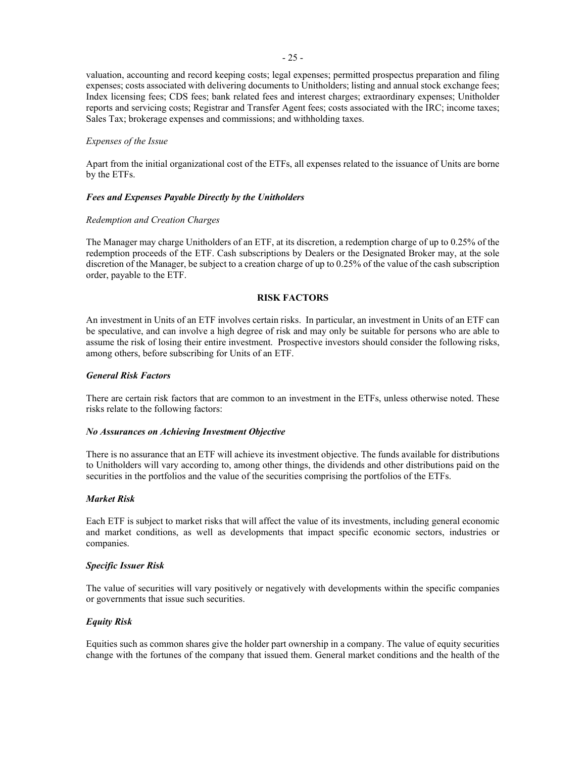valuation, accounting and record keeping costs; legal expenses; permitted prospectus preparation and filing expenses; costs associated with delivering documents to Unitholders; listing and annual stock exchange fees; Index licensing fees; CDS fees; bank related fees and interest charges; extraordinary expenses; Unitholder reports and servicing costs; Registrar and Transfer Agent fees; costs associated with the IRC; income taxes; Sales Tax; brokerage expenses and commissions; and withholding taxes.

## *Expenses of the Issue*

Apart from the initial organizational cost of the ETFs, all expenses related to the issuance of Units are borne by the ETFs.

# *Fees and Expenses Payable Directly by the Unitholders*

#### *Redemption and Creation Charges*

The Manager may charge Unitholders of an ETF, at its discretion, a redemption charge of up to 0.25% of the redemption proceeds of the ETF. Cash subscriptions by Dealers or the Designated Broker may, at the sole discretion of the Manager, be subject to a creation charge of up to 0.25% of the value of the cash subscription order, payable to the ETF.

# <span id="page-29-4"></span><span id="page-29-2"></span><span id="page-29-1"></span>**RISK FACTORS**

<span id="page-29-0"></span>An investment in Units of an ETF involves certain risks. In particular, an investment in Units of an ETF can be speculative, and can involve a high degree of risk and may only be suitable for persons who are able to assume the risk of losing their entire investment. Prospective investors should consider the following risks, among others, before subscribing for Units of an ETF.

# <span id="page-29-3"></span>*General Risk Factors*

There are certain risk factors that are common to an investment in the ETFs, unless otherwise noted. These risks relate to the following factors:

#### *No Assurances on Achieving Investment Objective*

There is no assurance that an ETF will achieve its investment objective. The funds available for distributions to Unitholders will vary according to, among other things, the dividends and other distributions paid on the securities in the portfolios and the value of the securities comprising the portfolios of the ETFs.

#### <span id="page-29-5"></span>*Market Risk*

Each ETF is subject to market risks that will affect the value of its investments, including general economic and market conditions, as well as developments that impact specific economic sectors, industries or companies.

#### <span id="page-29-6"></span>*Specific Issuer Risk*

The value of securities will vary positively or negatively with developments within the specific companies or governments that issue such securities.

# <span id="page-29-7"></span>*Equity Risk*

Equities such as common shares give the holder part ownership in a company. The value of equity securities change with the fortunes of the company that issued them. General market conditions and the health of the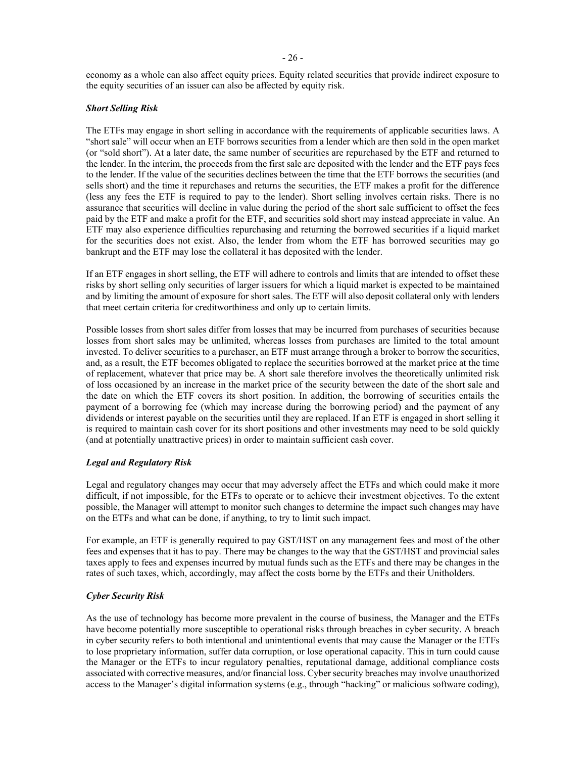economy as a whole can also affect equity prices. Equity related securities that provide indirect exposure to the equity securities of an issuer can also be affected by equity risk.

# <span id="page-30-0"></span>*Short Selling Risk*

The ETFs may engage in short selling in accordance with the requirements of applicable securities laws. A "short sale" will occur when an ETF borrows securities from a lender which are then sold in the open market (or "sold short"). At a later date, the same number of securities are repurchased by the ETF and returned to the lender. In the interim, the proceeds from the first sale are deposited with the lender and the ETF pays fees to the lender. If the value of the securities declines between the time that the ETF borrows the securities (and sells short) and the time it repurchases and returns the securities, the ETF makes a profit for the difference (less any fees the ETF is required to pay to the lender). Short selling involves certain risks. There is no assurance that securities will decline in value during the period of the short sale sufficient to offset the fees paid by the ETF and make a profit for the ETF, and securities sold short may instead appreciate in value. An ETF may also experience difficulties repurchasing and returning the borrowed securities if a liquid market for the securities does not exist. Also, the lender from whom the ETF has borrowed securities may go bankrupt and the ETF may lose the collateral it has deposited with the lender.

If an ETF engages in short selling, the ETF will adhere to controls and limits that are intended to offset these risks by short selling only securities of larger issuers for which a liquid market is expected to be maintained and by limiting the amount of exposure for short sales. The ETF will also deposit collateral only with lenders that meet certain criteria for creditworthiness and only up to certain limits.

Possible losses from short sales differ from losses that may be incurred from purchases of securities because losses from short sales may be unlimited, whereas losses from purchases are limited to the total amount invested. To deliver securities to a purchaser, an ETF must arrange through a broker to borrow the securities, and, as a result, the ETF becomes obligated to replace the securities borrowed at the market price at the time of replacement, whatever that price may be. A short sale therefore involves the theoretically unlimited risk of loss occasioned by an increase in the market price of the security between the date of the short sale and the date on which the ETF covers its short position. In addition, the borrowing of securities entails the payment of a borrowing fee (which may increase during the borrowing period) and the payment of any dividends or interest payable on the securities until they are replaced. If an ETF is engaged in short selling it is required to maintain cash cover for its short positions and other investments may need to be sold quickly (and at potentially unattractive prices) in order to maintain sufficient cash cover.

#### <span id="page-30-1"></span>*Legal and Regulatory Risk*

Legal and regulatory changes may occur that may adversely affect the ETFs and which could make it more difficult, if not impossible, for the ETFs to operate or to achieve their investment objectives. To the extent possible, the Manager will attempt to monitor such changes to determine the impact such changes may have on the ETFs and what can be done, if anything, to try to limit such impact.

For example, an ETF is generally required to pay GST/HST on any management fees and most of the other fees and expenses that it has to pay. There may be changes to the way that the GST/HST and provincial sales taxes apply to fees and expenses incurred by mutual funds such as the ETFs and there may be changes in the rates of such taxes, which, accordingly, may affect the costs borne by the ETFs and their Unitholders.

# <span id="page-30-2"></span>*Cyber Security Risk*

As the use of technology has become more prevalent in the course of business, the Manager and the ETFs have become potentially more susceptible to operational risks through breaches in cyber security. A breach in cyber security refers to both intentional and unintentional events that may cause the Manager or the ETFs to lose proprietary information, suffer data corruption, or lose operational capacity. This in turn could cause the Manager or the ETFs to incur regulatory penalties, reputational damage, additional compliance costs associated with corrective measures, and/or financial loss. Cyber security breaches may involve unauthorized access to the Manager's digital information systems (e.g., through "hacking" or malicious software coding),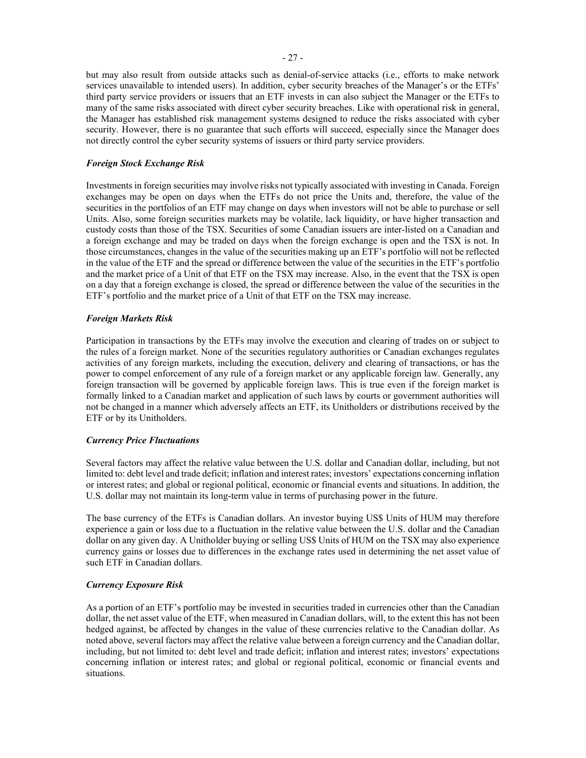but may also result from outside attacks such as denial-of-service attacks (i.e., efforts to make network services unavailable to intended users). In addition, cyber security breaches of the Manager's or the ETFs' third party service providers or issuers that an ETF invests in can also subject the Manager or the ETFs to many of the same risks associated with direct cyber security breaches. Like with operational risk in general, the Manager has established risk management systems designed to reduce the risks associated with cyber security. However, there is no guarantee that such efforts will succeed, especially since the Manager does not directly control the cyber security systems of issuers or third party service providers.

# <span id="page-31-0"></span>*Foreign Stock Exchange Risk*

Investments in foreign securities may involve risks not typically associated with investing in Canada. Foreign exchanges may be open on days when the ETFs do not price the Units and, therefore, the value of the securities in the portfolios of an ETF may change on days when investors will not be able to purchase or sell Units. Also, some foreign securities markets may be volatile, lack liquidity, or have higher transaction and custody costs than those of the TSX. Securities of some Canadian issuers are inter-listed on a Canadian and a foreign exchange and may be traded on days when the foreign exchange is open and the TSX is not. In those circumstances, changes in the value of the securities making up an ETF's portfolio will not be reflected in the value of the ETF and the spread or difference between the value of the securities in the ETF's portfolio and the market price of a Unit of that ETF on the TSX may increase. Also, in the event that the TSX is open on a day that a foreign exchange is closed, the spread or difference between the value of the securities in the ETF's portfolio and the market price of a Unit of that ETF on the TSX may increase.

# <span id="page-31-1"></span>*Foreign Markets Risk*

Participation in transactions by the ETFs may involve the execution and clearing of trades on or subject to the rules of a foreign market. None of the securities regulatory authorities or Canadian exchanges regulates activities of any foreign markets, including the execution, delivery and clearing of transactions, or has the power to compel enforcement of any rule of a foreign market or any applicable foreign law. Generally, any foreign transaction will be governed by applicable foreign laws. This is true even if the foreign market is formally linked to a Canadian market and application of such laws by courts or government authorities will not be changed in a manner which adversely affects an ETF, its Unitholders or distributions received by the ETF or by its Unitholders.

#### <span id="page-31-2"></span>*Currency Price Fluctuations*

Several factors may affect the relative value between the U.S. dollar and Canadian dollar, including, but not limited to: debt level and trade deficit; inflation and interest rates; investors' expectations concerning inflation or interest rates; and global or regional political, economic or financial events and situations. In addition, the U.S. dollar may not maintain its long-term value in terms of purchasing power in the future.

The base currency of the ETFs is Canadian dollars. An investor buying US\$ Units of HUM may therefore experience a gain or loss due to a fluctuation in the relative value between the U.S. dollar and the Canadian dollar on any given day. A Unitholder buying or selling US\$ Units of HUM on the TSX may also experience currency gains or losses due to differences in the exchange rates used in determining the net asset value of such ETF in Canadian dollars.

# <span id="page-31-3"></span>*Currency Exposure Risk*

As a portion of an ETF's portfolio may be invested in securities traded in currencies other than the Canadian dollar, the net asset value of the ETF, when measured in Canadian dollars, will, to the extent this has not been hedged against, be affected by changes in the value of these currencies relative to the Canadian dollar. As noted above, several factors may affect the relative value between a foreign currency and the Canadian dollar, including, but not limited to: debt level and trade deficit; inflation and interest rates; investors' expectations concerning inflation or interest rates; and global or regional political, economic or financial events and situations.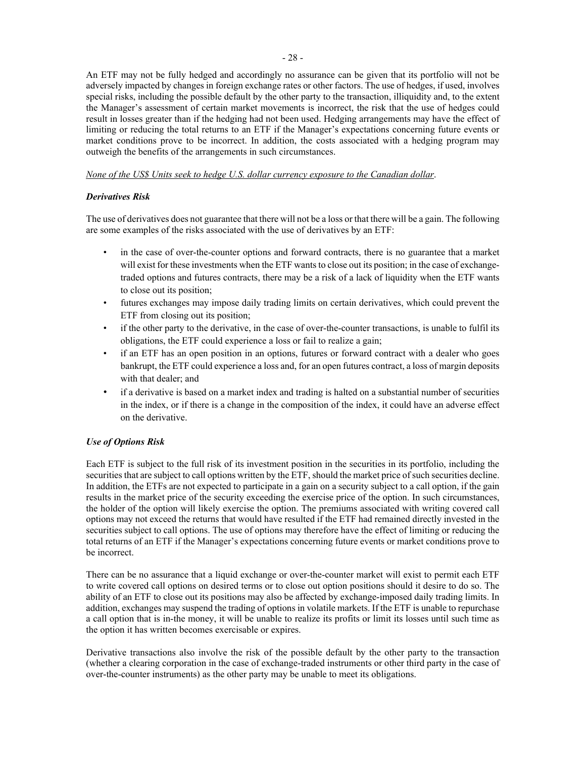An ETF may not be fully hedged and accordingly no assurance can be given that its portfolio will not be adversely impacted by changes in foreign exchange rates or other factors. The use of hedges, if used, involves special risks, including the possible default by the other party to the transaction, illiquidity and, to the extent the Manager's assessment of certain market movements is incorrect, the risk that the use of hedges could result in losses greater than if the hedging had not been used. Hedging arrangements may have the effect of limiting or reducing the total returns to an ETF if the Manager's expectations concerning future events or market conditions prove to be incorrect. In addition, the costs associated with a hedging program may outweigh the benefits of the arrangements in such circumstances.

# <span id="page-32-0"></span>*None of the US\$ Units seek to hedge U.S. dollar currency exposure to the Canadian dollar*.

# *Derivatives Risk*

The use of derivatives does not guarantee that there will not be a loss or that there will be a gain. The following are some examples of the risks associated with the use of derivatives by an ETF:

- in the case of over-the-counter options and forward contracts, there is no guarantee that a market will exist for these investments when the ETF wants to close out its position; in the case of exchangetraded options and futures contracts, there may be a risk of a lack of liquidity when the ETF wants to close out its position;
- futures exchanges may impose daily trading limits on certain derivatives, which could prevent the ETF from closing out its position;
- if the other party to the derivative, in the case of over-the-counter transactions, is unable to fulfil its obligations, the ETF could experience a loss or fail to realize a gain;
- if an ETF has an open position in an options, futures or forward contract with a dealer who goes bankrupt, the ETF could experience a loss and, for an open futures contract, a loss of margin deposits with that dealer; and
- <span id="page-32-1"></span>• if a derivative is based on a market index and trading is halted on a substantial number of securities in the index, or if there is a change in the composition of the index, it could have an adverse effect on the derivative.

# *Use of Options Risk*

Each ETF is subject to the full risk of its investment position in the securities in its portfolio, including the securities that are subject to call options written by the ETF, should the market price of such securities decline. In addition, the ETFs are not expected to participate in a gain on a security subject to a call option, if the gain results in the market price of the security exceeding the exercise price of the option. In such circumstances, the holder of the option will likely exercise the option. The premiums associated with writing covered call options may not exceed the returns that would have resulted if the ETF had remained directly invested in the securities subject to call options. The use of options may therefore have the effect of limiting or reducing the total returns of an ETF if the Manager's expectations concerning future events or market conditions prove to be incorrect.

There can be no assurance that a liquid exchange or over-the-counter market will exist to permit each ETF to write covered call options on desired terms or to close out option positions should it desire to do so. The ability of an ETF to close out its positions may also be affected by exchange-imposed daily trading limits. In addition, exchanges may suspend the trading of options in volatile markets. If the ETF is unable to repurchase a call option that is in-the money, it will be unable to realize its profits or limit its losses until such time as the option it has written becomes exercisable or expires.

Derivative transactions also involve the risk of the possible default by the other party to the transaction (whether a clearing corporation in the case of exchange-traded instruments or other third party in the case of over-the-counter instruments) as the other party may be unable to meet its obligations.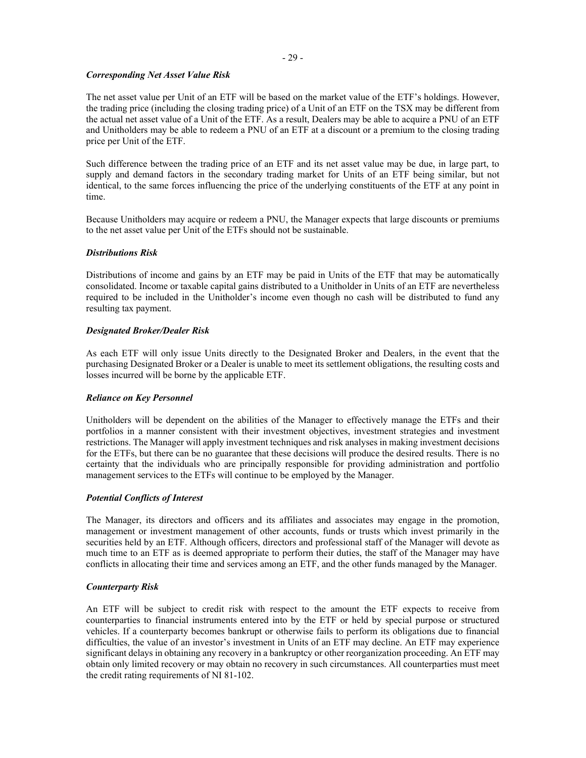#### <span id="page-33-0"></span>- 29 -

# *Corresponding Net Asset Value Risk*

The net asset value per Unit of an ETF will be based on the market value of the ETF's holdings. However, the trading price (including the closing trading price) of a Unit of an ETF on the TSX may be different from the actual net asset value of a Unit of the ETF. As a result, Dealers may be able to acquire a PNU of an ETF and Unitholders may be able to redeem a PNU of an ETF at a discount or a premium to the closing trading price per Unit of the ETF.

Such difference between the trading price of an ETF and its net asset value may be due, in large part, to supply and demand factors in the secondary trading market for Units of an ETF being similar, but not identical, to the same forces influencing the price of the underlying constituents of the ETF at any point in time.

Because Unitholders may acquire or redeem a PNU, the Manager expects that large discounts or premiums to the net asset value per Unit of the ETFs should not be sustainable.

# <span id="page-33-1"></span>*Distributions Risk*

Distributions of income and gains by an ETF may be paid in Units of the ETF that may be automatically consolidated. Income or taxable capital gains distributed to a Unitholder in Units of an ETF are nevertheless required to be included in the Unitholder's income even though no cash will be distributed to fund any resulting tax payment.

# <span id="page-33-2"></span>*Designated Broker/Dealer Risk*

As each ETF will only issue Units directly to the Designated Broker and Dealers, in the event that the purchasing Designated Broker or a Dealer is unable to meet its settlement obligations, the resulting costs and losses incurred will be borne by the applicable ETF.

# <span id="page-33-3"></span>*Reliance on Key Personnel*

Unitholders will be dependent on the abilities of the Manager to effectively manage the ETFs and their portfolios in a manner consistent with their investment objectives, investment strategies and investment restrictions. The Manager will apply investment techniques and risk analyses in making investment decisions for the ETFs, but there can be no guarantee that these decisions will produce the desired results. There is no certainty that the individuals who are principally responsible for providing administration and portfolio management services to the ETFs will continue to be employed by the Manager.

# <span id="page-33-4"></span>*Potential Conflicts of Interest*

The Manager, its directors and officers and its affiliates and associates may engage in the promotion, management or investment management of other accounts, funds or trusts which invest primarily in the securities held by an ETF. Although officers, directors and professional staff of the Manager will devote as much time to an ETF as is deemed appropriate to perform their duties, the staff of the Manager may have conflicts in allocating their time and services among an ETF, and the other funds managed by the Manager.

#### <span id="page-33-5"></span>*Counterparty Risk*

An ETF will be subject to credit risk with respect to the amount the ETF expects to receive from counterparties to financial instruments entered into by the ETF or held by special purpose or structured vehicles. If a counterparty becomes bankrupt or otherwise fails to perform its obligations due to financial difficulties, the value of an investor's investment in Units of an ETF may decline. An ETF may experience significant delays in obtaining any recovery in a bankruptcy or other reorganization proceeding. An ETF may obtain only limited recovery or may obtain no recovery in such circumstances. All counterparties must meet the credit rating requirements of NI 81-102.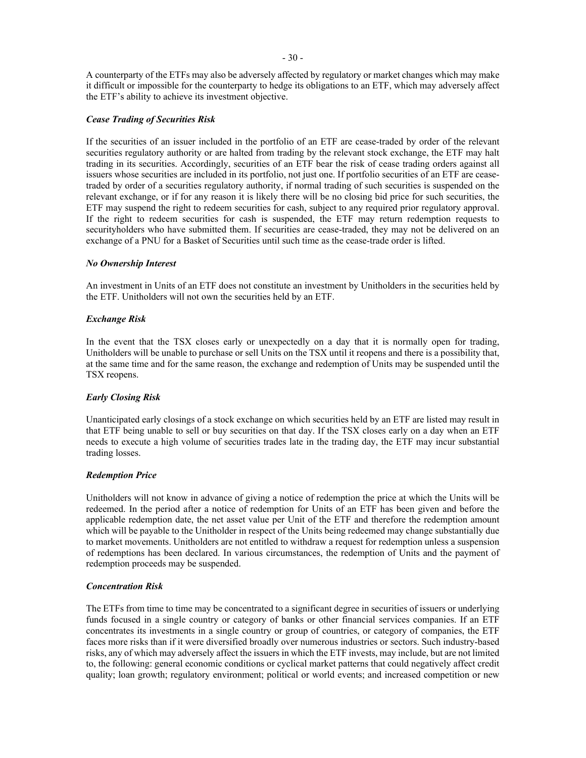A counterparty of the ETFs may also be adversely affected by regulatory or market changes which may make it difficult or impossible for the counterparty to hedge its obligations to an ETF, which may adversely affect the ETF's ability to achieve its investment objective.

# <span id="page-34-0"></span>*Cease Trading of Securities Risk*

If the securities of an issuer included in the portfolio of an ETF are cease-traded by order of the relevant securities regulatory authority or are halted from trading by the relevant stock exchange, the ETF may halt trading in its securities. Accordingly, securities of an ETF bear the risk of cease trading orders against all issuers whose securities are included in its portfolio, not just one. If portfolio securities of an ETF are ceasetraded by order of a securities regulatory authority, if normal trading of such securities is suspended on the relevant exchange, or if for any reason it is likely there will be no closing bid price for such securities, the ETF may suspend the right to redeem securities for cash, subject to any required prior regulatory approval. If the right to redeem securities for cash is suspended, the ETF may return redemption requests to securityholders who have submitted them. If securities are cease-traded, they may not be delivered on an exchange of a PNU for a Basket of Securities until such time as the cease-trade order is lifted.

#### <span id="page-34-1"></span>*No Ownership Interest*

An investment in Units of an ETF does not constitute an investment by Unitholders in the securities held by the ETF. Unitholders will not own the securities held by an ETF.

#### <span id="page-34-2"></span>*Exchange Risk*

In the event that the TSX closes early or unexpectedly on a day that it is normally open for trading, Unitholders will be unable to purchase or sell Units on the TSX until it reopens and there is a possibility that, at the same time and for the same reason, the exchange and redemption of Units may be suspended until the TSX reopens.

#### <span id="page-34-3"></span>*Early Closing Risk*

Unanticipated early closings of a stock exchange on which securities held by an ETF are listed may result in that ETF being unable to sell or buy securities on that day. If the TSX closes early on a day when an ETF needs to execute a high volume of securities trades late in the trading day, the ETF may incur substantial trading losses.

#### <span id="page-34-4"></span>*Redemption Price*

Unitholders will not know in advance of giving a notice of redemption the price at which the Units will be redeemed. In the period after a notice of redemption for Units of an ETF has been given and before the applicable redemption date, the net asset value per Unit of the ETF and therefore the redemption amount which will be payable to the Unitholder in respect of the Units being redeemed may change substantially due to market movements. Unitholders are not entitled to withdraw a request for redemption unless a suspension of redemptions has been declared. In various circumstances, the redemption of Units and the payment of redemption proceeds may be suspended.

#### <span id="page-34-6"></span><span id="page-34-5"></span>*Concentration Risk*

The ETFs from time to time may be concentrated to a significant degree in securities of issuers or underlying funds focused in a single country or category of banks or other financial services companies. If an ETF concentrates its investments in a single country or group of countries, or category of companies, the ETF faces more risks than if it were diversified broadly over numerous industries or sectors. Such industry-based risks, any of which may adversely affect the issuers in which the ETF invests, may include, but are not limited to, the following: general economic conditions or cyclical market patterns that could negatively affect credit quality; loan growth; regulatory environment; political or world events; and increased competition or new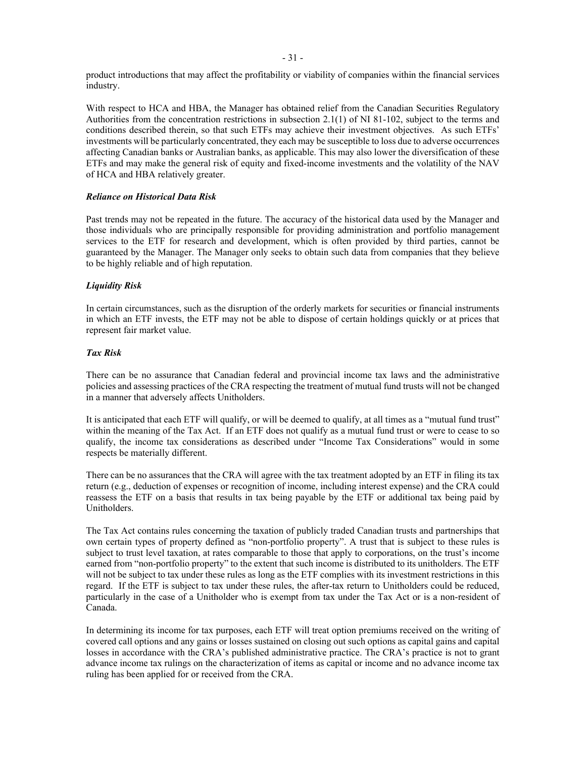product introductions that may affect the profitability or viability of companies within the financial services industry.

With respect to HCA and HBA, the Manager has obtained relief from the Canadian Securities Regulatory Authorities from the concentration restrictions in subsection 2.1(1) of NI 81-102, subject to the terms and conditions described therein, so that such ETFs may achieve their investment objectives. As such ETFs' investments will be particularly concentrated, they each may be susceptible to loss due to adverse occurrences affecting Canadian banks or Australian banks, as applicable. This may also lower the diversification of these ETFs and may make the general risk of equity and fixed-income investments and the volatility of the NAV of HCA and HBA relatively greater.

# <span id="page-35-0"></span>*Reliance on Historical Data Risk*

Past trends may not be repeated in the future. The accuracy of the historical data used by the Manager and those individuals who are principally responsible for providing administration and portfolio management services to the ETF for research and development, which is often provided by third parties, cannot be guaranteed by the Manager. The Manager only seeks to obtain such data from companies that they believe to be highly reliable and of high reputation.

# <span id="page-35-1"></span>*Liquidity Risk*

In certain circumstances, such as the disruption of the orderly markets for securities or financial instruments in which an ETF invests, the ETF may not be able to dispose of certain holdings quickly or at prices that represent fair market value.

# <span id="page-35-2"></span>*Tax Risk*

There can be no assurance that Canadian federal and provincial income tax laws and the administrative policies and assessing practices of the CRA respecting the treatment of mutual fund trusts will not be changed in a manner that adversely affects Unitholders.

It is anticipated that each ETF will qualify, or will be deemed to qualify, at all times as a "mutual fund trust" within the meaning of the Tax Act. If an ETF does not qualify as a mutual fund trust or were to cease to so qualify, the income tax considerations as described under "Income Tax Considerations" would in some respects be materially different.

There can be no assurances that the CRA will agree with the tax treatment adopted by an ETF in filing its tax return (e.g., deduction of expenses or recognition of income, including interest expense) and the CRA could reassess the ETF on a basis that results in tax being payable by the ETF or additional tax being paid by Unitholders.

The Tax Act contains rules concerning the taxation of publicly traded Canadian trusts and partnerships that own certain types of property defined as "non-portfolio property". A trust that is subject to these rules is subject to trust level taxation, at rates comparable to those that apply to corporations, on the trust's income earned from "non-portfolio property" to the extent that such income is distributed to its unitholders. The ETF will not be subject to tax under these rules as long as the ETF complies with its investment restrictions in this regard. If the ETF is subject to tax under these rules, the after-tax return to Unitholders could be reduced, particularly in the case of a Unitholder who is exempt from tax under the Tax Act or is a non-resident of Canada.

In determining its income for tax purposes, each ETF will treat option premiums received on the writing of covered call options and any gains or losses sustained on closing out such options as capital gains and capital losses in accordance with the CRA's published administrative practice. The CRA's practice is not to grant advance income tax rulings on the characterization of items as capital or income and no advance income tax ruling has been applied for or received from the CRA.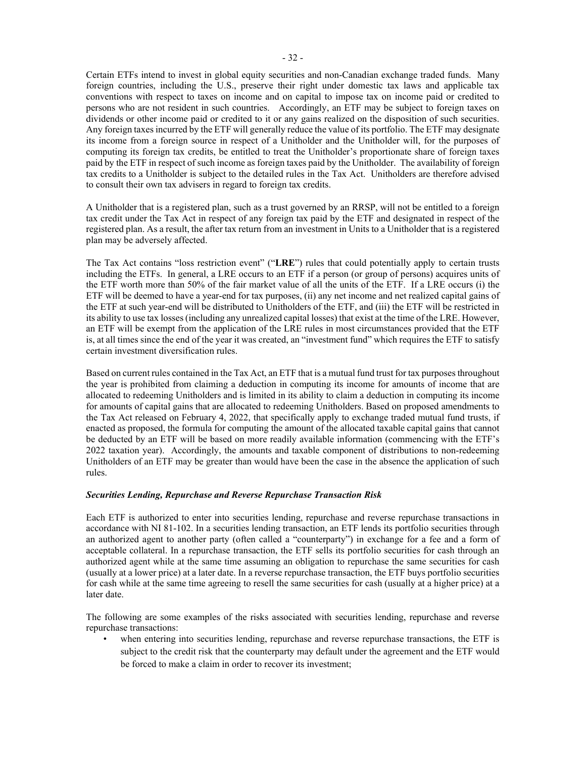Certain ETFs intend to invest in global equity securities and non-Canadian exchange traded funds. Many foreign countries, including the U.S., preserve their right under domestic tax laws and applicable tax conventions with respect to taxes on income and on capital to impose tax on income paid or credited to persons who are not resident in such countries. Accordingly, an ETF may be subject to foreign taxes on dividends or other income paid or credited to it or any gains realized on the disposition of such securities. Any foreign taxes incurred by the ETF will generally reduce the value of its portfolio. The ETF may designate its income from a foreign source in respect of a Unitholder and the Unitholder will, for the purposes of computing its foreign tax credits, be entitled to treat the Unitholder's proportionate share of foreign taxes paid by the ETF in respect of such income as foreign taxes paid by the Unitholder. The availability of foreign tax credits to a Unitholder is subject to the detailed rules in the Tax Act. Unitholders are therefore advised to consult their own tax advisers in regard to foreign tax credits.

A Unitholder that is a registered plan, such as a trust governed by an RRSP, will not be entitled to a foreign tax credit under the Tax Act in respect of any foreign tax paid by the ETF and designated in respect of the registered plan. As a result, the after tax return from an investment in Units to a Unitholder that is a registered plan may be adversely affected.

The Tax Act contains "loss restriction event" ("**LRE**") rules that could potentially apply to certain trusts including the ETFs. In general, a LRE occurs to an ETF if a person (or group of persons) acquires units of the ETF worth more than 50% of the fair market value of all the units of the ETF. If a LRE occurs (i) the ETF will be deemed to have a year-end for tax purposes, (ii) any net income and net realized capital gains of the ETF at such year-end will be distributed to Unitholders of the ETF, and (iii) the ETF will be restricted in its ability to use tax losses (including any unrealized capital losses) that exist at the time of the LRE. However, an ETF will be exempt from the application of the LRE rules in most circumstances provided that the ETF is, at all times since the end of the year it was created, an "investment fund" which requires the ETF to satisfy certain investment diversification rules.

Based on current rules contained in the Tax Act, an ETF that is a mutual fund trust for tax purposes throughout the year is prohibited from claiming a deduction in computing its income for amounts of income that are allocated to redeeming Unitholders and is limited in its ability to claim a deduction in computing its income for amounts of capital gains that are allocated to redeeming Unitholders. Based on proposed amendments to the Tax Act released on February 4, 2022, that specifically apply to exchange traded mutual fund trusts, if enacted as proposed, the formula for computing the amount of the allocated taxable capital gains that cannot be deducted by an ETF will be based on more readily available information (commencing with the ETF's 2022 taxation year). Accordingly, the amounts and taxable component of distributions to non-redeeming Unitholders of an ETF may be greater than would have been the case in the absence the application of such rules.

### *Securities Lending, Repurchase and Reverse Repurchase Transaction Risk*

Each ETF is authorized to enter into securities lending, repurchase and reverse repurchase transactions in accordance with NI 81-102. In a securities lending transaction, an ETF lends its portfolio securities through an authorized agent to another party (often called a "counterparty") in exchange for a fee and a form of acceptable collateral. In a repurchase transaction, the ETF sells its portfolio securities for cash through an authorized agent while at the same time assuming an obligation to repurchase the same securities for cash (usually at a lower price) at a later date. In a reverse repurchase transaction, the ETF buys portfolio securities for cash while at the same time agreeing to resell the same securities for cash (usually at a higher price) at a later date.

The following are some examples of the risks associated with securities lending, repurchase and reverse repurchase transactions:

when entering into securities lending, repurchase and reverse repurchase transactions, the ETF is subject to the credit risk that the counterparty may default under the agreement and the ETF would be forced to make a claim in order to recover its investment;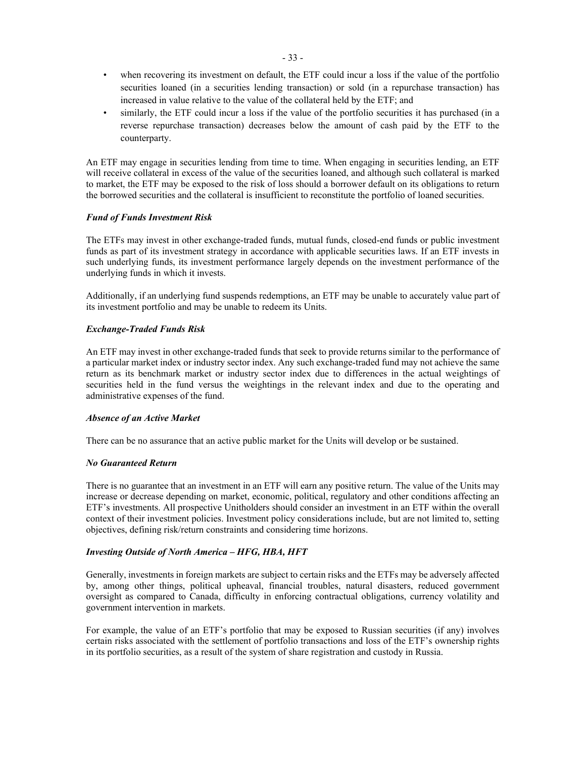- when recovering its investment on default, the ETF could incur a loss if the value of the portfolio securities loaned (in a securities lending transaction) or sold (in a repurchase transaction) has increased in value relative to the value of the collateral held by the ETF; and
- similarly, the ETF could incur a loss if the value of the portfolio securities it has purchased (in a reverse repurchase transaction) decreases below the amount of cash paid by the ETF to the counterparty.

An ETF may engage in securities lending from time to time. When engaging in securities lending, an ETF will receive collateral in excess of the value of the securities loaned, and although such collateral is marked to market, the ETF may be exposed to the risk of loss should a borrower default on its obligations to return the borrowed securities and the collateral is insufficient to reconstitute the portfolio of loaned securities.

# *Fund of Funds Investment Risk*

The ETFs may invest in other exchange-traded funds, mutual funds, closed-end funds or public investment funds as part of its investment strategy in accordance with applicable securities laws. If an ETF invests in such underlying funds, its investment performance largely depends on the investment performance of the underlying funds in which it invests.

Additionally, if an underlying fund suspends redemptions, an ETF may be unable to accurately value part of its investment portfolio and may be unable to redeem its Units.

# *Exchange-Traded Funds Risk*

An ETF may invest in other exchange-traded funds that seek to provide returns similar to the performance of a particular market index or industry sector index. Any such exchange-traded fund may not achieve the same return as its benchmark market or industry sector index due to differences in the actual weightings of securities held in the fund versus the weightings in the relevant index and due to the operating and administrative expenses of the fund.

# *Absence of an Active Market*

There can be no assurance that an active public market for the Units will develop or be sustained.

# *No Guaranteed Return*

There is no guarantee that an investment in an ETF will earn any positive return. The value of the Units may increase or decrease depending on market, economic, political, regulatory and other conditions affecting an ETF's investments. All prospective Unitholders should consider an investment in an ETF within the overall context of their investment policies. Investment policy considerations include, but are not limited to, setting objectives, defining risk/return constraints and considering time horizons.

# *Investing Outside of North America – HFG, HBA, HFT*

Generally, investments in foreign markets are subject to certain risks and the ETFs may be adversely affected by, among other things, political upheaval, financial troubles, natural disasters, reduced government oversight as compared to Canada, difficulty in enforcing contractual obligations, currency volatility and government intervention in markets.

For example, the value of an ETF's portfolio that may be exposed to Russian securities (if any) involves certain risks associated with the settlement of portfolio transactions and loss of the ETF's ownership rights in its portfolio securities, as a result of the system of share registration and custody in Russia.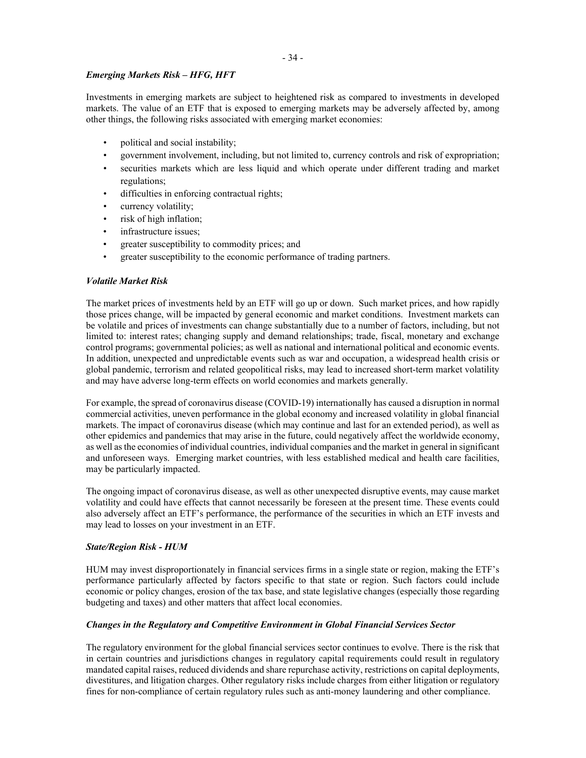# *Emerging Markets Risk – HFG, HFT*

Investments in emerging markets are subject to heightened risk as compared to investments in developed markets. The value of an ETF that is exposed to emerging markets may be adversely affected by, among other things, the following risks associated with emerging market economies:

- political and social instability;
- government involvement, including, but not limited to, currency controls and risk of expropriation;
- securities markets which are less liquid and which operate under different trading and market regulations;
- difficulties in enforcing contractual rights;
- currency volatility;
- risk of high inflation;
- infrastructure issues;
- greater susceptibility to commodity prices; and
- greater susceptibility to the economic performance of trading partners.

# *Volatile Market Risk*

The market prices of investments held by an ETF will go up or down. Such market prices, and how rapidly those prices change, will be impacted by general economic and market conditions. Investment markets can be volatile and prices of investments can change substantially due to a number of factors, including, but not limited to: interest rates; changing supply and demand relationships; trade, fiscal, monetary and exchange control programs; governmental policies; as well as national and international political and economic events. In addition, unexpected and unpredictable events such as war and occupation, a widespread health crisis or global pandemic, terrorism and related geopolitical risks, may lead to increased short-term market volatility and may have adverse long-term effects on world economies and markets generally.

For example, the spread of coronavirus disease (COVID-19) internationally has caused a disruption in normal commercial activities, uneven performance in the global economy and increased volatility in global financial markets. The impact of coronavirus disease (which may continue and last for an extended period), as well as other epidemics and pandemics that may arise in the future, could negatively affect the worldwide economy, as well as the economies of individual countries, individual companies and the market in general in significant and unforeseen ways. Emerging market countries, with less established medical and health care facilities, may be particularly impacted.

The ongoing impact of coronavirus disease, as well as other unexpected disruptive events, may cause market volatility and could have effects that cannot necessarily be foreseen at the present time. These events could also adversely affect an ETF's performance, the performance of the securities in which an ETF invests and may lead to losses on your investment in an ETF.

# <span id="page-38-0"></span>*State/Region Risk - HUM*

HUM may invest disproportionately in financial services firms in a single state or region, making the ETF's performance particularly affected by factors specific to that state or region. Such factors could include economic or policy changes, erosion of the tax base, and state legislative changes (especially those regarding budgeting and taxes) and other matters that affect local economies.

# *Changes in the Regulatory and Competitive Environment in Global Financial Services Sector*

The regulatory environment for the global financial services sector continues to evolve. There is the risk that in certain countries and jurisdictions changes in regulatory capital requirements could result in regulatory mandated capital raises, reduced dividends and share repurchase activity, restrictions on capital deployments, divestitures, and litigation charges. Other regulatory risks include charges from either litigation or regulatory fines for non-compliance of certain regulatory rules such as anti-money laundering and other compliance.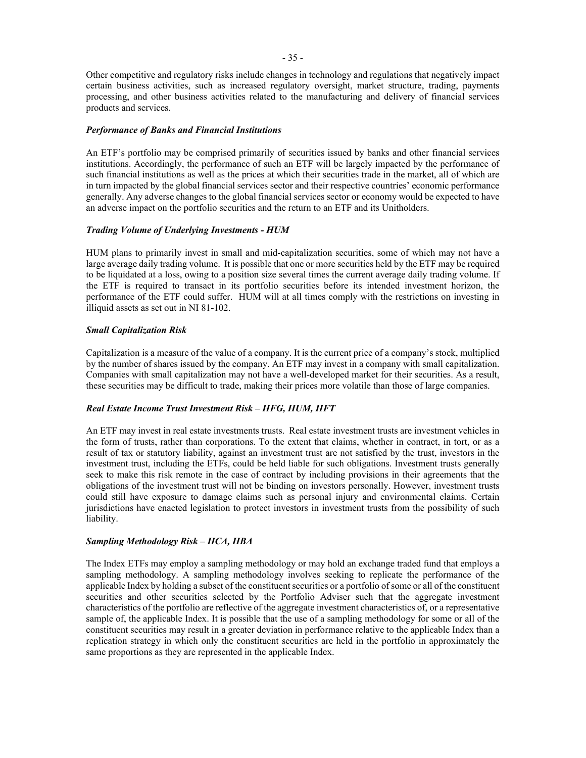Other competitive and regulatory risks include changes in technology and regulations that negatively impact certain business activities, such as increased regulatory oversight, market structure, trading, payments processing, and other business activities related to the manufacturing and delivery of financial services products and services.

#### *Performance of Banks and Financial Institutions*

An ETF's portfolio may be comprised primarily of securities issued by banks and other financial services institutions. Accordingly, the performance of such an ETF will be largely impacted by the performance of such financial institutions as well as the prices at which their securities trade in the market, all of which are in turn impacted by the global financial services sector and their respective countries' economic performance generally. Any adverse changes to the global financial services sector or economy would be expected to have an adverse impact on the portfolio securities and the return to an ETF and its Unitholders.

#### *Trading Volume of Underlying Investments - HUM*

HUM plans to primarily invest in small and mid-capitalization securities, some of which may not have a large average daily trading volume. It is possible that one or more securities held by the ETF may be required to be liquidated at a loss, owing to a position size several times the current average daily trading volume. If the ETF is required to transact in its portfolio securities before its intended investment horizon, the performance of the ETF could suffer. HUM will at all times comply with the restrictions on investing in illiquid assets as set out in NI 81-102.

### *Small Capitalization Risk*

Capitalization is a measure of the value of a company. It is the current price of a company's stock, multiplied by the number of shares issued by the company. An ETF may invest in a company with small capitalization. Companies with small capitalization may not have a well-developed market for their securities. As a result, these securities may be difficult to trade, making their prices more volatile than those of large companies.

### *Real Estate Income Trust Investment Risk – HFG, HUM, HFT*

An ETF may invest in real estate investments trusts. Real estate investment trusts are investment vehicles in the form of trusts, rather than corporations. To the extent that claims, whether in contract, in tort, or as a result of tax or statutory liability, against an investment trust are not satisfied by the trust, investors in the investment trust, including the ETFs, could be held liable for such obligations. Investment trusts generally seek to make this risk remote in the case of contract by including provisions in their agreements that the obligations of the investment trust will not be binding on investors personally. However, investment trusts could still have exposure to damage claims such as personal injury and environmental claims. Certain jurisdictions have enacted legislation to protect investors in investment trusts from the possibility of such liability.

#### *Sampling Methodology Risk – HCA, HBA*

The Index ETFs may employ a sampling methodology or may hold an exchange traded fund that employs a sampling methodology. A sampling methodology involves seeking to replicate the performance of the applicable Index by holding a subset of the constituent securities or a portfolio of some or all of the constituent securities and other securities selected by the Portfolio Adviser such that the aggregate investment characteristics of the portfolio are reflective of the aggregate investment characteristics of, or a representative sample of, the applicable Index. It is possible that the use of a sampling methodology for some or all of the constituent securities may result in a greater deviation in performance relative to the applicable Index than a replication strategy in which only the constituent securities are held in the portfolio in approximately the same proportions as they are represented in the applicable Index.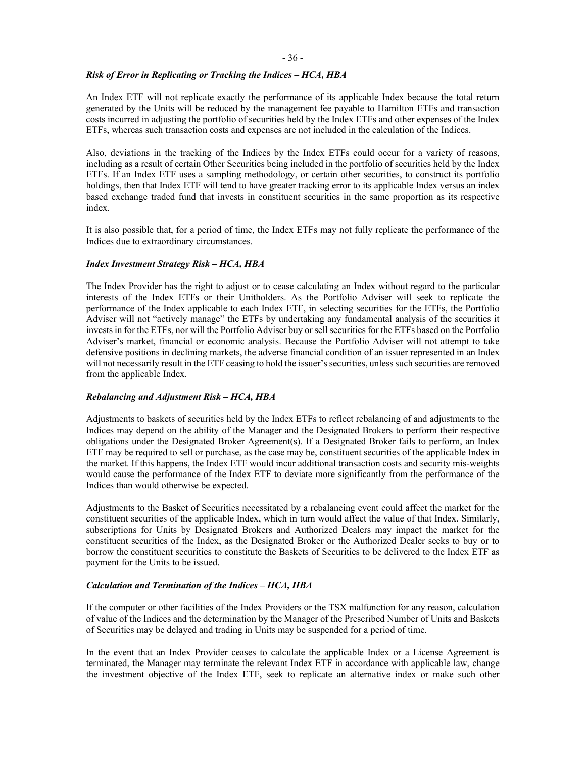# *Risk of Error in Replicating or Tracking the Indices – HCA, HBA*

An Index ETF will not replicate exactly the performance of its applicable Index because the total return generated by the Units will be reduced by the management fee payable to Hamilton ETFs and transaction costs incurred in adjusting the portfolio of securities held by the Index ETFs and other expenses of the Index ETFs, whereas such transaction costs and expenses are not included in the calculation of the Indices.

Also, deviations in the tracking of the Indices by the Index ETFs could occur for a variety of reasons, including as a result of certain Other Securities being included in the portfolio of securities held by the Index ETFs. If an Index ETF uses a sampling methodology, or certain other securities, to construct its portfolio holdings, then that Index ETF will tend to have greater tracking error to its applicable Index versus an index based exchange traded fund that invests in constituent securities in the same proportion as its respective index.

It is also possible that, for a period of time, the Index ETFs may not fully replicate the performance of the Indices due to extraordinary circumstances.

### *Index Investment Strategy Risk – HCA, HBA*

The Index Provider has the right to adjust or to cease calculating an Index without regard to the particular interests of the Index ETFs or their Unitholders. As the Portfolio Adviser will seek to replicate the performance of the Index applicable to each Index ETF, in selecting securities for the ETFs, the Portfolio Adviser will not "actively manage" the ETFs by undertaking any fundamental analysis of the securities it invests in for the ETFs, nor will the Portfolio Adviser buy or sell securities for the ETFs based on the Portfolio Adviser's market, financial or economic analysis. Because the Portfolio Adviser will not attempt to take defensive positions in declining markets, the adverse financial condition of an issuer represented in an Index will not necessarily result in the ETF ceasing to hold the issuer's securities, unless such securities are removed from the applicable Index.

### *Rebalancing and Adjustment Risk – HCA, HBA*

Adjustments to baskets of securities held by the Index ETFs to reflect rebalancing of and adjustments to the Indices may depend on the ability of the Manager and the Designated Brokers to perform their respective obligations under the Designated Broker Agreement(s). If a Designated Broker fails to perform, an Index ETF may be required to sell or purchase, as the case may be, constituent securities of the applicable Index in the market. If this happens, the Index ETF would incur additional transaction costs and security mis-weights would cause the performance of the Index ETF to deviate more significantly from the performance of the Indices than would otherwise be expected.

Adjustments to the Basket of Securities necessitated by a rebalancing event could affect the market for the constituent securities of the applicable Index, which in turn would affect the value of that Index. Similarly, subscriptions for Units by Designated Brokers and Authorized Dealers may impact the market for the constituent securities of the Index, as the Designated Broker or the Authorized Dealer seeks to buy or to borrow the constituent securities to constitute the Baskets of Securities to be delivered to the Index ETF as payment for the Units to be issued.

### *Calculation and Termination of the Indices – HCA, HBA*

If the computer or other facilities of the Index Providers or the TSX malfunction for any reason, calculation of value of the Indices and the determination by the Manager of the Prescribed Number of Units and Baskets of Securities may be delayed and trading in Units may be suspended for a period of time.

In the event that an Index Provider ceases to calculate the applicable Index or a License Agreement is terminated, the Manager may terminate the relevant Index ETF in accordance with applicable law, change the investment objective of the Index ETF, seek to replicate an alternative index or make such other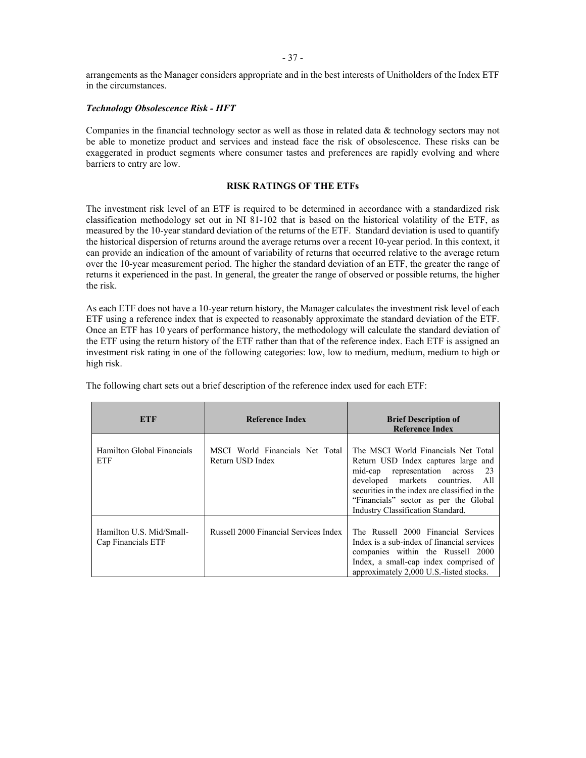arrangements as the Manager considers appropriate and in the best interests of Unitholders of the Index ETF in the circumstances.

### *Technology Obsolescence Risk - HFT*

Companies in the financial technology sector as well as those in related data & technology sectors may not be able to monetize product and services and instead face the risk of obsolescence. These risks can be exaggerated in product segments where consumer tastes and preferences are rapidly evolving and where barriers to entry are low.

### **RISK RATINGS OF THE ETFs**

The investment risk level of an ETF is required to be determined in accordance with a standardized risk classification methodology set out in NI 81-102 that is based on the historical volatility of the ETF, as measured by the 10-year standard deviation of the returns of the ETF. Standard deviation is used to quantify the historical dispersion of returns around the average returns over a recent 10-year period. In this context, it can provide an indication of the amount of variability of returns that occurred relative to the average return over the 10-year measurement period. The higher the standard deviation of an ETF, the greater the range of returns it experienced in the past. In general, the greater the range of observed or possible returns, the higher the risk.

As each ETF does not have a 10-year return history, the Manager calculates the investment risk level of each ETF using a reference index that is expected to reasonably approximate the standard deviation of the ETF. Once an ETF has 10 years of performance history, the methodology will calculate the standard deviation of the ETF using the return history of the ETF rather than that of the reference index. Each ETF is assigned an investment risk rating in one of the following categories: low, low to medium, medium, medium to high or high risk.

| ETF                                            | <b>Reference Index</b>                              | <b>Brief Description of</b><br><b>Reference Index</b>                                                                                                                                                                                                                                       |
|------------------------------------------------|-----------------------------------------------------|---------------------------------------------------------------------------------------------------------------------------------------------------------------------------------------------------------------------------------------------------------------------------------------------|
| Hamilton Global Financials<br>ETF              | MSCI World Financials Net Total<br>Return USD Index | The MSCI World Financials Net Total<br>Return USD Index captures large and<br>mid-cap representation across<br>- 23<br>developed markets countries.<br>- All<br>securities in the index are classified in the<br>"Financials" sector as per the Global<br>Industry Classification Standard. |
| Hamilton U.S. Mid/Small-<br>Cap Financials ETF | Russell 2000 Financial Services Index               | The Russell 2000 Financial Services<br>Index is a sub-index of financial services<br>companies within the Russell 2000<br>Index, a small-cap index comprised of<br>approximately 2,000 U.S.-listed stocks.                                                                                  |

The following chart sets out a brief description of the reference index used for each ETF: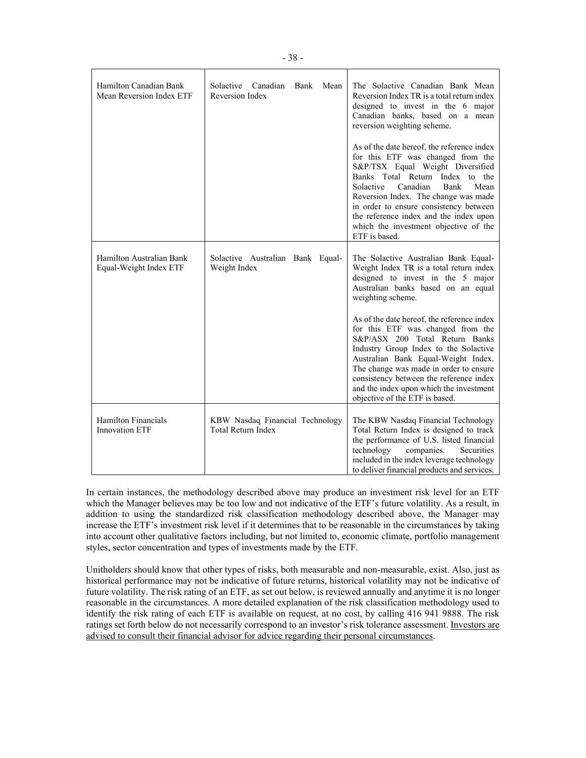| Hamilton Canadian Bank<br>Mean Reversion Index ETF  | Solactive Canadian Bank<br>Mean<br>Reversion Index           | The Solactive Canadian Bank Mean<br>Reversion Index TR is a total return index<br>designed to invest in the 6 major<br>Canadian banks, based on a mean<br>reversion weighting scheme.                                                                                                                                                                                                 |
|-----------------------------------------------------|--------------------------------------------------------------|---------------------------------------------------------------------------------------------------------------------------------------------------------------------------------------------------------------------------------------------------------------------------------------------------------------------------------------------------------------------------------------|
|                                                     |                                                              | As of the date hereof, the reference index<br>for this ETF was changed from the<br>S&P/TSX Equal Weight Diversified<br>Banks Total Return Index to the<br>Bank<br>Mean<br>Solactive<br>Canadian<br>Reversion Index. The change was made<br>in order to ensure consistency between<br>the reference index and the index upon<br>which the investment objective of the<br>ETF is based. |
| Hamilton Australian Bank<br>Equal-Weight Index ETF  | Solactive Australian Bank Equal-<br>Weight Index             | The Solactive Australian Bank Equal-<br>Weight Index TR is a total return index<br>designed to invest in the 5 major<br>Australian banks based on an equal<br>weighting scheme.                                                                                                                                                                                                       |
|                                                     |                                                              | As of the date hereof, the reference index<br>for this ETF was changed from the<br>S&P/ASX 200 Total Return Banks<br>Industry Group Index to the Solactive<br>Australian Bank Equal-Weight Index.<br>The change was made in order to ensure<br>consistency between the reference index<br>and the index upon which the investment<br>objective of the ETF is based.                   |
| <b>Hamilton Financials</b><br><b>Innovation ETF</b> | KBW Nasdaq Financial Technology<br><b>Total Return Index</b> | The KBW Nasdaq Financial Technology<br>Total Return Index is designed to track<br>the performance of U.S. listed financial<br>technology<br>companies.<br>Securities<br>included in the index leverage technology<br>to deliver financial products and services.                                                                                                                      |

In certain instances, the methodology described above may produce an investment risk level for an ETF which the Manager believes may be too low and not indicative of the ETF's future volatility. As a result, in addition to using the standardized risk classification methodology described above, the Manager may increase the ETF's investment risk level if it determines that to be reasonable in the circumstances by taking into account other qualitative factors including, but not limited to, economic climate, portfolio management styles, sector concentration and types of investments made by the ETF.

Unitholders should know that other types of risks, both measurable and non-measurable, exist. Also, just as historical performance may not be indicative of future returns, historical volatility may not be indicative of future volatility. The risk rating of an ETF, as set out below, is reviewed annually and anytime it is no longer reasonable in the circumstances. A more detailed explanation of the risk classification methodology used to identify the risk rating of each ETF is available on request, at no cost, by calling 416 941 9888. The risk ratings set forth below do not necessarily correspond to an investor's risk tolerance assessment. Investors are advised to consult their financial advisor for advice regarding their personal circumstances.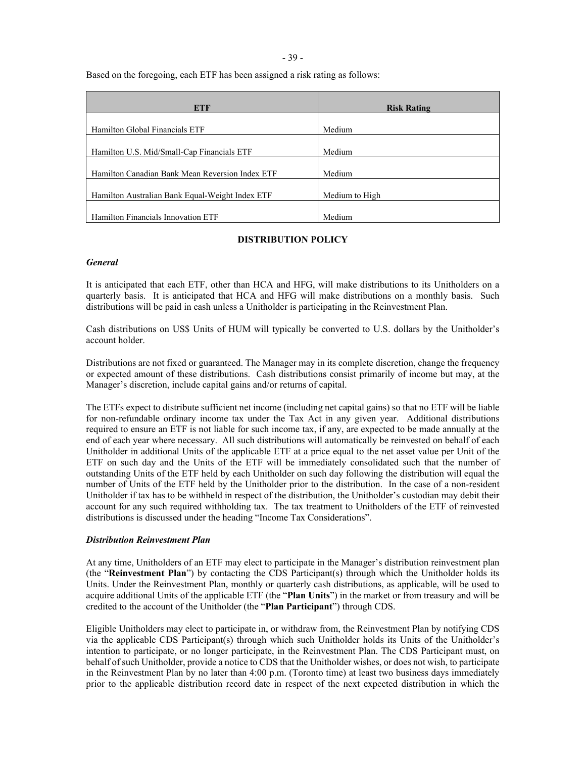- 39 -

Based on the foregoing, each ETF has been assigned a risk rating as follows:

| <b>ETF</b>                                      | <b>Risk Rating</b> |
|-------------------------------------------------|--------------------|
|                                                 |                    |
| Hamilton Global Financials ETF                  | Medium             |
|                                                 |                    |
| Hamilton U.S. Mid/Small-Cap Financials ETF      | Medium             |
|                                                 |                    |
| Hamilton Canadian Bank Mean Reversion Index ETF | Medium             |
|                                                 |                    |
| Hamilton Australian Bank Equal-Weight Index ETF | Medium to High     |
|                                                 |                    |
| Hamilton Financials Innovation ETF              | Medium             |

# **DISTRIBUTION POLICY**

### *General*

It is anticipated that each ETF, other than HCA and HFG, will make distributions to its Unitholders on a quarterly basis. It is anticipated that HCA and HFG will make distributions on a monthly basis. Such distributions will be paid in cash unless a Unitholder is participating in the Reinvestment Plan.

Cash distributions on US\$ Units of HUM will typically be converted to U.S. dollars by the Unitholder's account holder.

Distributions are not fixed or guaranteed. The Manager may in its complete discretion, change the frequency or expected amount of these distributions. Cash distributions consist primarily of income but may, at the Manager's discretion, include capital gains and/or returns of capital.

The ETFs expect to distribute sufficient net income (including net capital gains) so that no ETF will be liable for non-refundable ordinary income tax under the Tax Act in any given year. Additional distributions required to ensure an ETF is not liable for such income tax, if any, are expected to be made annually at the end of each year where necessary. All such distributions will automatically be reinvested on behalf of each Unitholder in additional Units of the applicable ETF at a price equal to the net asset value per Unit of the ETF on such day and the Units of the ETF will be immediately consolidated such that the number of outstanding Units of the ETF held by each Unitholder on such day following the distribution will equal the number of Units of the ETF held by the Unitholder prior to the distribution. In the case of a non-resident Unitholder if tax has to be withheld in respect of the distribution, the Unitholder's custodian may debit their account for any such required withholding tax. The tax treatment to Unitholders of the ETF of reinvested distributions is discussed under the heading "Income Tax Considerations".

### <span id="page-43-0"></span>*Distribution Reinvestment Plan*

At any time, Unitholders of an ETF may elect to participate in the Manager's distribution reinvestment plan (the "**Reinvestment Plan**") by contacting the CDS Participant(s) through which the Unitholder holds its Units. Under the Reinvestment Plan, monthly or quarterly cash distributions, as applicable, will be used to acquire additional Units of the applicable ETF (the "**Plan Units**") in the market or from treasury and will be credited to the account of the Unitholder (the "**Plan Participant**") through CDS.

Eligible Unitholders may elect to participate in, or withdraw from, the Reinvestment Plan by notifying CDS via the applicable CDS Participant(s) through which such Unitholder holds its Units of the Unitholder's intention to participate, or no longer participate, in the Reinvestment Plan. The CDS Participant must, on behalf of such Unitholder, provide a notice to CDS that the Unitholder wishes, or does not wish, to participate in the Reinvestment Plan by no later than 4:00 p.m. (Toronto time) at least two business days immediately prior to the applicable distribution record date in respect of the next expected distribution in which the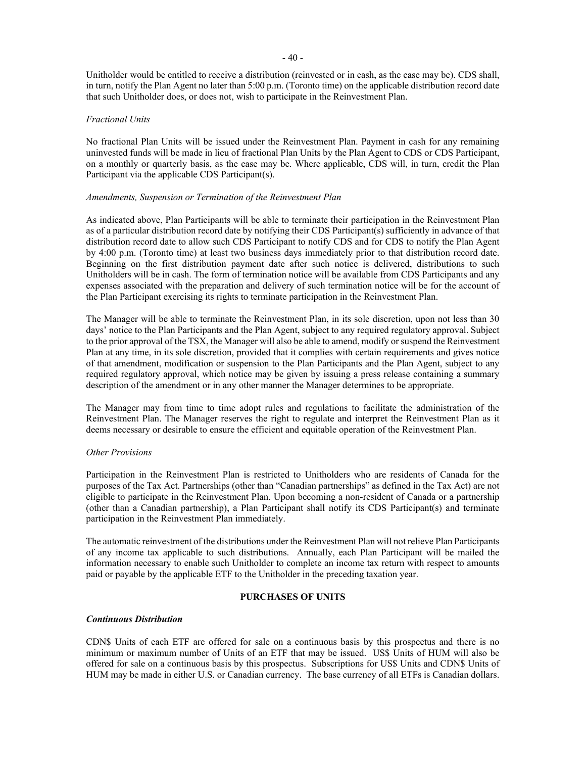Unitholder would be entitled to receive a distribution (reinvested or in cash, as the case may be). CDS shall, in turn, notify the Plan Agent no later than 5:00 p.m. (Toronto time) on the applicable distribution record date that such Unitholder does, or does not, wish to participate in the Reinvestment Plan.

### *Fractional Units*

No fractional Plan Units will be issued under the Reinvestment Plan. Payment in cash for any remaining uninvested funds will be made in lieu of fractional Plan Units by the Plan Agent to CDS or CDS Participant, on a monthly or quarterly basis, as the case may be. Where applicable, CDS will, in turn, credit the Plan Participant via the applicable CDS Participant(s).

### *Amendments, Suspension or Termination of the Reinvestment Plan*

As indicated above, Plan Participants will be able to terminate their participation in the Reinvestment Plan as of a particular distribution record date by notifying their CDS Participant(s) sufficiently in advance of that distribution record date to allow such CDS Participant to notify CDS and for CDS to notify the Plan Agent by 4:00 p.m. (Toronto time) at least two business days immediately prior to that distribution record date. Beginning on the first distribution payment date after such notice is delivered, distributions to such Unitholders will be in cash. The form of termination notice will be available from CDS Participants and any expenses associated with the preparation and delivery of such termination notice will be for the account of the Plan Participant exercising its rights to terminate participation in the Reinvestment Plan.

The Manager will be able to terminate the Reinvestment Plan, in its sole discretion, upon not less than 30 days' notice to the Plan Participants and the Plan Agent, subject to any required regulatory approval. Subject to the prior approval of the TSX, the Manager will also be able to amend, modify or suspend the Reinvestment Plan at any time, in its sole discretion, provided that it complies with certain requirements and gives notice of that amendment, modification or suspension to the Plan Participants and the Plan Agent, subject to any required regulatory approval, which notice may be given by issuing a press release containing a summary description of the amendment or in any other manner the Manager determines to be appropriate.

The Manager may from time to time adopt rules and regulations to facilitate the administration of the Reinvestment Plan. The Manager reserves the right to regulate and interpret the Reinvestment Plan as it deems necessary or desirable to ensure the efficient and equitable operation of the Reinvestment Plan.

### *Other Provisions*

Participation in the Reinvestment Plan is restricted to Unitholders who are residents of Canada for the purposes of the Tax Act. Partnerships (other than "Canadian partnerships" as defined in the Tax Act) are not eligible to participate in the Reinvestment Plan. Upon becoming a non-resident of Canada or a partnership (other than a Canadian partnership), a Plan Participant shall notify its CDS Participant(s) and terminate participation in the Reinvestment Plan immediately.

The automatic reinvestment of the distributions under the Reinvestment Plan will not relieve Plan Participants of any income tax applicable to such distributions. Annually, each Plan Participant will be mailed the information necessary to enable such Unitholder to complete an income tax return with respect to amounts paid or payable by the applicable ETF to the Unitholder in the preceding taxation year.

# **PURCHASES OF UNITS**

### <span id="page-44-0"></span>*Continuous Distribution*

CDN\$ Units of each ETF are offered for sale on a continuous basis by this prospectus and there is no minimum or maximum number of Units of an ETF that may be issued. US\$ Units of HUM will also be offered for sale on a continuous basis by this prospectus. Subscriptions for US\$ Units and CDN\$ Units of HUM may be made in either U.S. or Canadian currency. The base currency of all ETFs is Canadian dollars.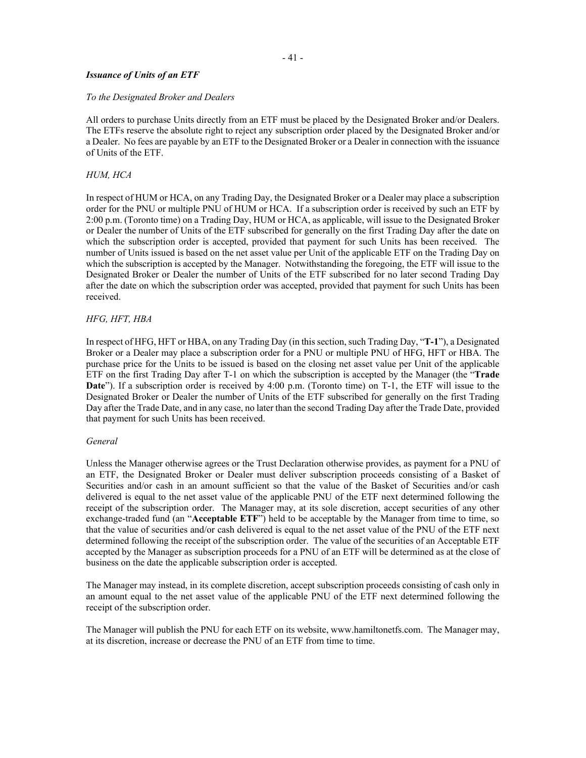### *Issuance of Units of an ETF*

#### *To the Designated Broker and Dealers*

All orders to purchase Units directly from an ETF must be placed by the Designated Broker and/or Dealers. The ETFs reserve the absolute right to reject any subscription order placed by the Designated Broker and/or a Dealer. No fees are payable by an ETF to the Designated Broker or a Dealer in connection with the issuance of Units of the ETF.

#### *HUM, HCA*

In respect of HUM or HCA, on any Trading Day, the Designated Broker or a Dealer may place a subscription order for the PNU or multiple PNU of HUM or HCA. If a subscription order is received by such an ETF by 2:00 p.m. (Toronto time) on a Trading Day, HUM or HCA, as applicable, will issue to the Designated Broker or Dealer the number of Units of the ETF subscribed for generally on the first Trading Day after the date on which the subscription order is accepted, provided that payment for such Units has been received. The number of Units issued is based on the net asset value per Unit of the applicable ETF on the Trading Day on which the subscription is accepted by the Manager. Notwithstanding the foregoing, the ETF will issue to the Designated Broker or Dealer the number of Units of the ETF subscribed for no later second Trading Day after the date on which the subscription order was accepted, provided that payment for such Units has been received.

#### *HFG, HFT, HBA*

In respect of HFG, HFT or HBA, on any Trading Day (in this section, such Trading Day, "**T-1**"), a Designated Broker or a Dealer may place a subscription order for a PNU or multiple PNU of HFG, HFT or HBA. The purchase price for the Units to be issued is based on the closing net asset value per Unit of the applicable ETF on the first Trading Day after T-1 on which the subscription is accepted by the Manager (the "**Trade Date**"). If a subscription order is received by 4:00 p.m. (Toronto time) on T-1, the ETF will issue to the Designated Broker or Dealer the number of Units of the ETF subscribed for generally on the first Trading Day after the Trade Date, and in any case, no later than the second Trading Day after the Trade Date, provided that payment for such Units has been received.

#### *General*

Unless the Manager otherwise agrees or the Trust Declaration otherwise provides, as payment for a PNU of an ETF, the Designated Broker or Dealer must deliver subscription proceeds consisting of a Basket of Securities and/or cash in an amount sufficient so that the value of the Basket of Securities and/or cash delivered is equal to the net asset value of the applicable PNU of the ETF next determined following the receipt of the subscription order. The Manager may, at its sole discretion, accept securities of any other exchange-traded fund (an "**Acceptable ETF**") held to be acceptable by the Manager from time to time, so that the value of securities and/or cash delivered is equal to the net asset value of the PNU of the ETF next determined following the receipt of the subscription order. The value of the securities of an Acceptable ETF accepted by the Manager as subscription proceeds for a PNU of an ETF will be determined as at the close of business on the date the applicable subscription order is accepted.

The Manager may instead, in its complete discretion, accept subscription proceeds consisting of cash only in an amount equal to the net asset value of the applicable PNU of the ETF next determined following the receipt of the subscription order.

The Manager will publish the PNU for each ETF on its website, www.hamiltonetfs.com. The Manager may, at its discretion, increase or decrease the PNU of an ETF from time to time.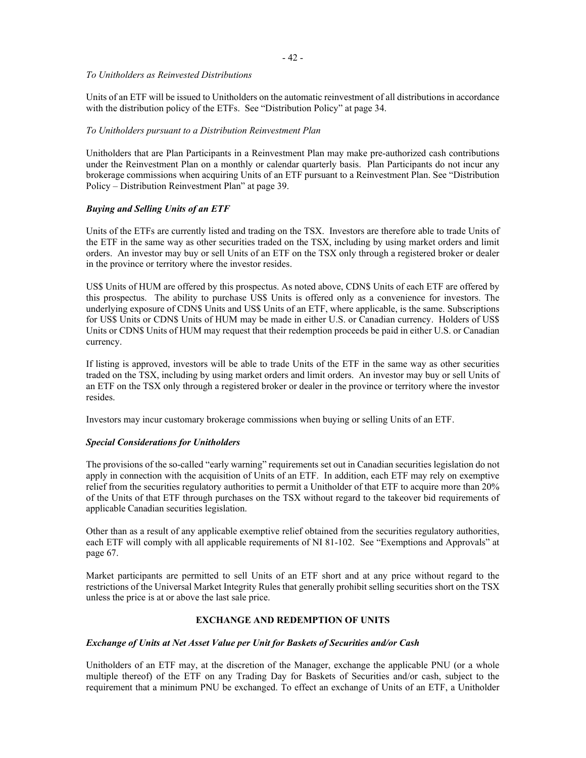### *To Unitholders as Reinvested Distributions*

Units of an ETF will be issued to Unitholders on the automatic reinvestment of all distributions in accordance with the distribution policy of the ETFs. See "Distribution Policy" at pag[e 34.](#page-38-0)

### *To Unitholders pursuant to a Distribution Reinvestment Plan*

Unitholders that are Plan Participants in a Reinvestment Plan may make pre-authorized cash contributions under the Reinvestment Plan on a monthly or calendar quarterly basis. Plan Participants do not incur any brokerage commissions when acquiring Units of an ETF pursuant to a Reinvestment Plan. See "Distribution Policy – Distribution Reinvestment Plan" at pag[e 39.](#page-43-0)

# *Buying and Selling Units of an ETF*

Units of the ETFs are currently listed and trading on the TSX. Investors are therefore able to trade Units of the ETF in the same way as other securities traded on the TSX, including by using market orders and limit orders. An investor may buy or sell Units of an ETF on the TSX only through a registered broker or dealer in the province or territory where the investor resides.

US\$ Units of HUM are offered by this prospectus. As noted above, CDN\$ Units of each ETF are offered by this prospectus. The ability to purchase US\$ Units is offered only as a convenience for investors. The underlying exposure of CDN\$ Units and US\$ Units of an ETF, where applicable, is the same. Subscriptions for US\$ Units or CDN\$ Units of HUM may be made in either U.S. or Canadian currency. Holders of US\$ Units or CDN\$ Units of HUM may request that their redemption proceeds be paid in either U.S. or Canadian currency.

If listing is approved, investors will be able to trade Units of the ETF in the same way as other securities traded on the TSX, including by using market orders and limit orders. An investor may buy or sell Units of an ETF on the TSX only through a registered broker or dealer in the province or territory where the investor resides.

Investors may incur customary brokerage commissions when buying or selling Units of an ETF.

# *Special Considerations for Unitholders*

The provisions of the so-called "early warning" requirements set out in Canadian securities legislation do not apply in connection with the acquisition of Units of an ETF. In addition, each ETF may rely on exemptive relief from the securities regulatory authorities to permit a Unitholder of that ETF to acquire more than 20% of the Units of that ETF through purchases on the TSX without regard to the takeover bid requirements of applicable Canadian securities legislation.

Other than as a result of any applicable exemptive relief obtained from the securities regulatory authorities, each ETF will comply with all applicable requirements of NI 81-102. See "Exemptions and Approvals" at page [67.](#page-71-0)

<span id="page-46-0"></span>Market participants are permitted to sell Units of an ETF short and at any price without regard to the restrictions of the Universal Market Integrity Rules that generally prohibit selling securities short on the TSX unless the price is at or above the last sale price.

# **EXCHANGE AND REDEMPTION OF UNITS**

# *Exchange of Units at Net Asset Value per Unit for Baskets of Securities and/or Cash*

Unitholders of an ETF may, at the discretion of the Manager, exchange the applicable PNU (or a whole multiple thereof) of the ETF on any Trading Day for Baskets of Securities and/or cash, subject to the requirement that a minimum PNU be exchanged. To effect an exchange of Units of an ETF, a Unitholder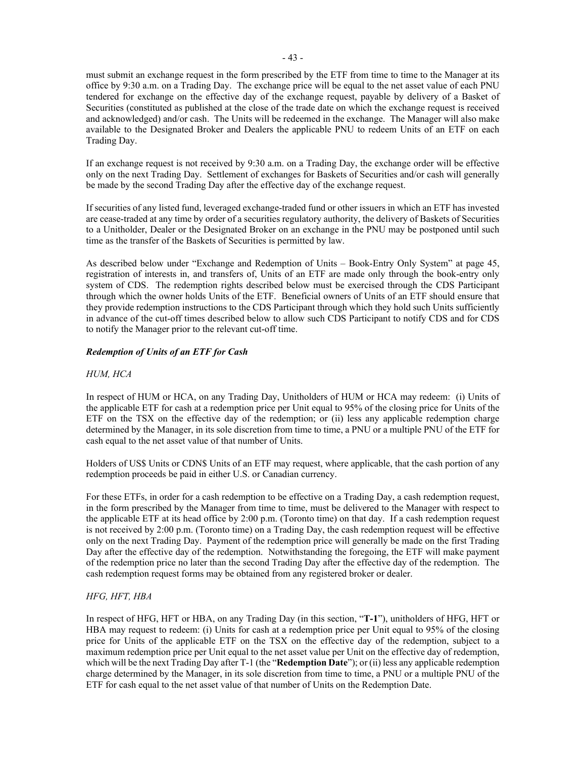must submit an exchange request in the form prescribed by the ETF from time to time to the Manager at its office by 9:30 a.m. on a Trading Day. The exchange price will be equal to the net asset value of each PNU tendered for exchange on the effective day of the exchange request, payable by delivery of a Basket of Securities (constituted as published at the close of the trade date on which the exchange request is received and acknowledged) and/or cash. The Units will be redeemed in the exchange. The Manager will also make available to the Designated Broker and Dealers the applicable PNU to redeem Units of an ETF on each Trading Day.

If an exchange request is not received by 9:30 a.m. on a Trading Day, the exchange order will be effective only on the next Trading Day. Settlement of exchanges for Baskets of Securities and/or cash will generally be made by the second Trading Day after the effective day of the exchange request.

If securities of any listed fund, leveraged exchange-traded fund or other issuers in which an ETF has invested are cease-traded at any time by order of a securities regulatory authority, the delivery of Baskets of Securities to a Unitholder, Dealer or the Designated Broker on an exchange in the PNU may be postponed until such time as the transfer of the Baskets of Securities is permitted by law.

As described below under "Exchange and Redemption of Units – Book-Entry Only System" at page [45,](#page-49-0) registration of interests in, and transfers of, Units of an ETF are made only through the book-entry only system of CDS. The redemption rights described below must be exercised through the CDS Participant through which the owner holds Units of the ETF. Beneficial owners of Units of an ETF should ensure that they provide redemption instructions to the CDS Participant through which they hold such Units sufficiently in advance of the cut-off times described below to allow such CDS Participant to notify CDS and for CDS to notify the Manager prior to the relevant cut-off time.

# *Redemption of Units of an ETF for Cash*

### *HUM, HCA*

In respect of HUM or HCA, on any Trading Day, Unitholders of HUM or HCA may redeem: (i) Units of the applicable ETF for cash at a redemption price per Unit equal to 95% of the closing price for Units of the ETF on the TSX on the effective day of the redemption; or (ii) less any applicable redemption charge determined by the Manager, in its sole discretion from time to time, a PNU or a multiple PNU of the ETF for cash equal to the net asset value of that number of Units.

Holders of US\$ Units or CDN\$ Units of an ETF may request, where applicable, that the cash portion of any redemption proceeds be paid in either U.S. or Canadian currency.

For these ETFs, in order for a cash redemption to be effective on a Trading Day, a cash redemption request, in the form prescribed by the Manager from time to time, must be delivered to the Manager with respect to the applicable ETF at its head office by 2:00 p.m. (Toronto time) on that day. If a cash redemption request is not received by 2:00 p.m. (Toronto time) on a Trading Day, the cash redemption request will be effective only on the next Trading Day. Payment of the redemption price will generally be made on the first Trading Day after the effective day of the redemption. Notwithstanding the foregoing, the ETF will make payment of the redemption price no later than the second Trading Day after the effective day of the redemption. The cash redemption request forms may be obtained from any registered broker or dealer.

### *HFG, HFT, HBA*

In respect of HFG, HFT or HBA, on any Trading Day (in this section, "**T-1**"), unitholders of HFG, HFT or HBA may request to redeem: (i) Units for cash at a redemption price per Unit equal to 95% of the closing price for Units of the applicable ETF on the TSX on the effective day of the redemption, subject to a maximum redemption price per Unit equal to the net asset value per Unit on the effective day of redemption, which will be the next Trading Day after T-1 (the "**Redemption Date**"); or (ii) less any applicable redemption charge determined by the Manager, in its sole discretion from time to time, a PNU or a multiple PNU of the ETF for cash equal to the net asset value of that number of Units on the Redemption Date.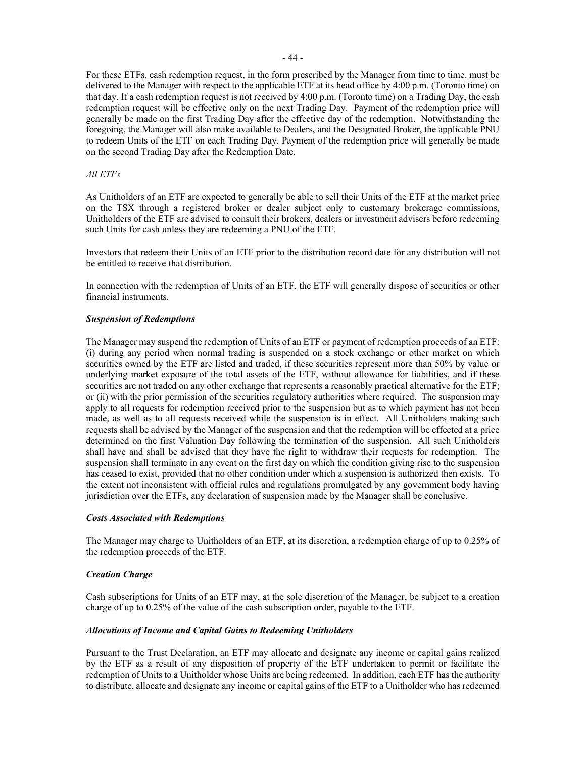For these ETFs, cash redemption request, in the form prescribed by the Manager from time to time, must be delivered to the Manager with respect to the applicable ETF at its head office by 4:00 p.m. (Toronto time) on that day. If a cash redemption request is not received by 4:00 p.m. (Toronto time) on a Trading Day, the cash redemption request will be effective only on the next Trading Day. Payment of the redemption price will generally be made on the first Trading Day after the effective day of the redemption. Notwithstanding the foregoing, the Manager will also make available to Dealers, and the Designated Broker, the applicable PNU to redeem Units of the ETF on each Trading Day. Payment of the redemption price will generally be made on the second Trading Day after the Redemption Date.

### *All ETFs*

As Unitholders of an ETF are expected to generally be able to sell their Units of the ETF at the market price on the TSX through a registered broker or dealer subject only to customary brokerage commissions, Unitholders of the ETF are advised to consult their brokers, dealers or investment advisers before redeeming such Units for cash unless they are redeeming a PNU of the ETF.

Investors that redeem their Units of an ETF prior to the distribution record date for any distribution will not be entitled to receive that distribution.

In connection with the redemption of Units of an ETF, the ETF will generally dispose of securities or other financial instruments.

### *Suspension of Redemptions*

The Manager may suspend the redemption of Units of an ETF or payment of redemption proceeds of an ETF: (i) during any period when normal trading is suspended on a stock exchange or other market on which securities owned by the ETF are listed and traded, if these securities represent more than 50% by value or underlying market exposure of the total assets of the ETF, without allowance for liabilities, and if these securities are not traded on any other exchange that represents a reasonably practical alternative for the ETF; or (ii) with the prior permission of the securities regulatory authorities where required. The suspension may apply to all requests for redemption received prior to the suspension but as to which payment has not been made, as well as to all requests received while the suspension is in effect. All Unitholders making such requests shall be advised by the Manager of the suspension and that the redemption will be effected at a price determined on the first Valuation Day following the termination of the suspension. All such Unitholders shall have and shall be advised that they have the right to withdraw their requests for redemption. The suspension shall terminate in any event on the first day on which the condition giving rise to the suspension has ceased to exist, provided that no other condition under which a suspension is authorized then exists. To the extent not inconsistent with official rules and regulations promulgated by any government body having jurisdiction over the ETFs, any declaration of suspension made by the Manager shall be conclusive.

### *Costs Associated with Redemptions*

The Manager may charge to Unitholders of an ETF, at its discretion, a redemption charge of up to 0.25% of the redemption proceeds of the ETF.

### *Creation Charge*

Cash subscriptions for Units of an ETF may, at the sole discretion of the Manager, be subject to a creation charge of up to 0.25% of the value of the cash subscription order, payable to the ETF.

### *Allocations of Income and Capital Gains to Redeeming Unitholders*

Pursuant to the Trust Declaration, an ETF may allocate and designate any income or capital gains realized by the ETF as a result of any disposition of property of the ETF undertaken to permit or facilitate the redemption of Units to a Unitholder whose Units are being redeemed. In addition, each ETF has the authority to distribute, allocate and designate any income or capital gains of the ETF to a Unitholder who has redeemed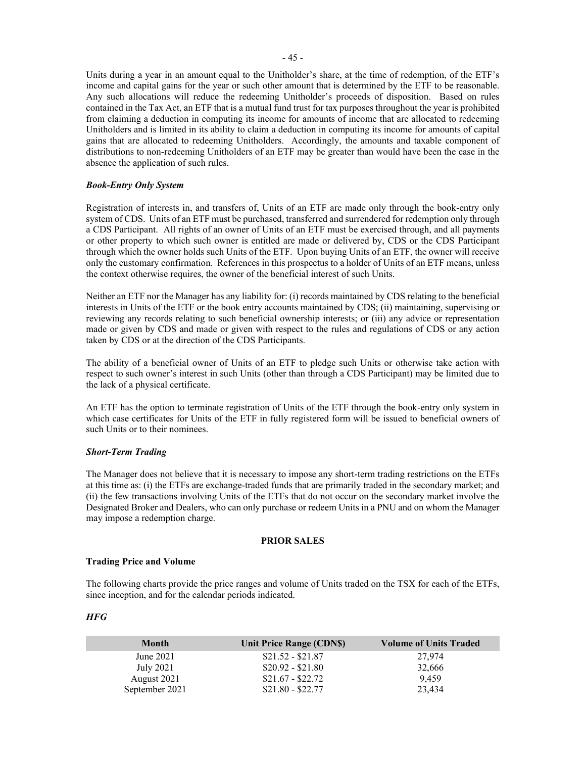Units during a year in an amount equal to the Unitholder's share, at the time of redemption, of the ETF's income and capital gains for the year or such other amount that is determined by the ETF to be reasonable. Any such allocations will reduce the redeeming Unitholder's proceeds of disposition. Based on rules contained in the Tax Act, an ETF that is a mutual fund trust for tax purposes throughout the year is prohibited from claiming a deduction in computing its income for amounts of income that are allocated to redeeming Unitholders and is limited in its ability to claim a deduction in computing its income for amounts of capital gains that are allocated to redeeming Unitholders. Accordingly, the amounts and taxable component of distributions to non-redeeming Unitholders of an ETF may be greater than would have been the case in the absence the application of such rules.

### <span id="page-49-0"></span>*Book-Entry Only System*

Registration of interests in, and transfers of, Units of an ETF are made only through the book-entry only system of CDS. Units of an ETF must be purchased, transferred and surrendered for redemption only through a CDS Participant. All rights of an owner of Units of an ETF must be exercised through, and all payments or other property to which such owner is entitled are made or delivered by, CDS or the CDS Participant through which the owner holds such Units of the ETF. Upon buying Units of an ETF, the owner will receive only the customary confirmation. References in this prospectus to a holder of Units of an ETF means, unless the context otherwise requires, the owner of the beneficial interest of such Units.

Neither an ETF nor the Manager has any liability for: (i) records maintained by CDS relating to the beneficial interests in Units of the ETF or the book entry accounts maintained by CDS; (ii) maintaining, supervising or reviewing any records relating to such beneficial ownership interests; or (iii) any advice or representation made or given by CDS and made or given with respect to the rules and regulations of CDS or any action taken by CDS or at the direction of the CDS Participants.

The ability of a beneficial owner of Units of an ETF to pledge such Units or otherwise take action with respect to such owner's interest in such Units (other than through a CDS Participant) may be limited due to the lack of a physical certificate.

An ETF has the option to terminate registration of Units of the ETF through the book-entry only system in which case certificates for Units of the ETF in fully registered form will be issued to beneficial owners of such Units or to their nominees.

### *Short-Term Trading*

The Manager does not believe that it is necessary to impose any short-term trading restrictions on the ETFs at this time as: (i) the ETFs are exchange-traded funds that are primarily traded in the secondary market; and (ii) the few transactions involving Units of the ETFs that do not occur on the secondary market involve the Designated Broker and Dealers, who can only purchase or redeem Units in a PNU and on whom the Manager may impose a redemption charge.

#### **PRIOR SALES**

### **Trading Price and Volume**

The following charts provide the price ranges and volume of Units traded on the TSX for each of the ETFs, since inception, and for the calendar periods indicated.

### *HFG*

| <b>Month</b>   | Unit Price Range (CDN\$) | <b>Volume of Units Traded</b> |
|----------------|--------------------------|-------------------------------|
| June 2021      | $$21.52 - $21.87$        | 27,974                        |
| July 2021      | $$20.92 - $21.80$        | 32,666                        |
| August 2021    | $$21.67 - $22.72$        | 9.459                         |
| September 2021 | $$21.80 - $22.77$        | 23.434                        |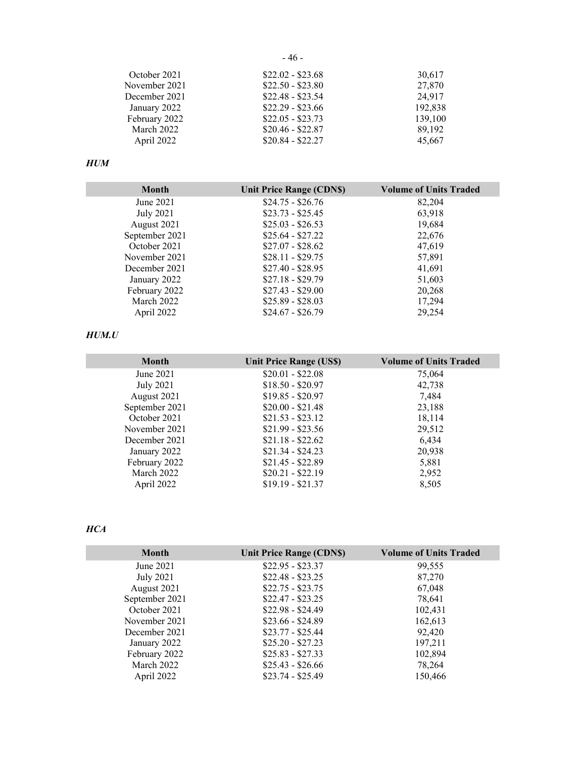October 2021 \$22.02 - \$23.68 30,617 November 2021 \$22.50 - \$23.80 27,870 December 2021 \$22.48 - \$23.54 24,917 January 2022 \$22.29 - \$23.66 192,838 February 2022 \$22.05 - \$23.73 139,100 March 2022 \$20.46 - \$22.87 89,192 April 2022 \$20.84 - \$22.27 45,667

# *HUM*

| <b>Month</b>     | <b>Unit Price Range (CDNS)</b> | <b>Volume of Units Traded</b> |
|------------------|--------------------------------|-------------------------------|
| June 2021        | $$24.75 - $26.76$              | 82,204                        |
| <b>July 2021</b> | $$23.73 - $25.45$              | 63,918                        |
| August 2021      | $$25.03 - $26.53$              | 19,684                        |
| September 2021   | $$25.64 - $27.22$              | 22,676                        |
| October 2021     | $$27.07 - $28.62$              | 47,619                        |
| November 2021    | $$28.11 - $29.75$              | 57,891                        |
| December 2021    | $$27.40 - $28.95$              | 41,691                        |
| January 2022     | $$27.18 - $29.79$              | 51,603                        |
| February 2022    | $$27.43 - $29.00$              | 20,268                        |
| March 2022       | $$25.89 - $28.03$              | 17,294                        |
| April 2022       | $$24.67 - $26.79$              | 29,254                        |

# *HUM.U*

| <b>Month</b>     | <b>Unit Price Range (US\$)</b> | <b>Volume of Units Traded</b> |
|------------------|--------------------------------|-------------------------------|
| June 2021        | $$20.01 - $22.08$              | 75,064                        |
| <b>July 2021</b> | $$18.50 - $20.97$              | 42,738                        |
| August 2021      | $$19.85 - $20.97$              | 7,484                         |
| September 2021   | $$20.00 - $21.48$              | 23,188                        |
| October 2021     | $$21.53 - $23.12$              | 18,114                        |
| November 2021    | $$21.99 - $23.56$              | 29,512                        |
| December 2021    | $$21.18 - $22.62$              | 6,434                         |
| January 2022     | $$21.34 - $24.23$              | 20,938                        |
| February 2022    | $$21.45 - $22.89$              | 5,881                         |
| March 2022       | $$20.21 - $22.19$              | 2,952                         |
| April 2022       | $$19.19 - $21.37$              | 8,505                         |

# *HCA*

| <b>Month</b>   | Unit Price Range (CDN\$) | <b>Volume of Units Traded</b> |
|----------------|--------------------------|-------------------------------|
| June 2021      | $$22.95 - $23.37$        | 99,555                        |
| July 2021      | $$22.48 - $23.25$        | 87,270                        |
| August 2021    | $$22.75 - $23.75$        | 67,048                        |
| September 2021 | $$22.47 - $23.25$        | 78,641                        |
| October 2021   | $$22.98 - $24.49$        | 102,431                       |
| November 2021  | $$23.66 - $24.89$        | 162,613                       |
| December 2021  | $$23.77 - $25.44$        | 92,420                        |
| January 2022   | $$25.20 - $27.23$        | 197,211                       |
| February 2022  | $$25.83 - $27.33$        | 102,894                       |
| March 2022     | $$25.43 - $26.66$        | 78,264                        |
| April 2022     | $$23.74 - $25.49$        | 150.466                       |

- 46 -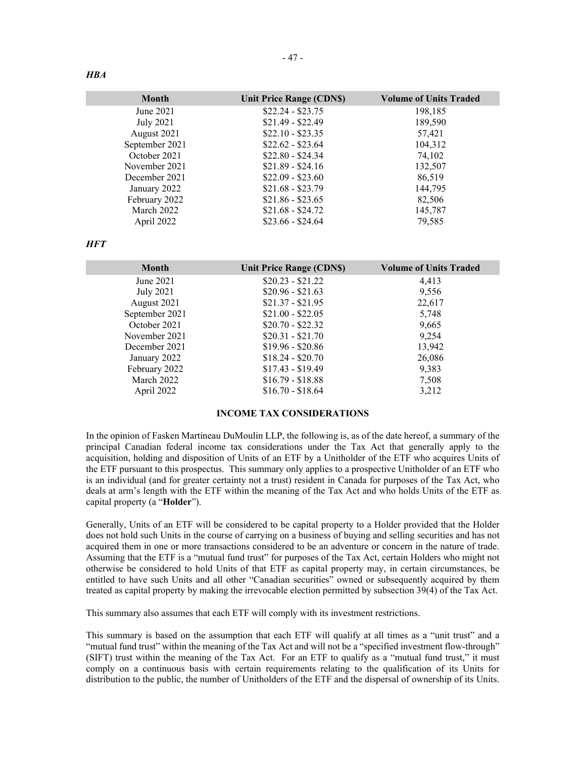| <b>Month</b>     | <b>Unit Price Range (CDNS)</b> | <b>Volume of Units Traded</b> |
|------------------|--------------------------------|-------------------------------|
| June 2021        | $$22.24 - $23.75$              | 198,185                       |
| <b>July 2021</b> | $$21.49 - $22.49$              | 189,590                       |
| August 2021      | $$22.10 - $23.35$              | 57,421                        |
| September 2021   | $$22.62 - $23.64$              | 104,312                       |
| October 2021     | $$22.80 - $24.34$              | 74,102                        |
| November 2021    | $$21.89 - $24.16$              | 132,507                       |
| December 2021    | $$22.09 - $23.60$              | 86,519                        |
| January 2022     | $$21.68 - $23.79$              | 144,795                       |
| February 2022    | $$21.86 - $23.65$              | 82,506                        |
| March 2022       | $$21.68 - $24.72$              | 145,787                       |
| April 2022       | $$23.66 - $24.64$              | 79,585                        |

*HFT* 

| <b>Month</b>     | Unit Price Range (CDN\$) | <b>Volume of Units Traded</b> |
|------------------|--------------------------|-------------------------------|
| June 2021        | $$20.23 - $21.22$        | 4,413                         |
| <b>July 2021</b> | $$20.96 - $21.63$        | 9,556                         |
| August 2021      | $$21.37 - $21.95$        | 22,617                        |
| September 2021   | $$21.00 - $22.05$        | 5,748                         |
| October 2021     | $$20.70 - $22.32$        | 9,665                         |
| November 2021    | $$20.31 - $21.70$        | 9.254                         |
| December 2021    | $$19.96 - $20.86$        | 13,942                        |
| January 2022     | $$18.24 - $20.70$        | 26,086                        |
| February 2022    | $$17.43 - $19.49$        | 9,383                         |
| March 2022       | $$16.79 - $18.88$        | 7,508                         |
| April 2022       | $$16.70 - $18.64$        | 3,212                         |

### **INCOME TAX CONSIDERATIONS**

In the opinion of Fasken Martineau DuMoulin LLP, the following is, as of the date hereof, a summary of the principal Canadian federal income tax considerations under the Tax Act that generally apply to the acquisition, holding and disposition of Units of an ETF by a Unitholder of the ETF who acquires Units of the ETF pursuant to this prospectus. This summary only applies to a prospective Unitholder of an ETF who is an individual (and for greater certainty not a trust) resident in Canada for purposes of the Tax Act, who deals at arm's length with the ETF within the meaning of the Tax Act and who holds Units of the ETF as capital property (a "**Holder**").

Generally, Units of an ETF will be considered to be capital property to a Holder provided that the Holder does not hold such Units in the course of carrying on a business of buying and selling securities and has not acquired them in one or more transactions considered to be an adventure or concern in the nature of trade. Assuming that the ETF is a "mutual fund trust" for purposes of the Tax Act, certain Holders who might not otherwise be considered to hold Units of that ETF as capital property may, in certain circumstances, be entitled to have such Units and all other "Canadian securities" owned or subsequently acquired by them treated as capital property by making the irrevocable election permitted by subsection 39(4) of the Tax Act.

This summary also assumes that each ETF will comply with its investment restrictions.

This summary is based on the assumption that each ETF will qualify at all times as a "unit trust" and a "mutual fund trust" within the meaning of the Tax Act and will not be a "specified investment flow-through" (SIFT) trust within the meaning of the Tax Act. For an ETF to qualify as a "mutual fund trust," it must comply on a continuous basis with certain requirements relating to the qualification of its Units for distribution to the public, the number of Unitholders of the ETF and the dispersal of ownership of its Units.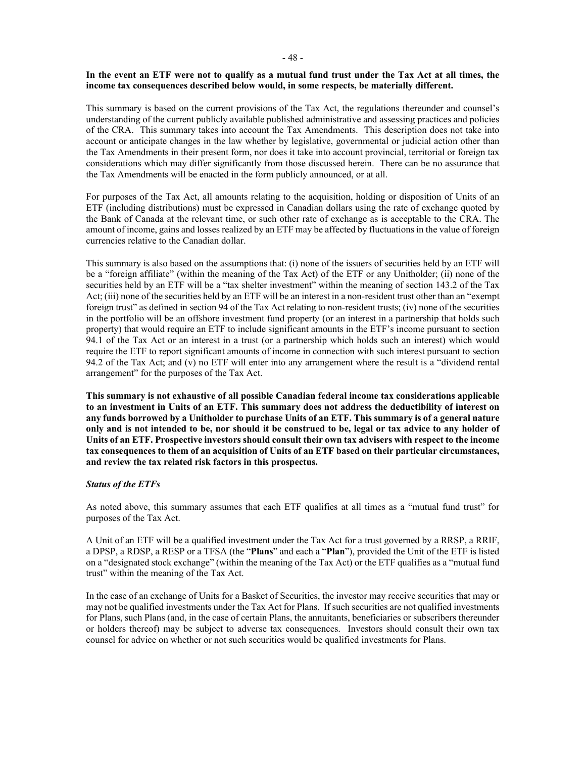### **In the event an ETF were not to qualify as a mutual fund trust under the Tax Act at all times, the income tax consequences described below would, in some respects, be materially different.**

This summary is based on the current provisions of the Tax Act, the regulations thereunder and counsel's understanding of the current publicly available published administrative and assessing practices and policies of the CRA. This summary takes into account the Tax Amendments. This description does not take into account or anticipate changes in the law whether by legislative, governmental or judicial action other than the Tax Amendments in their present form, nor does it take into account provincial, territorial or foreign tax considerations which may differ significantly from those discussed herein. There can be no assurance that the Tax Amendments will be enacted in the form publicly announced, or at all.

For purposes of the Tax Act, all amounts relating to the acquisition, holding or disposition of Units of an ETF (including distributions) must be expressed in Canadian dollars using the rate of exchange quoted by the Bank of Canada at the relevant time, or such other rate of exchange as is acceptable to the CRA. The amount of income, gains and losses realized by an ETF may be affected by fluctuations in the value of foreign currencies relative to the Canadian dollar.

This summary is also based on the assumptions that: (i) none of the issuers of securities held by an ETF will be a "foreign affiliate" (within the meaning of the Tax Act) of the ETF or any Unitholder; (ii) none of the securities held by an ETF will be a "tax shelter investment" within the meaning of section 143.2 of the Tax Act; (iii) none of the securities held by an ETF will be an interest in a non-resident trust other than an "exempt foreign trust" as defined in section 94 of the Tax Act relating to non-resident trusts; (iv) none of the securities in the portfolio will be an offshore investment fund property (or an interest in a partnership that holds such property) that would require an ETF to include significant amounts in the ETF's income pursuant to section 94.1 of the Tax Act or an interest in a trust (or a partnership which holds such an interest) which would require the ETF to report significant amounts of income in connection with such interest pursuant to section 94.2 of the Tax Act; and (v) no ETF will enter into any arrangement where the result is a "dividend rental arrangement" for the purposes of the Tax Act.

**This summary is not exhaustive of all possible Canadian federal income tax considerations applicable to an investment in Units of an ETF. This summary does not address the deductibility of interest on any funds borrowed by a Unitholder to purchase Units of an ETF. This summary is of a general nature only and is not intended to be, nor should it be construed to be, legal or tax advice to any holder of Units of an ETF. Prospective investors should consult their own tax advisers with respect to the income tax consequences to them of an acquisition of Units of an ETF based on their particular circumstances, and review the tax related risk factors in this prospectus.**

### *Status of the ETFs*

As noted above, this summary assumes that each ETF qualifies at all times as a "mutual fund trust" for purposes of the Tax Act.

A Unit of an ETF will be a qualified investment under the Tax Act for a trust governed by a RRSP, a RRIF, a DPSP, a RDSP, a RESP or a TFSA (the "**Plans**" and each a "**Plan**"), provided the Unit of the ETF is listed on a "designated stock exchange" (within the meaning of the Tax Act) or the ETF qualifies as a "mutual fund trust" within the meaning of the Tax Act.

In the case of an exchange of Units for a Basket of Securities, the investor may receive securities that may or may not be qualified investments under the Tax Act for Plans. If such securities are not qualified investments for Plans, such Plans (and, in the case of certain Plans, the annuitants, beneficiaries or subscribers thereunder or holders thereof) may be subject to adverse tax consequences. Investors should consult their own tax counsel for advice on whether or not such securities would be qualified investments for Plans.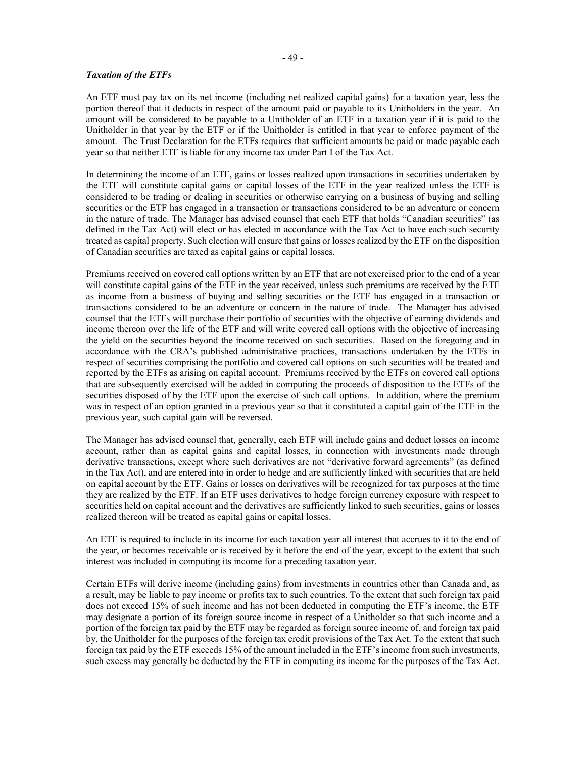### *Taxation of the ETFs*

An ETF must pay tax on its net income (including net realized capital gains) for a taxation year, less the portion thereof that it deducts in respect of the amount paid or payable to its Unitholders in the year. An amount will be considered to be payable to a Unitholder of an ETF in a taxation year if it is paid to the Unitholder in that year by the ETF or if the Unitholder is entitled in that year to enforce payment of the amount. The Trust Declaration for the ETFs requires that sufficient amounts be paid or made payable each year so that neither ETF is liable for any income tax under Part I of the Tax Act.

In determining the income of an ETF, gains or losses realized upon transactions in securities undertaken by the ETF will constitute capital gains or capital losses of the ETF in the year realized unless the ETF is considered to be trading or dealing in securities or otherwise carrying on a business of buying and selling securities or the ETF has engaged in a transaction or transactions considered to be an adventure or concern in the nature of trade. The Manager has advised counsel that each ETF that holds "Canadian securities" (as defined in the Tax Act) will elect or has elected in accordance with the Tax Act to have each such security treated as capital property. Such election will ensure that gains or losses realized by the ETF on the disposition of Canadian securities are taxed as capital gains or capital losses.

Premiums received on covered call options written by an ETF that are not exercised prior to the end of a year will constitute capital gains of the ETF in the year received, unless such premiums are received by the ETF as income from a business of buying and selling securities or the ETF has engaged in a transaction or transactions considered to be an adventure or concern in the nature of trade. The Manager has advised counsel that the ETFs will purchase their portfolio of securities with the objective of earning dividends and income thereon over the life of the ETF and will write covered call options with the objective of increasing the yield on the securities beyond the income received on such securities. Based on the foregoing and in accordance with the CRA's published administrative practices, transactions undertaken by the ETFs in respect of securities comprising the portfolio and covered call options on such securities will be treated and reported by the ETFs as arising on capital account. Premiums received by the ETFs on covered call options that are subsequently exercised will be added in computing the proceeds of disposition to the ETFs of the securities disposed of by the ETF upon the exercise of such call options. In addition, where the premium was in respect of an option granted in a previous year so that it constituted a capital gain of the ETF in the previous year, such capital gain will be reversed.

The Manager has advised counsel that, generally, each ETF will include gains and deduct losses on income account, rather than as capital gains and capital losses, in connection with investments made through derivative transactions, except where such derivatives are not "derivative forward agreements" (as defined in the Tax Act), and are entered into in order to hedge and are sufficiently linked with securities that are held on capital account by the ETF. Gains or losses on derivatives will be recognized for tax purposes at the time they are realized by the ETF. If an ETF uses derivatives to hedge foreign currency exposure with respect to securities held on capital account and the derivatives are sufficiently linked to such securities, gains or losses realized thereon will be treated as capital gains or capital losses.

An ETF is required to include in its income for each taxation year all interest that accrues to it to the end of the year, or becomes receivable or is received by it before the end of the year, except to the extent that such interest was included in computing its income for a preceding taxation year.

Certain ETFs will derive income (including gains) from investments in countries other than Canada and, as a result, may be liable to pay income or profits tax to such countries. To the extent that such foreign tax paid does not exceed 15% of such income and has not been deducted in computing the ETF's income, the ETF may designate a portion of its foreign source income in respect of a Unitholder so that such income and a portion of the foreign tax paid by the ETF may be regarded as foreign source income of, and foreign tax paid by, the Unitholder for the purposes of the foreign tax credit provisions of the Tax Act. To the extent that such foreign tax paid by the ETF exceeds 15% of the amount included in the ETF's income from such investments, such excess may generally be deducted by the ETF in computing its income for the purposes of the Tax Act.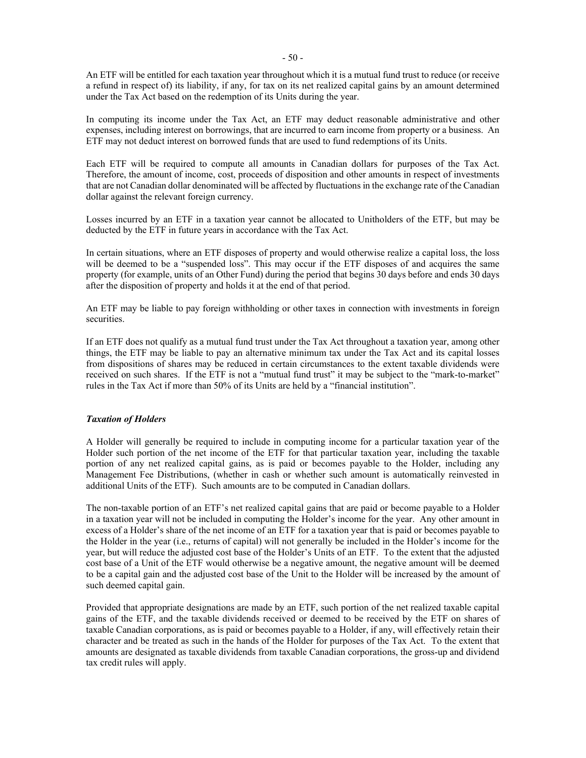An ETF will be entitled for each taxation year throughout which it is a mutual fund trust to reduce (or receive a refund in respect of) its liability, if any, for tax on its net realized capital gains by an amount determined under the Tax Act based on the redemption of its Units during the year.

In computing its income under the Tax Act, an ETF may deduct reasonable administrative and other expenses, including interest on borrowings, that are incurred to earn income from property or a business. An ETF may not deduct interest on borrowed funds that are used to fund redemptions of its Units.

Each ETF will be required to compute all amounts in Canadian dollars for purposes of the Tax Act. Therefore, the amount of income, cost, proceeds of disposition and other amounts in respect of investments that are not Canadian dollar denominated will be affected by fluctuations in the exchange rate of the Canadian dollar against the relevant foreign currency.

Losses incurred by an ETF in a taxation year cannot be allocated to Unitholders of the ETF, but may be deducted by the ETF in future years in accordance with the Tax Act.

In certain situations, where an ETF disposes of property and would otherwise realize a capital loss, the loss will be deemed to be a "suspended loss". This may occur if the ETF disposes of and acquires the same property (for example, units of an Other Fund) during the period that begins 30 days before and ends 30 days after the disposition of property and holds it at the end of that period.

An ETF may be liable to pay foreign withholding or other taxes in connection with investments in foreign securities.

If an ETF does not qualify as a mutual fund trust under the Tax Act throughout a taxation year, among other things, the ETF may be liable to pay an alternative minimum tax under the Tax Act and its capital losses from dispositions of shares may be reduced in certain circumstances to the extent taxable dividends were received on such shares. If the ETF is not a "mutual fund trust" it may be subject to the "mark-to-market" rules in the Tax Act if more than 50% of its Units are held by a "financial institution".

# *Taxation of Holders*

A Holder will generally be required to include in computing income for a particular taxation year of the Holder such portion of the net income of the ETF for that particular taxation year, including the taxable portion of any net realized capital gains, as is paid or becomes payable to the Holder, including any Management Fee Distributions, (whether in cash or whether such amount is automatically reinvested in additional Units of the ETF). Such amounts are to be computed in Canadian dollars.

The non-taxable portion of an ETF's net realized capital gains that are paid or become payable to a Holder in a taxation year will not be included in computing the Holder's income for the year. Any other amount in excess of a Holder's share of the net income of an ETF for a taxation year that is paid or becomes payable to the Holder in the year (i.e., returns of capital) will not generally be included in the Holder's income for the year, but will reduce the adjusted cost base of the Holder's Units of an ETF. To the extent that the adjusted cost base of a Unit of the ETF would otherwise be a negative amount, the negative amount will be deemed to be a capital gain and the adjusted cost base of the Unit to the Holder will be increased by the amount of such deemed capital gain.

Provided that appropriate designations are made by an ETF, such portion of the net realized taxable capital gains of the ETF, and the taxable dividends received or deemed to be received by the ETF on shares of taxable Canadian corporations, as is paid or becomes payable to a Holder, if any, will effectively retain their character and be treated as such in the hands of the Holder for purposes of the Tax Act. To the extent that amounts are designated as taxable dividends from taxable Canadian corporations, the gross-up and dividend tax credit rules will apply.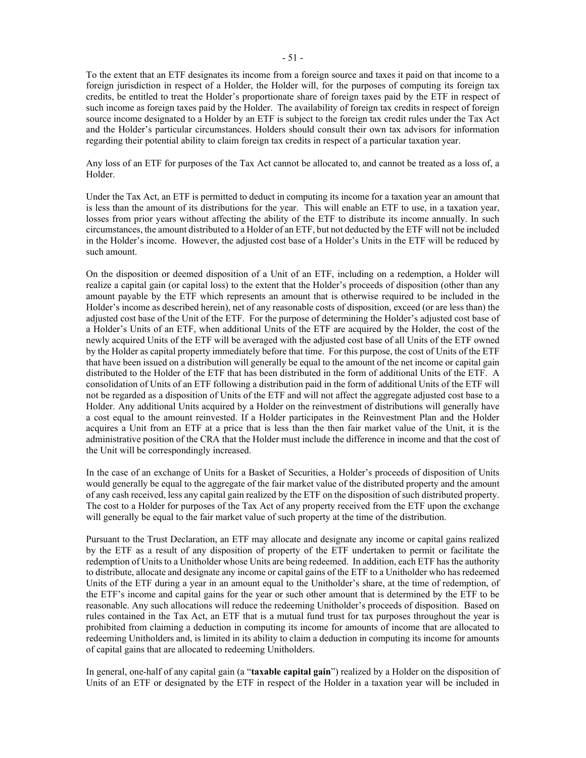To the extent that an ETF designates its income from a foreign source and taxes it paid on that income to a foreign jurisdiction in respect of a Holder, the Holder will, for the purposes of computing its foreign tax credits, be entitled to treat the Holder's proportionate share of foreign taxes paid by the ETF in respect of such income as foreign taxes paid by the Holder. The availability of foreign tax credits in respect of foreign source income designated to a Holder by an ETF is subject to the foreign tax credit rules under the Tax Act and the Holder's particular circumstances. Holders should consult their own tax advisors for information regarding their potential ability to claim foreign tax credits in respect of a particular taxation year.

Any loss of an ETF for purposes of the Tax Act cannot be allocated to, and cannot be treated as a loss of, a Holder.

Under the Tax Act, an ETF is permitted to deduct in computing its income for a taxation year an amount that is less than the amount of its distributions for the year. This will enable an ETF to use, in a taxation year, losses from prior years without affecting the ability of the ETF to distribute its income annually. In such circumstances, the amount distributed to a Holder of an ETF, but not deducted by the ETF will not be included in the Holder's income. However, the adjusted cost base of a Holder's Units in the ETF will be reduced by such amount.

On the disposition or deemed disposition of a Unit of an ETF, including on a redemption, a Holder will realize a capital gain (or capital loss) to the extent that the Holder's proceeds of disposition (other than any amount payable by the ETF which represents an amount that is otherwise required to be included in the Holder's income as described herein), net of any reasonable costs of disposition, exceed (or are less than) the adjusted cost base of the Unit of the ETF. For the purpose of determining the Holder's adjusted cost base of a Holder's Units of an ETF, when additional Units of the ETF are acquired by the Holder, the cost of the newly acquired Units of the ETF will be averaged with the adjusted cost base of all Units of the ETF owned by the Holder as capital property immediately before that time. For this purpose, the cost of Units of the ETF that have been issued on a distribution will generally be equal to the amount of the net income or capital gain distributed to the Holder of the ETF that has been distributed in the form of additional Units of the ETF. A consolidation of Units of an ETF following a distribution paid in the form of additional Units of the ETF will not be regarded as a disposition of Units of the ETF and will not affect the aggregate adjusted cost base to a Holder. Any additional Units acquired by a Holder on the reinvestment of distributions will generally have a cost equal to the amount reinvested. If a Holder participates in the Reinvestment Plan and the Holder acquires a Unit from an ETF at a price that is less than the then fair market value of the Unit, it is the administrative position of the CRA that the Holder must include the difference in income and that the cost of the Unit will be correspondingly increased.

In the case of an exchange of Units for a Basket of Securities, a Holder's proceeds of disposition of Units would generally be equal to the aggregate of the fair market value of the distributed property and the amount of any cash received, less any capital gain realized by the ETF on the disposition of such distributed property. The cost to a Holder for purposes of the Tax Act of any property received from the ETF upon the exchange will generally be equal to the fair market value of such property at the time of the distribution.

Pursuant to the Trust Declaration, an ETF may allocate and designate any income or capital gains realized by the ETF as a result of any disposition of property of the ETF undertaken to permit or facilitate the redemption of Units to a Unitholder whose Units are being redeemed. In addition, each ETF has the authority to distribute, allocate and designate any income or capital gains of the ETF to a Unitholder who has redeemed Units of the ETF during a year in an amount equal to the Unitholder's share, at the time of redemption, of the ETF's income and capital gains for the year or such other amount that is determined by the ETF to be reasonable. Any such allocations will reduce the redeeming Unitholder's proceeds of disposition. Based on rules contained in the Tax Act, an ETF that is a mutual fund trust for tax purposes throughout the year is prohibited from claiming a deduction in computing its income for amounts of income that are allocated to redeeming Unitholders and, is limited in its ability to claim a deduction in computing its income for amounts of capital gains that are allocated to redeeming Unitholders.

In general, one-half of any capital gain (a "**taxable capital gain**") realized by a Holder on the disposition of Units of an ETF or designated by the ETF in respect of the Holder in a taxation year will be included in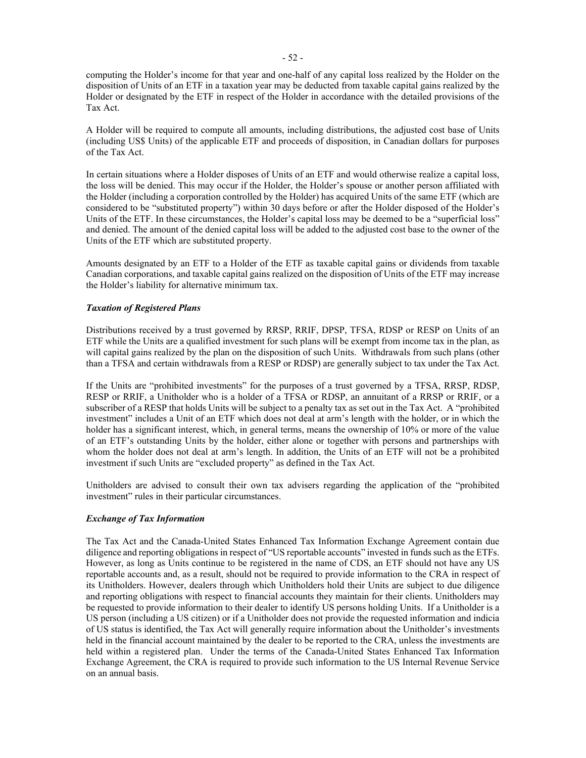computing the Holder's income for that year and one-half of any capital loss realized by the Holder on the disposition of Units of an ETF in a taxation year may be deducted from taxable capital gains realized by the Holder or designated by the ETF in respect of the Holder in accordance with the detailed provisions of the Tax Act.

A Holder will be required to compute all amounts, including distributions, the adjusted cost base of Units (including US\$ Units) of the applicable ETF and proceeds of disposition, in Canadian dollars for purposes of the Tax Act.

In certain situations where a Holder disposes of Units of an ETF and would otherwise realize a capital loss, the loss will be denied. This may occur if the Holder, the Holder's spouse or another person affiliated with the Holder (including a corporation controlled by the Holder) has acquired Units of the same ETF (which are considered to be "substituted property") within 30 days before or after the Holder disposed of the Holder's Units of the ETF. In these circumstances, the Holder's capital loss may be deemed to be a "superficial loss" and denied. The amount of the denied capital loss will be added to the adjusted cost base to the owner of the Units of the ETF which are substituted property.

Amounts designated by an ETF to a Holder of the ETF as taxable capital gains or dividends from taxable Canadian corporations, and taxable capital gains realized on the disposition of Units of the ETF may increase the Holder's liability for alternative minimum tax.

### *Taxation of Registered Plans*

Distributions received by a trust governed by RRSP, RRIF, DPSP, TFSA, RDSP or RESP on Units of an ETF while the Units are a qualified investment for such plans will be exempt from income tax in the plan, as will capital gains realized by the plan on the disposition of such Units. Withdrawals from such plans (other than a TFSA and certain withdrawals from a RESP or RDSP) are generally subject to tax under the Tax Act.

If the Units are "prohibited investments" for the purposes of a trust governed by a TFSA, RRSP, RDSP, RESP or RRIF, a Unitholder who is a holder of a TFSA or RDSP, an annuitant of a RRSP or RRIF, or a subscriber of a RESP that holds Units will be subject to a penalty tax as set out in the Tax Act. A "prohibited investment" includes a Unit of an ETF which does not deal at arm's length with the holder, or in which the holder has a significant interest, which, in general terms, means the ownership of 10% or more of the value of an ETF's outstanding Units by the holder, either alone or together with persons and partnerships with whom the holder does not deal at arm's length. In addition, the Units of an ETF will not be a prohibited investment if such Units are "excluded property" as defined in the Tax Act.

Unitholders are advised to consult their own tax advisers regarding the application of the "prohibited investment" rules in their particular circumstances.

### *Exchange of Tax Information*

The Tax Act and the Canada-United States Enhanced Tax Information Exchange Agreement contain due diligence and reporting obligations in respect of "US reportable accounts" invested in funds such as the ETFs. However, as long as Units continue to be registered in the name of CDS, an ETF should not have any US reportable accounts and, as a result, should not be required to provide information to the CRA in respect of its Unitholders. However, dealers through which Unitholders hold their Units are subject to due diligence and reporting obligations with respect to financial accounts they maintain for their clients. Unitholders may be requested to provide information to their dealer to identify US persons holding Units. If a Unitholder is a US person (including a US citizen) or if a Unitholder does not provide the requested information and indicia of US status is identified, the Tax Act will generally require information about the Unitholder's investments held in the financial account maintained by the dealer to be reported to the CRA, unless the investments are held within a registered plan. Under the terms of the Canada-United States Enhanced Tax Information Exchange Agreement, the CRA is required to provide such information to the US Internal Revenue Service on an annual basis.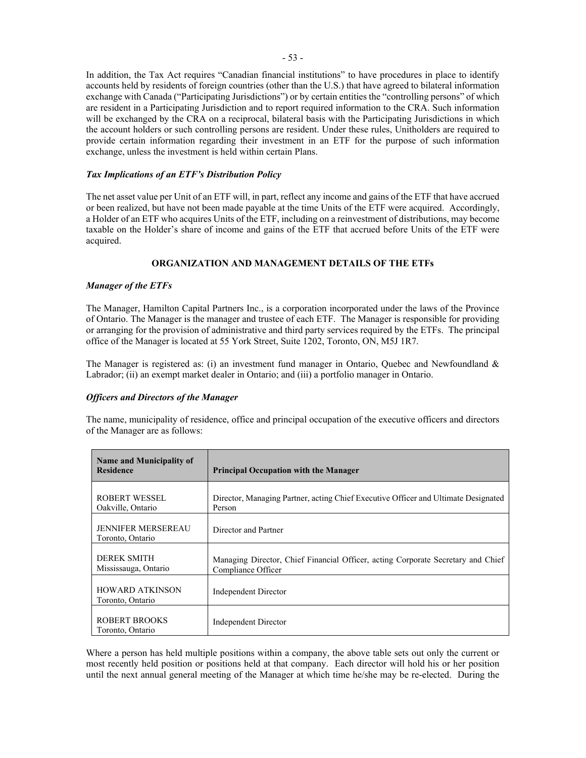In addition, the Tax Act requires "Canadian financial institutions" to have procedures in place to identify accounts held by residents of foreign countries (other than the U.S.) that have agreed to bilateral information exchange with Canada ("Participating Jurisdictions") or by certain entities the "controlling persons" of which are resident in a Participating Jurisdiction and to report required information to the CRA. Such information will be exchanged by the CRA on a reciprocal, bilateral basis with the Participating Jurisdictions in which the account holders or such controlling persons are resident. Under these rules, Unitholders are required to provide certain information regarding their investment in an ETF for the purpose of such information exchange, unless the investment is held within certain Plans.

### *Tax Implications of an ETF's Distribution Policy*

The net asset value per Unit of an ETF will, in part, reflect any income and gains of the ETF that have accrued or been realized, but have not been made payable at the time Units of the ETF were acquired. Accordingly, a Holder of an ETF who acquires Units of the ETF, including on a reinvestment of distributions, may become taxable on the Holder's share of income and gains of the ETF that accrued before Units of the ETF were acquired.

### **ORGANIZATION AND MANAGEMENT DETAILS OF THE ETFs**

### *Manager of the ETFs*

The Manager, Hamilton Capital Partners Inc., is a corporation incorporated under the laws of the Province of Ontario. The Manager is the manager and trustee of each ETF. The Manager is responsible for providing or arranging for the provision of administrative and third party services required by the ETFs. The principal office of the Manager is located at 55 York Street, Suite 1202, Toronto, ON, M5J 1R7.

The Manager is registered as: (i) an investment fund manager in Ontario, Quebec and Newfoundland & Labrador; (ii) an exempt market dealer in Ontario; and (iii) a portfolio manager in Ontario.

### *Officers and Directors of the Manager*

The name, municipality of residence, office and principal occupation of the executive officers and directors of the Manager are as follows:

| <b>Name and Municipality of</b><br><b>Residence</b> | <b>Principal Occupation with the Manager</b>                                                           |
|-----------------------------------------------------|--------------------------------------------------------------------------------------------------------|
| ROBERT WESSEL<br>Oakville, Ontario                  | Director, Managing Partner, acting Chief Executive Officer and Ultimate Designated<br>Person           |
| <b>JENNIFER MERSEREAU</b><br>Toronto, Ontario       | Director and Partner                                                                                   |
| DEREK SMITH<br>Mississauga, Ontario                 | Managing Director, Chief Financial Officer, acting Corporate Secretary and Chief<br>Compliance Officer |
| <b>HOWARD ATKINSON</b><br>Toronto, Ontario          | Independent Director                                                                                   |
| ROBERT BROOKS<br>Toronto, Ontario                   | Independent Director                                                                                   |

Where a person has held multiple positions within a company, the above table sets out only the current or most recently held position or positions held at that company. Each director will hold his or her position until the next annual general meeting of the Manager at which time he/she may be re-elected. During the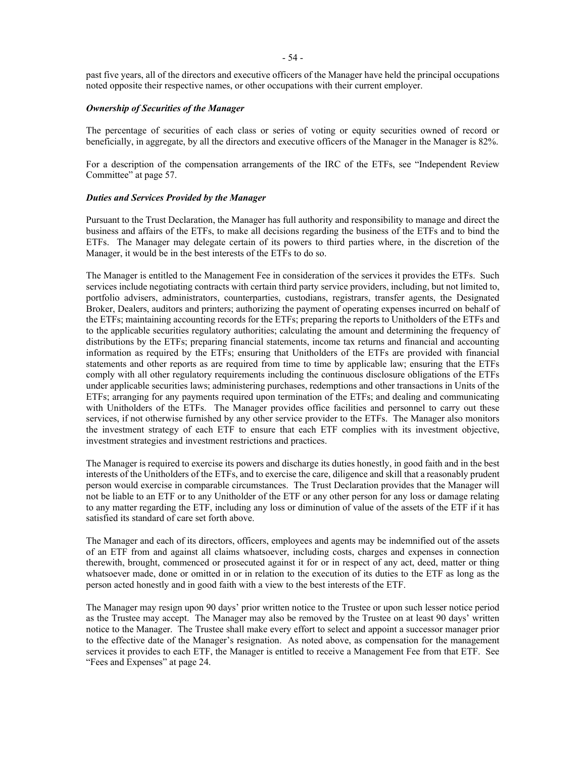past five years, all of the directors and executive officers of the Manager have held the principal occupations noted opposite their respective names, or other occupations with their current employer.

### *Ownership of Securities of the Manager*

The percentage of securities of each class or series of voting or equity securities owned of record or beneficially, in aggregate, by all the directors and executive officers of the Manager in the Manager is 82%.

For a description of the compensation arrangements of the IRC of the ETFs, see "Independent Review Committee" at pag[e 57.](#page-61-0)

### *Duties and Services Provided by the Manager*

Pursuant to the Trust Declaration, the Manager has full authority and responsibility to manage and direct the business and affairs of the ETFs, to make all decisions regarding the business of the ETFs and to bind the ETFs. The Manager may delegate certain of its powers to third parties where, in the discretion of the Manager, it would be in the best interests of the ETFs to do so.

The Manager is entitled to the Management Fee in consideration of the services it provides the ETFs. Such services include negotiating contracts with certain third party service providers, including, but not limited to, portfolio advisers, administrators, counterparties, custodians, registrars, transfer agents, the Designated Broker, Dealers, auditors and printers; authorizing the payment of operating expenses incurred on behalf of the ETFs; maintaining accounting records for the ETFs; preparing the reports to Unitholders of the ETFs and to the applicable securities regulatory authorities; calculating the amount and determining the frequency of distributions by the ETFs; preparing financial statements, income tax returns and financial and accounting information as required by the ETFs; ensuring that Unitholders of the ETFs are provided with financial statements and other reports as are required from time to time by applicable law; ensuring that the ETFs comply with all other regulatory requirements including the continuous disclosure obligations of the ETFs under applicable securities laws; administering purchases, redemptions and other transactions in Units of the ETFs; arranging for any payments required upon termination of the ETFs; and dealing and communicating with Unitholders of the ETFs. The Manager provides office facilities and personnel to carry out these services, if not otherwise furnished by any other service provider to the ETFs. The Manager also monitors the investment strategy of each ETF to ensure that each ETF complies with its investment objective, investment strategies and investment restrictions and practices.

The Manager is required to exercise its powers and discharge its duties honestly, in good faith and in the best interests of the Unitholders of the ETFs, and to exercise the care, diligence and skill that a reasonably prudent person would exercise in comparable circumstances. The Trust Declaration provides that the Manager will not be liable to an ETF or to any Unitholder of the ETF or any other person for any loss or damage relating to any matter regarding the ETF, including any loss or diminution of value of the assets of the ETF if it has satisfied its standard of care set forth above.

The Manager and each of its directors, officers, employees and agents may be indemnified out of the assets of an ETF from and against all claims whatsoever, including costs, charges and expenses in connection therewith, brought, commenced or prosecuted against it for or in respect of any act, deed, matter or thing whatsoever made, done or omitted in or in relation to the execution of its duties to the ETF as long as the person acted honestly and in good faith with a view to the best interests of the ETF.

The Manager may resign upon 90 days' prior written notice to the Trustee or upon such lesser notice period as the Trustee may accept. The Manager may also be removed by the Trustee on at least 90 days' written notice to the Manager. The Trustee shall make every effort to select and appoint a successor manager prior to the effective date of the Manager's resignation. As noted above, as compensation for the management services it provides to each ETF, the Manager is entitled to receive a Management Fee from that ETF. See "Fees and Expenses" at page [24.](#page-28-0)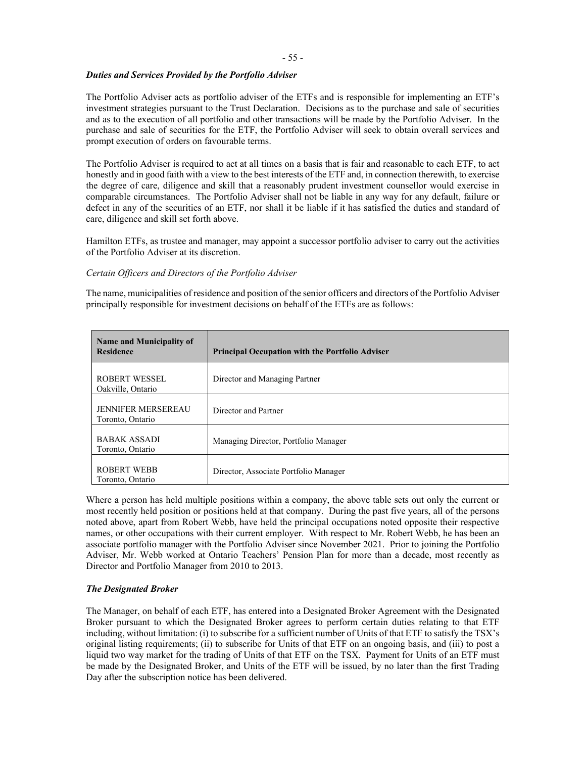### *Duties and Services Provided by the Portfolio Adviser*

The Portfolio Adviser acts as portfolio adviser of the ETFs and is responsible for implementing an ETF's investment strategies pursuant to the Trust Declaration. Decisions as to the purchase and sale of securities and as to the execution of all portfolio and other transactions will be made by the Portfolio Adviser. In the purchase and sale of securities for the ETF, the Portfolio Adviser will seek to obtain overall services and prompt execution of orders on favourable terms.

The Portfolio Adviser is required to act at all times on a basis that is fair and reasonable to each ETF, to act honestly and in good faith with a view to the best interests of the ETF and, in connection therewith, to exercise the degree of care, diligence and skill that a reasonably prudent investment counsellor would exercise in comparable circumstances. The Portfolio Adviser shall not be liable in any way for any default, failure or defect in any of the securities of an ETF, nor shall it be liable if it has satisfied the duties and standard of care, diligence and skill set forth above.

Hamilton ETFs, as trustee and manager, may appoint a successor portfolio adviser to carry out the activities of the Portfolio Adviser at its discretion.

### *Certain Officers and Directors of the Portfolio Adviser*

The name, municipalities of residence and position of the senior officers and directors of the Portfolio Adviser principally responsible for investment decisions on behalf of the ETFs are as follows:

| Name and Municipality of<br><b>Residence</b>  | <b>Principal Occupation with the Portfolio Adviser</b> |
|-----------------------------------------------|--------------------------------------------------------|
| ROBERT WESSEL<br>Oakville, Ontario            | Director and Managing Partner                          |
| <b>JENNIFER MERSEREAU</b><br>Toronto, Ontario | Director and Partner                                   |
| <b>BABAK ASSADI</b><br>Toronto, Ontario       | Managing Director, Portfolio Manager                   |
| ROBERT WEBB<br>Toronto, Ontario               | Director, Associate Portfolio Manager                  |

Where a person has held multiple positions within a company, the above table sets out only the current or most recently held position or positions held at that company. During the past five years, all of the persons noted above, apart from Robert Webb, have held the principal occupations noted opposite their respective names, or other occupations with their current employer. With respect to Mr. Robert Webb, he has been an associate portfolio manager with the Portfolio Adviser since November 2021. Prior to joining the Portfolio Adviser, Mr. Webb worked at Ontario Teachers' Pension Plan for more than a decade, most recently as Director and Portfolio Manager from 2010 to 2013.

# *The Designated Broker*

The Manager, on behalf of each ETF, has entered into a Designated Broker Agreement with the Designated Broker pursuant to which the Designated Broker agrees to perform certain duties relating to that ETF including, without limitation: (i) to subscribe for a sufficient number of Units of that ETF to satisfy the TSX's original listing requirements; (ii) to subscribe for Units of that ETF on an ongoing basis, and (iii) to post a liquid two way market for the trading of Units of that ETF on the TSX. Payment for Units of an ETF must be made by the Designated Broker, and Units of the ETF will be issued, by no later than the first Trading Day after the subscription notice has been delivered.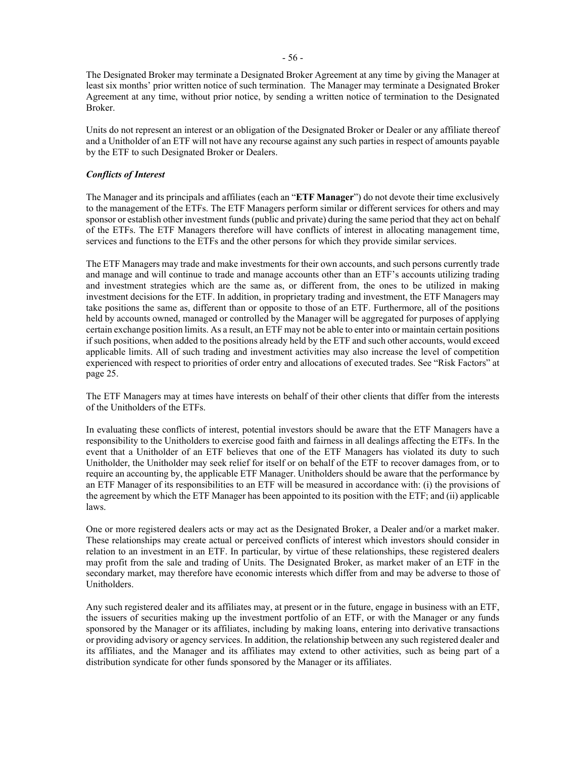The Designated Broker may terminate a Designated Broker Agreement at any time by giving the Manager at least six months' prior written notice of such termination. The Manager may terminate a Designated Broker Agreement at any time, without prior notice, by sending a written notice of termination to the Designated Broker.

Units do not represent an interest or an obligation of the Designated Broker or Dealer or any affiliate thereof and a Unitholder of an ETF will not have any recourse against any such parties in respect of amounts payable by the ETF to such Designated Broker or Dealers.

### *Conflicts of Interest*

The Manager and its principals and affiliates (each an "**ETF Manager**") do not devote their time exclusively to the management of the ETFs. The ETF Managers perform similar or different services for others and may sponsor or establish other investment funds (public and private) during the same period that they act on behalf of the ETFs. The ETF Managers therefore will have conflicts of interest in allocating management time, services and functions to the ETFs and the other persons for which they provide similar services.

The ETF Managers may trade and make investments for their own accounts, and such persons currently trade and manage and will continue to trade and manage accounts other than an ETF's accounts utilizing trading and investment strategies which are the same as, or different from, the ones to be utilized in making investment decisions for the ETF. In addition, in proprietary trading and investment, the ETF Managers may take positions the same as, different than or opposite to those of an ETF. Furthermore, all of the positions held by accounts owned, managed or controlled by the Manager will be aggregated for purposes of applying certain exchange position limits. As a result, an ETF may not be able to enter into or maintain certain positions if such positions, when added to the positions already held by the ETF and such other accounts, would exceed applicable limits. All of such trading and investment activities may also increase the level of competition experienced with respect to priorities of order entry and allocations of executed trades. See "Risk Factors" at page [25.](#page-29-0)

The ETF Managers may at times have interests on behalf of their other clients that differ from the interests of the Unitholders of the ETFs.

In evaluating these conflicts of interest, potential investors should be aware that the ETF Managers have a responsibility to the Unitholders to exercise good faith and fairness in all dealings affecting the ETFs. In the event that a Unitholder of an ETF believes that one of the ETF Managers has violated its duty to such Unitholder, the Unitholder may seek relief for itself or on behalf of the ETF to recover damages from, or to require an accounting by, the applicable ETF Manager. Unitholders should be aware that the performance by an ETF Manager of its responsibilities to an ETF will be measured in accordance with: (i) the provisions of the agreement by which the ETF Manager has been appointed to its position with the ETF; and (ii) applicable laws.

One or more registered dealers acts or may act as the Designated Broker, a Dealer and/or a market maker. These relationships may create actual or perceived conflicts of interest which investors should consider in relation to an investment in an ETF. In particular, by virtue of these relationships, these registered dealers may profit from the sale and trading of Units. The Designated Broker, as market maker of an ETF in the secondary market, may therefore have economic interests which differ from and may be adverse to those of Unitholders.

Any such registered dealer and its affiliates may, at present or in the future, engage in business with an ETF, the issuers of securities making up the investment portfolio of an ETF, or with the Manager or any funds sponsored by the Manager or its affiliates, including by making loans, entering into derivative transactions or providing advisory or agency services. In addition, the relationship between any such registered dealer and its affiliates, and the Manager and its affiliates may extend to other activities, such as being part of a distribution syndicate for other funds sponsored by the Manager or its affiliates.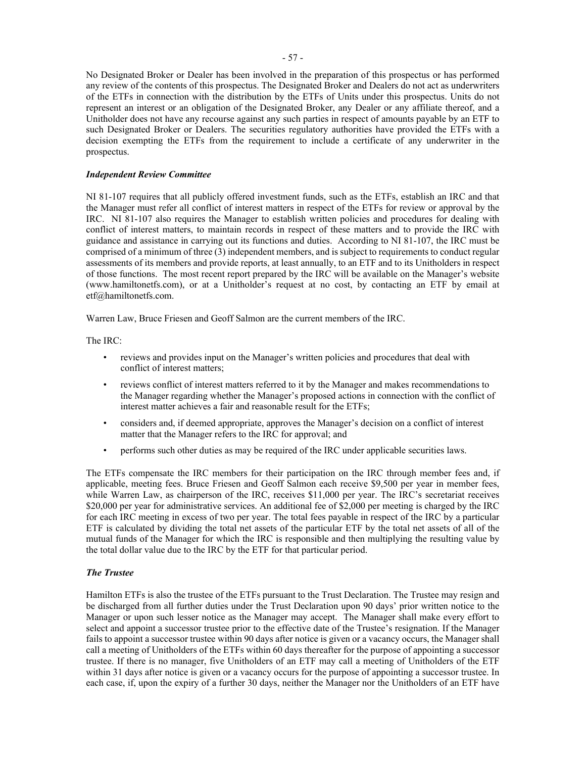No Designated Broker or Dealer has been involved in the preparation of this prospectus or has performed any review of the contents of this prospectus. The Designated Broker and Dealers do not act as underwriters of the ETFs in connection with the distribution by the ETFs of Units under this prospectus. Units do not represent an interest or an obligation of the Designated Broker, any Dealer or any affiliate thereof, and a Unitholder does not have any recourse against any such parties in respect of amounts payable by an ETF to such Designated Broker or Dealers. The securities regulatory authorities have provided the ETFs with a decision exempting the ETFs from the requirement to include a certificate of any underwriter in the prospectus.

### <span id="page-61-0"></span>*Independent Review Committee*

NI 81-107 requires that all publicly offered investment funds, such as the ETFs, establish an IRC and that the Manager must refer all conflict of interest matters in respect of the ETFs for review or approval by the IRC. NI 81-107 also requires the Manager to establish written policies and procedures for dealing with conflict of interest matters, to maintain records in respect of these matters and to provide the IRC with guidance and assistance in carrying out its functions and duties. According to NI 81-107, the IRC must be comprised of a minimum of three  $(3)$  independent members, and is subject to requirements to conduct regular assessments of its members and provide reports, at least annually, to an ETF and to its Unitholders in respect of those functions. The most recent report prepared by the IRC will be available on the Manager's website (www.hamiltonetfs.com), or at a Unitholder's request at no cost, by contacting an ETF by email at etf@hamiltonetfs.com.

Warren Law, Bruce Friesen and Geoff Salmon are the current members of the IRC.

The IRC:

- reviews and provides input on the Manager's written policies and procedures that deal with conflict of interest matters;
- reviews conflict of interest matters referred to it by the Manager and makes recommendations to the Manager regarding whether the Manager's proposed actions in connection with the conflict of interest matter achieves a fair and reasonable result for the ETFs;
- considers and, if deemed appropriate, approves the Manager's decision on a conflict of interest matter that the Manager refers to the IRC for approval; and
- performs such other duties as may be required of the IRC under applicable securities laws.

The ETFs compensate the IRC members for their participation on the IRC through member fees and, if applicable, meeting fees. Bruce Friesen and Geoff Salmon each receive \$9,500 per year in member fees, while Warren Law, as chairperson of the IRC, receives \$11,000 per year. The IRC's secretariat receives \$20,000 per year for administrative services. An additional fee of  $\hat{\Sigma}$ ,000 per meeting is charged by the IRC for each IRC meeting in excess of two per year. The total fees payable in respect of the IRC by a particular ETF is calculated by dividing the total net assets of the particular ETF by the total net assets of all of the mutual funds of the Manager for which the IRC is responsible and then multiplying the resulting value by the total dollar value due to the IRC by the ETF for that particular period.

### <span id="page-61-1"></span>*The Trustee*

Hamilton ETFs is also the trustee of the ETFs pursuant to the Trust Declaration. The Trustee may resign and be discharged from all further duties under the Trust Declaration upon 90 days' prior written notice to the Manager or upon such lesser notice as the Manager may accept. The Manager shall make every effort to select and appoint a successor trustee prior to the effective date of the Trustee's resignation. If the Manager fails to appoint a successor trustee within 90 days after notice is given or a vacancy occurs, the Manager shall call a meeting of Unitholders of the ETFs within 60 days thereafter for the purpose of appointing a successor trustee. If there is no manager, five Unitholders of an ETF may call a meeting of Unitholders of the ETF within 31 days after notice is given or a vacancy occurs for the purpose of appointing a successor trustee. In each case, if, upon the expiry of a further 30 days, neither the Manager nor the Unitholders of an ETF have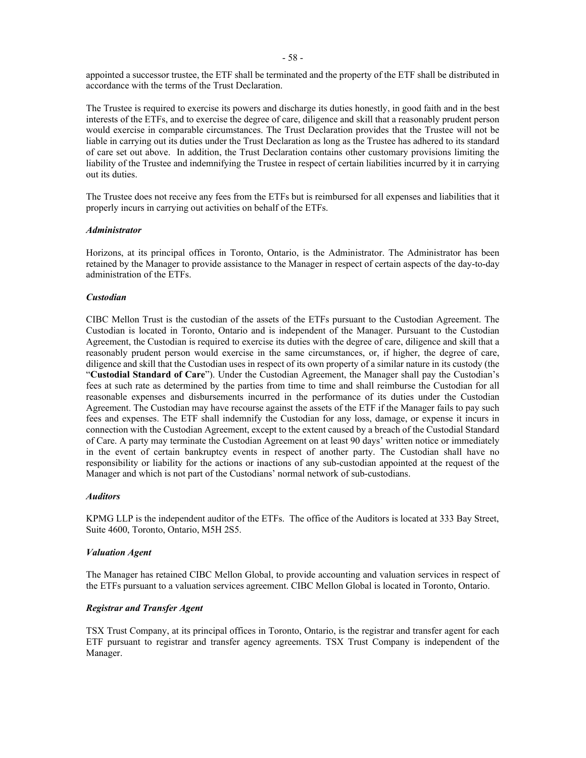appointed a successor trustee, the ETF shall be terminated and the property of the ETF shall be distributed in accordance with the terms of the Trust Declaration.

The Trustee is required to exercise its powers and discharge its duties honestly, in good faith and in the best interests of the ETFs, and to exercise the degree of care, diligence and skill that a reasonably prudent person would exercise in comparable circumstances. The Trust Declaration provides that the Trustee will not be liable in carrying out its duties under the Trust Declaration as long as the Trustee has adhered to its standard of care set out above. In addition, the Trust Declaration contains other customary provisions limiting the liability of the Trustee and indemnifying the Trustee in respect of certain liabilities incurred by it in carrying out its duties.

The Trustee does not receive any fees from the ETFs but is reimbursed for all expenses and liabilities that it properly incurs in carrying out activities on behalf of the ETFs.

#### *Administrator*

Horizons, at its principal offices in Toronto, Ontario, is the Administrator. The Administrator has been retained by the Manager to provide assistance to the Manager in respect of certain aspects of the day-to-day administration of the ETFs.

#### <span id="page-62-0"></span>*Custodian*

CIBC Mellon Trust is the custodian of the assets of the ETFs pursuant to the Custodian Agreement. The Custodian is located in Toronto, Ontario and is independent of the Manager. Pursuant to the Custodian Agreement, the Custodian is required to exercise its duties with the degree of care, diligence and skill that a reasonably prudent person would exercise in the same circumstances, or, if higher, the degree of care, diligence and skill that the Custodian uses in respect of its own property of a similar nature in its custody (the "**Custodial Standard of Care**"). Under the Custodian Agreement, the Manager shall pay the Custodian's fees at such rate as determined by the parties from time to time and shall reimburse the Custodian for all reasonable expenses and disbursements incurred in the performance of its duties under the Custodian Agreement. The Custodian may have recourse against the assets of the ETF if the Manager fails to pay such fees and expenses. The ETF shall indemnify the Custodian for any loss, damage, or expense it incurs in connection with the Custodian Agreement, except to the extent caused by a breach of the Custodial Standard of Care. A party may terminate the Custodian Agreement on at least 90 days' written notice or immediately in the event of certain bankruptcy events in respect of another party. The Custodian shall have no responsibility or liability for the actions or inactions of any sub-custodian appointed at the request of the Manager and which is not part of the Custodians' normal network of sub-custodians.

#### *Auditors*

KPMG LLP is the independent auditor of the ETFs. The office of the Auditors is located at 333 Bay Street, Suite 4600, Toronto, Ontario, M5H 2S5.

#### *Valuation Agent*

The Manager has retained CIBC Mellon Global, to provide accounting and valuation services in respect of the ETFs pursuant to a valuation services agreement. CIBC Mellon Global is located in Toronto, Ontario.

### *Registrar and Transfer Agent*

TSX Trust Company, at its principal offices in Toronto, Ontario, is the registrar and transfer agent for each ETF pursuant to registrar and transfer agency agreements. TSX Trust Company is independent of the Manager.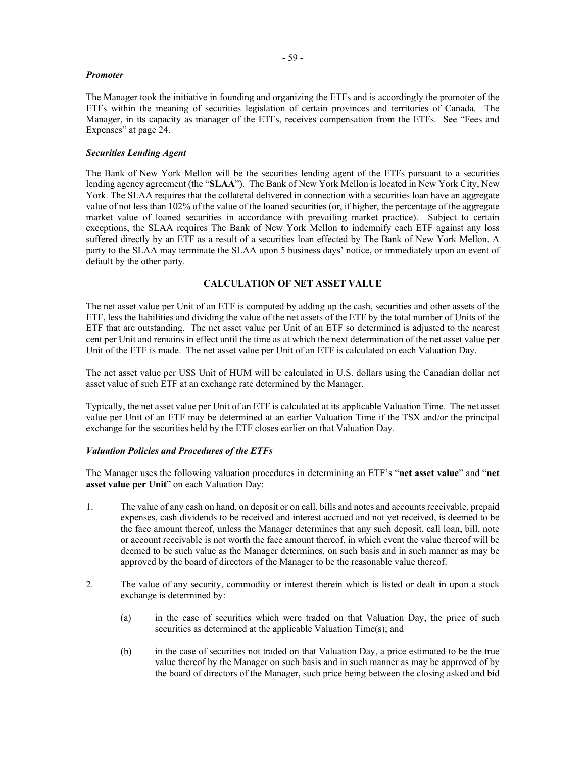#### *Promoter*

The Manager took the initiative in founding and organizing the ETFs and is accordingly the promoter of the ETFs within the meaning of securities legislation of certain provinces and territories of Canada. The Manager, in its capacity as manager of the ETFs, receives compensation from the ETFs. See "Fees and Expenses" at page [24.](#page-28-0)

### *Securities Lending Agent*

The Bank of New York Mellon will be the securities lending agent of the ETFs pursuant to a securities lending agency agreement (the "**SLAA**"). The Bank of New York Mellon is located in New York City, New York. The SLAA requires that the collateral delivered in connection with a securities loan have an aggregate value of not less than 102% of the value of the loaned securities (or, if higher, the percentage of the aggregate market value of loaned securities in accordance with prevailing market practice). Subject to certain exceptions, the SLAA requires The Bank of New York Mellon to indemnify each ETF against any loss suffered directly by an ETF as a result of a securities loan effected by The Bank of New York Mellon. A party to the SLAA may terminate the SLAA upon 5 business days' notice, or immediately upon an event of default by the other party.

# **CALCULATION OF NET ASSET VALUE**

The net asset value per Unit of an ETF is computed by adding up the cash, securities and other assets of the ETF, less the liabilities and dividing the value of the net assets of the ETF by the total number of Units of the ETF that are outstanding. The net asset value per Unit of an ETF so determined is adjusted to the nearest cent per Unit and remains in effect until the time as at which the next determination of the net asset value per Unit of the ETF is made. The net asset value per Unit of an ETF is calculated on each Valuation Day.

The net asset value per US\$ Unit of HUM will be calculated in U.S. dollars using the Canadian dollar net asset value of such ETF at an exchange rate determined by the Manager.

Typically, the net asset value per Unit of an ETF is calculated at its applicable Valuation Time. The net asset value per Unit of an ETF may be determined at an earlier Valuation Time if the TSX and/or the principal exchange for the securities held by the ETF closes earlier on that Valuation Day.

### *Valuation Policies and Procedures of the ETFs*

The Manager uses the following valuation procedures in determining an ETF's "**net asset value**" and "**net asset value per Unit**" on each Valuation Day:

- 1. The value of any cash on hand, on deposit or on call, bills and notes and accounts receivable, prepaid expenses, cash dividends to be received and interest accrued and not yet received, is deemed to be the face amount thereof, unless the Manager determines that any such deposit, call loan, bill, note or account receivable is not worth the face amount thereof, in which event the value thereof will be deemed to be such value as the Manager determines, on such basis and in such manner as may be approved by the board of directors of the Manager to be the reasonable value thereof.
- 2. The value of any security, commodity or interest therein which is listed or dealt in upon a stock exchange is determined by:
	- (a) in the case of securities which were traded on that Valuation Day, the price of such securities as determined at the applicable Valuation Time(s); and
	- (b) in the case of securities not traded on that Valuation Day, a price estimated to be the true value thereof by the Manager on such basis and in such manner as may be approved of by the board of directors of the Manager, such price being between the closing asked and bid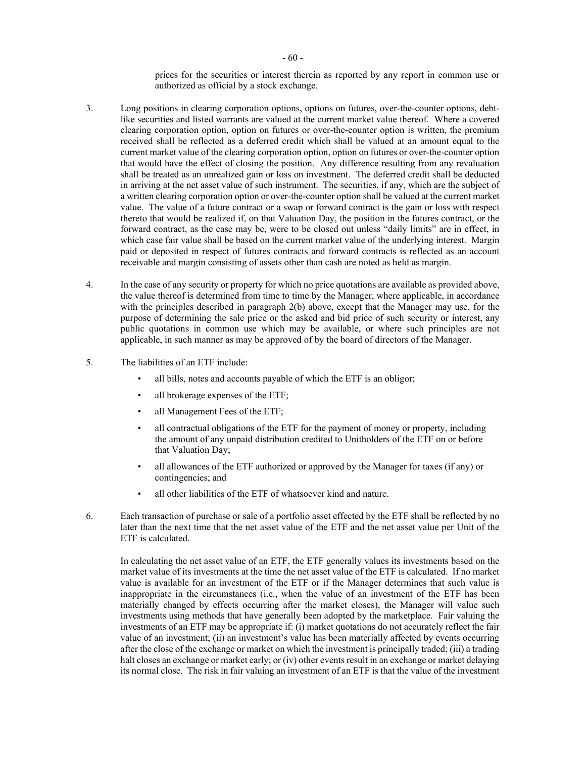prices for the securities or interest therein as reported by any report in common use or authorized as official by a stock exchange.

- 3. Long positions in clearing corporation options, options on futures, over-the-counter options, debtlike securities and listed warrants are valued at the current market value thereof. Where a covered clearing corporation option, option on futures or over-the-counter option is written, the premium received shall be reflected as a deferred credit which shall be valued at an amount equal to the current market value of the clearing corporation option, option on futures or over-the-counter option that would have the effect of closing the position. Any difference resulting from any revaluation shall be treated as an unrealized gain or loss on investment. The deferred credit shall be deducted in arriving at the net asset value of such instrument. The securities, if any, which are the subject of a written clearing corporation option or over-the-counter option shall be valued at the current market value. The value of a future contract or a swap or forward contract is the gain or loss with respect thereto that would be realized if, on that Valuation Day, the position in the futures contract, or the forward contract, as the case may be, were to be closed out unless "daily limits" are in effect, in which case fair value shall be based on the current market value of the underlying interest. Margin paid or deposited in respect of futures contracts and forward contracts is reflected as an account receivable and margin consisting of assets other than cash are noted as held as margin.
- 4. In the case of any security or property for which no price quotations are available as provided above, the value thereof is determined from time to time by the Manager, where applicable, in accordance with the principles described in paragraph 2(b) above, except that the Manager may use, for the purpose of determining the sale price or the asked and bid price of such security or interest, any public quotations in common use which may be available, or where such principles are not applicable, in such manner as may be approved of by the board of directors of the Manager.
- 5. The liabilities of an ETF include:
	- all bills, notes and accounts payable of which the ETF is an obligor;
	- all brokerage expenses of the ETF;
	- all Management Fees of the ETF;
	- all contractual obligations of the ETF for the payment of money or property, including the amount of any unpaid distribution credited to Unitholders of the ETF on or before that Valuation Day;
	- all allowances of the ETF authorized or approved by the Manager for taxes (if any) or contingencies; and
	- all other liabilities of the ETF of whatsoever kind and nature.
- 6. Each transaction of purchase or sale of a portfolio asset effected by the ETF shall be reflected by no later than the next time that the net asset value of the ETF and the net asset value per Unit of the ETF is calculated.

In calculating the net asset value of an ETF, the ETF generally values its investments based on the market value of its investments at the time the net asset value of the ETF is calculated. If no market value is available for an investment of the ETF or if the Manager determines that such value is inappropriate in the circumstances (i.e., when the value of an investment of the ETF has been materially changed by effects occurring after the market closes), the Manager will value such investments using methods that have generally been adopted by the marketplace. Fair valuing the investments of an ETF may be appropriate if: (i) market quotations do not accurately reflect the fair value of an investment; (ii) an investment's value has been materially affected by events occurring after the close of the exchange or market on which the investment is principally traded; (iii) a trading halt closes an exchange or market early; or (iv) other events result in an exchange or market delaying its normal close. The risk in fair valuing an investment of an ETF is that the value of the investment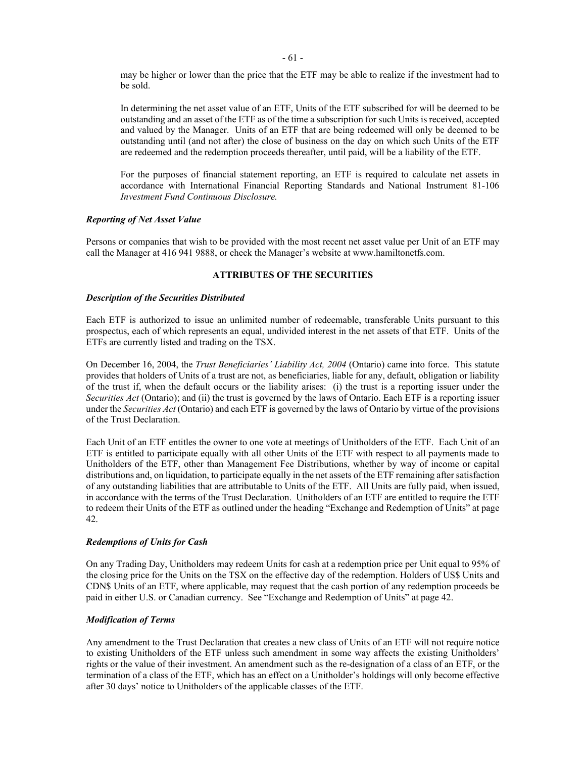may be higher or lower than the price that the ETF may be able to realize if the investment had to be sold.

In determining the net asset value of an ETF, Units of the ETF subscribed for will be deemed to be outstanding and an asset of the ETF as of the time a subscription for such Units is received, accepted and valued by the Manager. Units of an ETF that are being redeemed will only be deemed to be outstanding until (and not after) the close of business on the day on which such Units of the ETF are redeemed and the redemption proceeds thereafter, until paid, will be a liability of the ETF.

For the purposes of financial statement reporting, an ETF is required to calculate net assets in accordance with International Financial Reporting Standards and National Instrument 81-106 *Investment Fund Continuous Disclosure.*

### *Reporting of Net Asset Value*

Persons or companies that wish to be provided with the most recent net asset value per Unit of an ETF may call the Manager at 416 941 9888, or check the Manager's website at www.hamiltonetfs.com.

### **ATTRIBUTES OF THE SECURITIES**

### *Description of the Securities Distributed*

Each ETF is authorized to issue an unlimited number of redeemable, transferable Units pursuant to this prospectus, each of which represents an equal, undivided interest in the net assets of that ETF. Units of the ETFs are currently listed and trading on the TSX.

On December 16, 2004, the *Trust Beneficiaries' Liability Act, 2004* (Ontario) came into force. This statute provides that holders of Units of a trust are not, as beneficiaries, liable for any, default, obligation or liability of the trust if, when the default occurs or the liability arises: (i) the trust is a reporting issuer under the *Securities Act* (Ontario); and (ii) the trust is governed by the laws of Ontario. Each ETF is a reporting issuer under the *Securities Act* (Ontario) and each ETF is governed by the laws of Ontario by virtue of the provisions of the Trust Declaration.

Each Unit of an ETF entitles the owner to one vote at meetings of Unitholders of the ETF. Each Unit of an ETF is entitled to participate equally with all other Units of the ETF with respect to all payments made to Unitholders of the ETF, other than Management Fee Distributions, whether by way of income or capital distributions and, on liquidation, to participate equally in the net assets of the ETF remaining after satisfaction of any outstanding liabilities that are attributable to Units of the ETF. All Units are fully paid, when issued, in accordance with the terms of the Trust Declaration. Unitholders of an ETF are entitled to require the ETF to redeem their Units of the ETF as outlined under the heading "Exchange and Redemption of Units" at page [42.](#page-46-0)

### *Redemptions of Units for Cash*

On any Trading Day, Unitholders may redeem Units for cash at a redemption price per Unit equal to 95% of the closing price for the Units on the TSX on the effective day of the redemption. Holders of US\$ Units and CDN\$ Units of an ETF, where applicable, may request that the cash portion of any redemption proceeds be paid in either U.S. or Canadian currency. See "Exchange and Redemption of Units" at page [42.](#page-46-0)

### <span id="page-65-0"></span>*Modification of Terms*

Any amendment to the Trust Declaration that creates a new class of Units of an ETF will not require notice to existing Unitholders of the ETF unless such amendment in some way affects the existing Unitholders' rights or the value of their investment. An amendment such as the re-designation of a class of an ETF, or the termination of a class of the ETF, which has an effect on a Unitholder's holdings will only become effective after 30 days' notice to Unitholders of the applicable classes of the ETF.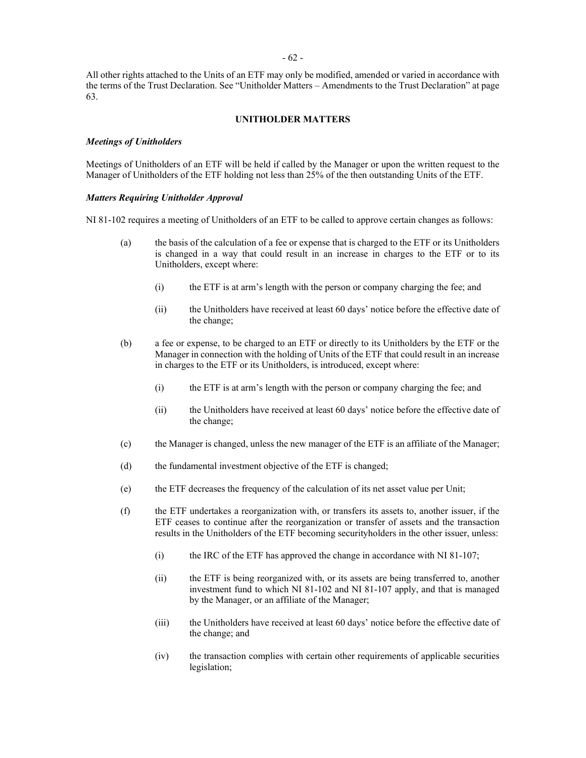All other rights attached to the Units of an ETF may only be modified, amended or varied in accordance with the terms of the Trust Declaration. See "Unitholder Matters – Amendments to the Trust Declaration" at page [63.](#page-67-0)

#### **UNITHOLDER MATTERS**

### *Meetings of Unitholders*

Meetings of Unitholders of an ETF will be held if called by the Manager or upon the written request to the Manager of Unitholders of the ETF holding not less than 25% of the then outstanding Units of the ETF.

#### *Matters Requiring Unitholder Approval*

NI 81-102 requires a meeting of Unitholders of an ETF to be called to approve certain changes as follows:

- (a) the basis of the calculation of a fee or expense that is charged to the ETF or its Unitholders is changed in a way that could result in an increase in charges to the ETF or to its Unitholders, except where:
	- (i) the ETF is at arm's length with the person or company charging the fee; and
	- (ii) the Unitholders have received at least 60 days' notice before the effective date of the change;
- (b) a fee or expense, to be charged to an ETF or directly to its Unitholders by the ETF or the Manager in connection with the holding of Units of the ETF that could result in an increase in charges to the ETF or its Unitholders, is introduced, except where:
	- (i) the ETF is at arm's length with the person or company charging the fee; and
	- (ii) the Unitholders have received at least 60 days' notice before the effective date of the change;
- (c) the Manager is changed, unless the new manager of the ETF is an affiliate of the Manager;
- (d) the fundamental investment objective of the ETF is changed;
- (e) the ETF decreases the frequency of the calculation of its net asset value per Unit;
- (f) the ETF undertakes a reorganization with, or transfers its assets to, another issuer, if the ETF ceases to continue after the reorganization or transfer of assets and the transaction results in the Unitholders of the ETF becoming securityholders in the other issuer, unless:
	- (i) the IRC of the ETF has approved the change in accordance with NI 81-107;
	- (ii) the ETF is being reorganized with, or its assets are being transferred to, another investment fund to which NI 81-102 and NI 81-107 apply, and that is managed by the Manager, or an affiliate of the Manager;
	- (iii) the Unitholders have received at least 60 days' notice before the effective date of the change; and
	- (iv) the transaction complies with certain other requirements of applicable securities legislation;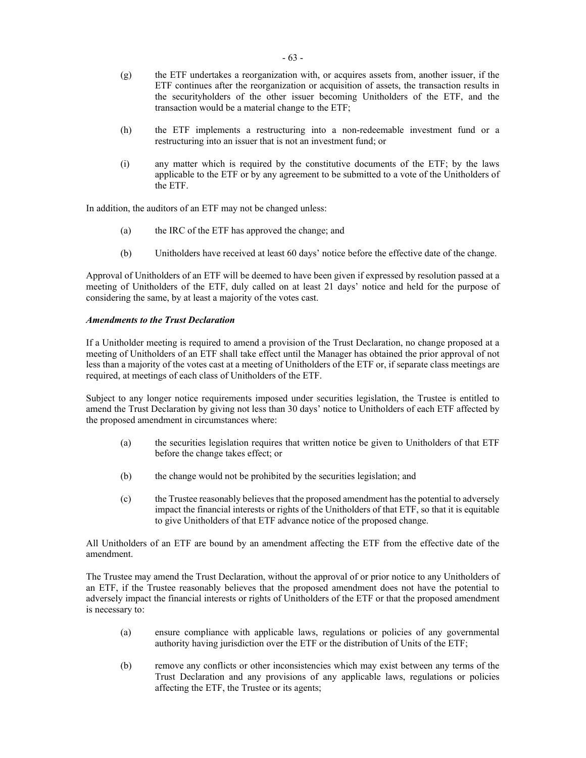- (g) the ETF undertakes a reorganization with, or acquires assets from, another issuer, if the ETF continues after the reorganization or acquisition of assets, the transaction results in the securityholders of the other issuer becoming Unitholders of the ETF, and the transaction would be a material change to the ETF;
- (h) the ETF implements a restructuring into a non-redeemable investment fund or a restructuring into an issuer that is not an investment fund; or
- (i) any matter which is required by the constitutive documents of the ETF; by the laws applicable to the ETF or by any agreement to be submitted to a vote of the Unitholders of the ETF.

In addition, the auditors of an ETF may not be changed unless:

- (a) the IRC of the ETF has approved the change; and
- (b) Unitholders have received at least 60 days' notice before the effective date of the change.

Approval of Unitholders of an ETF will be deemed to have been given if expressed by resolution passed at a meeting of Unitholders of the ETF, duly called on at least 21 days' notice and held for the purpose of considering the same, by at least a majority of the votes cast.

### <span id="page-67-0"></span>*Amendments to the Trust Declaration*

If a Unitholder meeting is required to amend a provision of the Trust Declaration, no change proposed at a meeting of Unitholders of an ETF shall take effect until the Manager has obtained the prior approval of not less than a majority of the votes cast at a meeting of Unitholders of the ETF or, if separate class meetings are required, at meetings of each class of Unitholders of the ETF.

Subject to any longer notice requirements imposed under securities legislation, the Trustee is entitled to amend the Trust Declaration by giving not less than 30 days' notice to Unitholders of each ETF affected by the proposed amendment in circumstances where:

- (a) the securities legislation requires that written notice be given to Unitholders of that ETF before the change takes effect; or
- (b) the change would not be prohibited by the securities legislation; and
- (c) the Trustee reasonably believes that the proposed amendment has the potential to adversely impact the financial interests or rights of the Unitholders of that ETF, so that it is equitable to give Unitholders of that ETF advance notice of the proposed change.

All Unitholders of an ETF are bound by an amendment affecting the ETF from the effective date of the amendment.

The Trustee may amend the Trust Declaration, without the approval of or prior notice to any Unitholders of an ETF, if the Trustee reasonably believes that the proposed amendment does not have the potential to adversely impact the financial interests or rights of Unitholders of the ETF or that the proposed amendment is necessary to:

- (a) ensure compliance with applicable laws, regulations or policies of any governmental authority having jurisdiction over the ETF or the distribution of Units of the ETF;
- (b) remove any conflicts or other inconsistencies which may exist between any terms of the Trust Declaration and any provisions of any applicable laws, regulations or policies affecting the ETF, the Trustee or its agents;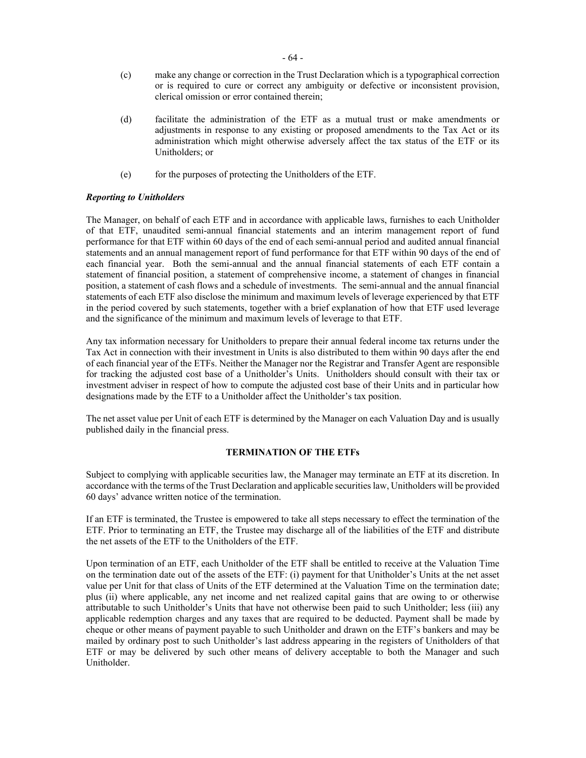- (c) make any change or correction in the Trust Declaration which is a typographical correction or is required to cure or correct any ambiguity or defective or inconsistent provision, clerical omission or error contained therein;
- (d) facilitate the administration of the ETF as a mutual trust or make amendments or adjustments in response to any existing or proposed amendments to the Tax Act or its administration which might otherwise adversely affect the tax status of the ETF or its Unitholders; or
- (e) for the purposes of protecting the Unitholders of the ETF.

### *Reporting to Unitholders*

The Manager, on behalf of each ETF and in accordance with applicable laws, furnishes to each Unitholder of that ETF, unaudited semi-annual financial statements and an interim management report of fund performance for that ETF within 60 days of the end of each semi-annual period and audited annual financial statements and an annual management report of fund performance for that ETF within 90 days of the end of each financial year. Both the semi-annual and the annual financial statements of each ETF contain a statement of financial position, a statement of comprehensive income, a statement of changes in financial position, a statement of cash flows and a schedule of investments. The semi-annual and the annual financial statements of each ETF also disclose the minimum and maximum levels of leverage experienced by that ETF in the period covered by such statements, together with a brief explanation of how that ETF used leverage and the significance of the minimum and maximum levels of leverage to that ETF.

Any tax information necessary for Unitholders to prepare their annual federal income tax returns under the Tax Act in connection with their investment in Units is also distributed to them within 90 days after the end of each financial year of the ETFs. Neither the Manager nor the Registrar and Transfer Agent are responsible for tracking the adjusted cost base of a Unitholder's Units. Unitholders should consult with their tax or investment adviser in respect of how to compute the adjusted cost base of their Units and in particular how designations made by the ETF to a Unitholder affect the Unitholder's tax position.

The net asset value per Unit of each ETF is determined by the Manager on each Valuation Day and is usually published daily in the financial press.

### **TERMINATION OF THE ETFs**

Subject to complying with applicable securities law, the Manager may terminate an ETF at its discretion. In accordance with the terms of the Trust Declaration and applicable securities law, Unitholders will be provided 60 days' advance written notice of the termination.

If an ETF is terminated, the Trustee is empowered to take all steps necessary to effect the termination of the ETF. Prior to terminating an ETF, the Trustee may discharge all of the liabilities of the ETF and distribute the net assets of the ETF to the Unitholders of the ETF.

Upon termination of an ETF, each Unitholder of the ETF shall be entitled to receive at the Valuation Time on the termination date out of the assets of the ETF: (i) payment for that Unitholder's Units at the net asset value per Unit for that class of Units of the ETF determined at the Valuation Time on the termination date; plus (ii) where applicable, any net income and net realized capital gains that are owing to or otherwise attributable to such Unitholder's Units that have not otherwise been paid to such Unitholder; less (iii) any applicable redemption charges and any taxes that are required to be deducted. Payment shall be made by cheque or other means of payment payable to such Unitholder and drawn on the ETF's bankers and may be mailed by ordinary post to such Unitholder's last address appearing in the registers of Unitholders of that ETF or may be delivered by such other means of delivery acceptable to both the Manager and such Unitholder.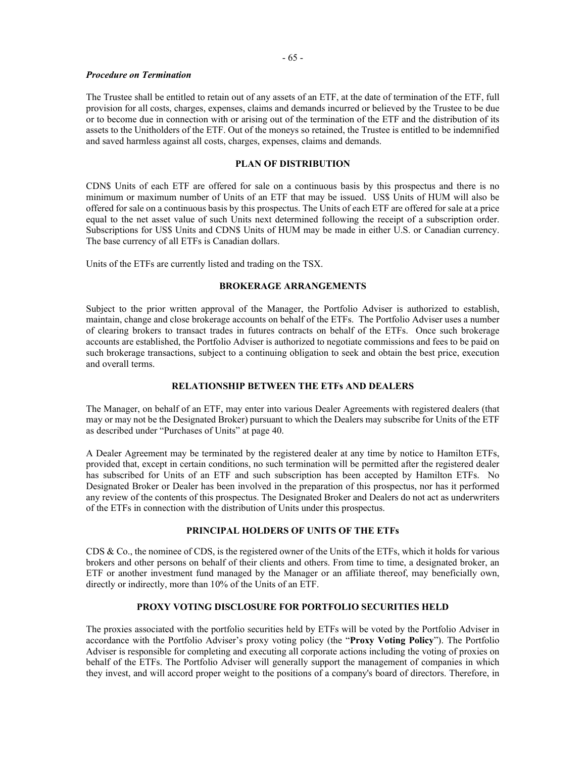### *Procedure on Termination*

The Trustee shall be entitled to retain out of any assets of an ETF, at the date of termination of the ETF, full provision for all costs, charges, expenses, claims and demands incurred or believed by the Trustee to be due or to become due in connection with or arising out of the termination of the ETF and the distribution of its assets to the Unitholders of the ETF. Out of the moneys so retained, the Trustee is entitled to be indemnified and saved harmless against all costs, charges, expenses, claims and demands.

# **PLAN OF DISTRIBUTION**

CDN\$ Units of each ETF are offered for sale on a continuous basis by this prospectus and there is no minimum or maximum number of Units of an ETF that may be issued. US\$ Units of HUM will also be offered for sale on a continuous basis by this prospectus. The Units of each ETF are offered for sale at a price equal to the net asset value of such Units next determined following the receipt of a subscription order. Subscriptions for US\$ Units and CDN\$ Units of HUM may be made in either U.S. or Canadian currency. The base currency of all ETFs is Canadian dollars.

Units of the ETFs are currently listed and trading on the TSX.

### **BROKERAGE ARRANGEMENTS**

Subject to the prior written approval of the Manager, the Portfolio Adviser is authorized to establish, maintain, change and close brokerage accounts on behalf of the ETFs. The Portfolio Adviser uses a number of clearing brokers to transact trades in futures contracts on behalf of the ETFs. Once such brokerage accounts are established, the Portfolio Adviser is authorized to negotiate commissions and fees to be paid on such brokerage transactions, subject to a continuing obligation to seek and obtain the best price, execution and overall terms.

### **RELATIONSHIP BETWEEN THE ETFs AND DEALERS**

The Manager, on behalf of an ETF, may enter into various Dealer Agreements with registered dealers (that may or may not be the Designated Broker) pursuant to which the Dealers may subscribe for Units of the ETF as described under "Purchases of Units" at page [40.](#page-44-0) 

A Dealer Agreement may be terminated by the registered dealer at any time by notice to Hamilton ETFs, provided that, except in certain conditions, no such termination will be permitted after the registered dealer has subscribed for Units of an ETF and such subscription has been accepted by Hamilton ETFs. No Designated Broker or Dealer has been involved in the preparation of this prospectus, nor has it performed any review of the contents of this prospectus. The Designated Broker and Dealers do not act as underwriters of the ETFs in connection with the distribution of Units under this prospectus.

### **PRINCIPAL HOLDERS OF UNITS OF THE ETFs**

CDS & Co., the nominee of CDS, is the registered owner of the Units of the ETFs, which it holds for various brokers and other persons on behalf of their clients and others. From time to time, a designated broker, an ETF or another investment fund managed by the Manager or an affiliate thereof, may beneficially own, directly or indirectly, more than 10% of the Units of an ETF.

### **PROXY VOTING DISCLOSURE FOR PORTFOLIO SECURITIES HELD**

The proxies associated with the portfolio securities held by ETFs will be voted by the Portfolio Adviser in accordance with the Portfolio Adviser's proxy voting policy (the "**Proxy Voting Policy**"). The Portfolio Adviser is responsible for completing and executing all corporate actions including the voting of proxies on behalf of the ETFs. The Portfolio Adviser will generally support the management of companies in which they invest, and will accord proper weight to the positions of a company's board of directors. Therefore, in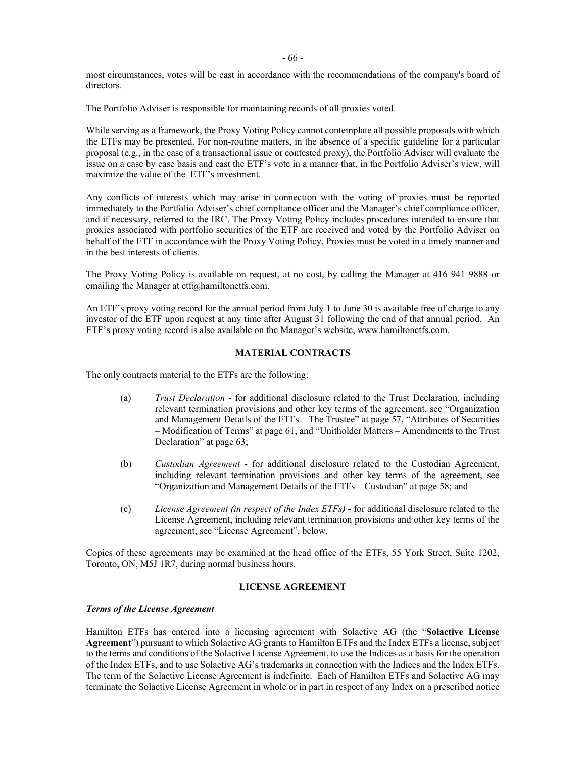- 66 -

most circumstances, votes will be cast in accordance with the recommendations of the company's board of directors.

The Portfolio Adviser is responsible for maintaining records of all proxies voted.

While serving as a framework, the Proxy Voting Policy cannot contemplate all possible proposals with which the ETFs may be presented. For non-routine matters, in the absence of a specific guideline for a particular proposal (e.g., in the case of a transactional issue or contested proxy), the Portfolio Adviser will evaluate the issue on a case by case basis and cast the ETF's vote in a manner that, in the Portfolio Adviser's view, will maximize the value of the ETF's investment.

Any conflicts of interests which may arise in connection with the voting of proxies must be reported immediately to the Portfolio Adviser's chief compliance officer and the Manager's chief compliance officer, and if necessary, referred to the IRC. The Proxy Voting Policy includes procedures intended to ensure that proxies associated with portfolio securities of the ETF are received and voted by the Portfolio Adviser on behalf of the ETF in accordance with the Proxy Voting Policy. Proxies must be voted in a timely manner and in the best interests of clients.

The Proxy Voting Policy is available on request, at no cost, by calling the Manager at 416 941 9888 or emailing the Manager at etf@hamiltonetfs.com.

An ETF's proxy voting record for the annual period from July 1 to June 30 is available free of charge to any investor of the ETF upon request at any time after August 31 following the end of that annual period. An ETF's proxy voting record is also available on the Manager's website, www.hamiltonetfs.com.

### **MATERIAL CONTRACTS**

The only contracts material to the ETFs are the following:

- (a) *Trust Declaration* for additional disclosure related to the Trust Declaration, including relevant termination provisions and other key terms of the agreement, see "Organization and Management Details of the ETFs – The Trustee" at page [57,](#page-61-1) "Attributes of Securities – Modification of Terms" at page [61,](#page-65-0) and "Unitholder Matters – Amendments to the Trust Declaration" at page [63;](#page-67-0)
- (b) *Custodian Agreement* for additional disclosure related to the Custodian Agreement, including relevant termination provisions and other key terms of the agreement, see "Organization and Management Details of the ETFs – Custodian" at page [58;](#page-62-0) and
- (c) *License Agreement (in respect of the Index ETFs)* **-** for additional disclosure related to the License Agreement, including relevant termination provisions and other key terms of the agreement, see "License Agreement", below.

Copies of these agreements may be examined at the head office of the ETFs, 55 York Street, Suite 1202, Toronto, ON, M5J 1R7, during normal business hours.

### **LICENSE AGREEMENT**

#### *Terms of the License Agreement*

Hamilton ETFs has entered into a licensing agreement with Solactive AG (the "**Solactive License Agreement**") pursuant to which Solactive AG grants to Hamilton ETFs and the Index ETFs a license, subject to the terms and conditions of the Solactive License Agreement, to use the Indices as a basis for the operation of the Index ETFs, and to use Solactive AG's trademarks in connection with the Indices and the Index ETFs. The term of the Solactive License Agreement is indefinite. Each of Hamilton ETFs and Solactive AG may terminate the Solactive License Agreement in whole or in part in respect of any Index on a prescribed notice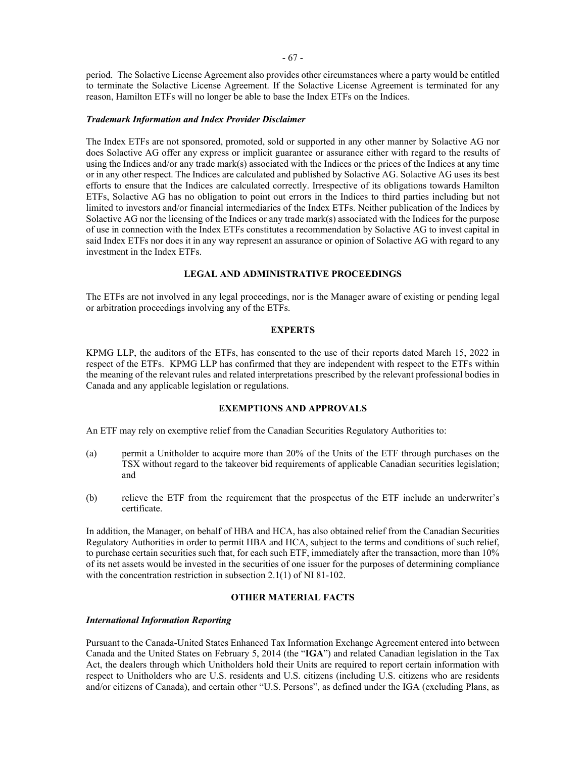period. The Solactive License Agreement also provides other circumstances where a party would be entitled to terminate the Solactive License Agreement. If the Solactive License Agreement is terminated for any reason, Hamilton ETFs will no longer be able to base the Index ETFs on the Indices.

#### *Trademark Information and Index Provider Disclaimer*

The Index ETFs are not sponsored, promoted, sold or supported in any other manner by Solactive AG nor does Solactive AG offer any express or implicit guarantee or assurance either with regard to the results of using the Indices and/or any trade mark(s) associated with the Indices or the prices of the Indices at any time or in any other respect. The Indices are calculated and published by Solactive AG. Solactive AG uses its best efforts to ensure that the Indices are calculated correctly. Irrespective of its obligations towards Hamilton ETFs, Solactive AG has no obligation to point out errors in the Indices to third parties including but not limited to investors and/or financial intermediaries of the Index ETFs. Neither publication of the Indices by Solactive AG nor the licensing of the Indices or any trade mark(s) associated with the Indices for the purpose of use in connection with the Index ETFs constitutes a recommendation by Solactive AG to invest capital in said Index ETFs nor does it in any way represent an assurance or opinion of Solactive AG with regard to any investment in the Index ETFs.

### **LEGAL AND ADMINISTRATIVE PROCEEDINGS**

The ETFs are not involved in any legal proceedings, nor is the Manager aware of existing or pending legal or arbitration proceedings involving any of the ETFs.

#### **EXPERTS**

KPMG LLP, the auditors of the ETFs, has consented to the use of their reports dated March 15, 2022 in respect of the ETFs. KPMG LLP has confirmed that they are independent with respect to the ETFs within the meaning of the relevant rules and related interpretations prescribed by the relevant professional bodies in Canada and any applicable legislation or regulations.

### **EXEMPTIONS AND APPROVALS**

<span id="page-71-0"></span>An ETF may rely on exemptive relief from the Canadian Securities Regulatory Authorities to:

- (a) permit a Unitholder to acquire more than 20% of the Units of the ETF through purchases on the TSX without regard to the takeover bid requirements of applicable Canadian securities legislation; and
- (b) relieve the ETF from the requirement that the prospectus of the ETF include an underwriter's certificate.

In addition, the Manager, on behalf of HBA and HCA, has also obtained relief from the Canadian Securities Regulatory Authorities in order to permit HBA and HCA, subject to the terms and conditions of such relief, to purchase certain securities such that, for each such ETF, immediately after the transaction, more than 10% of its net assets would be invested in the securities of one issuer for the purposes of determining compliance with the concentration restriction in subsection 2.1(1) of NI 81-102.

# **OTHER MATERIAL FACTS**

#### *International Information Reporting*

Pursuant to the Canada-United States Enhanced Tax Information Exchange Agreement entered into between Canada and the United States on February 5, 2014 (the "**IGA**") and related Canadian legislation in the Tax Act, the dealers through which Unitholders hold their Units are required to report certain information with respect to Unitholders who are U.S. residents and U.S. citizens (including U.S. citizens who are residents and/or citizens of Canada), and certain other "U.S. Persons", as defined under the IGA (excluding Plans, as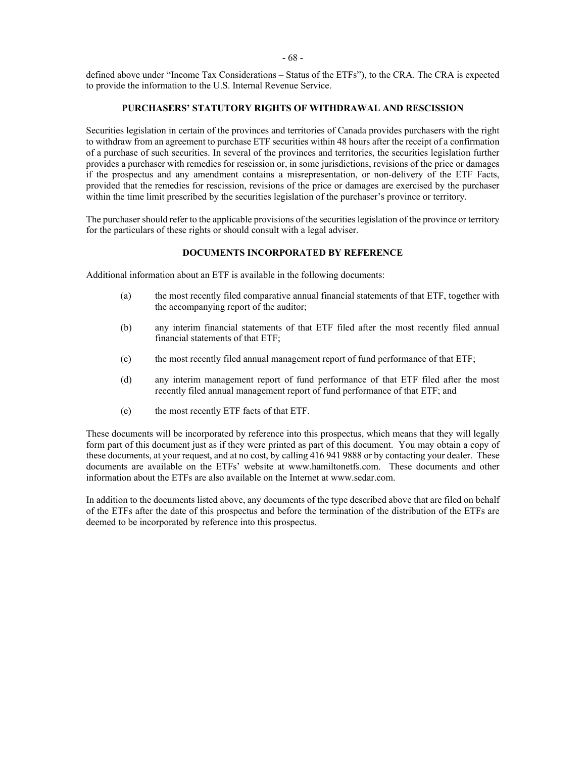- 68 -

defined above under "Income Tax Considerations – Status of the ETFs"), to the CRA. The CRA is expected to provide the information to the U.S. Internal Revenue Service.

### **PURCHASERS' STATUTORY RIGHTS OF WITHDRAWAL AND RESCISSION**

Securities legislation in certain of the provinces and territories of Canada provides purchasers with the right to withdraw from an agreement to purchase ETF securities within 48 hours after the receipt of a confirmation of a purchase of such securities. In several of the provinces and territories, the securities legislation further provides a purchaser with remedies for rescission or, in some jurisdictions, revisions of the price or damages if the prospectus and any amendment contains a misrepresentation, or non-delivery of the ETF Facts, provided that the remedies for rescission, revisions of the price or damages are exercised by the purchaser within the time limit prescribed by the securities legislation of the purchaser's province or territory.

The purchaser should refer to the applicable provisions of the securities legislation of the province or territory for the particulars of these rights or should consult with a legal adviser.

### **DOCUMENTS INCORPORATED BY REFERENCE**

Additional information about an ETF is available in the following documents:

- (a) the most recently filed comparative annual financial statements of that ETF, together with the accompanying report of the auditor;
- (b) any interim financial statements of that ETF filed after the most recently filed annual financial statements of that ETF;
- (c) the most recently filed annual management report of fund performance of that ETF;
- (d) any interim management report of fund performance of that ETF filed after the most recently filed annual management report of fund performance of that ETF; and
- (e) the most recently ETF facts of that ETF.

These documents will be incorporated by reference into this prospectus, which means that they will legally form part of this document just as if they were printed as part of this document. You may obtain a copy of these documents, at your request, and at no cost, by calling 416 941 9888 or by contacting your dealer. These documents are available on the ETFs' website at www.hamiltonetfs.com. These documents and other information about the ETFs are also available on the Internet at www.sedar.com.

In addition to the documents listed above, any documents of the type described above that are filed on behalf of the ETFs after the date of this prospectus and before the termination of the distribution of the ETFs are deemed to be incorporated by reference into this prospectus.